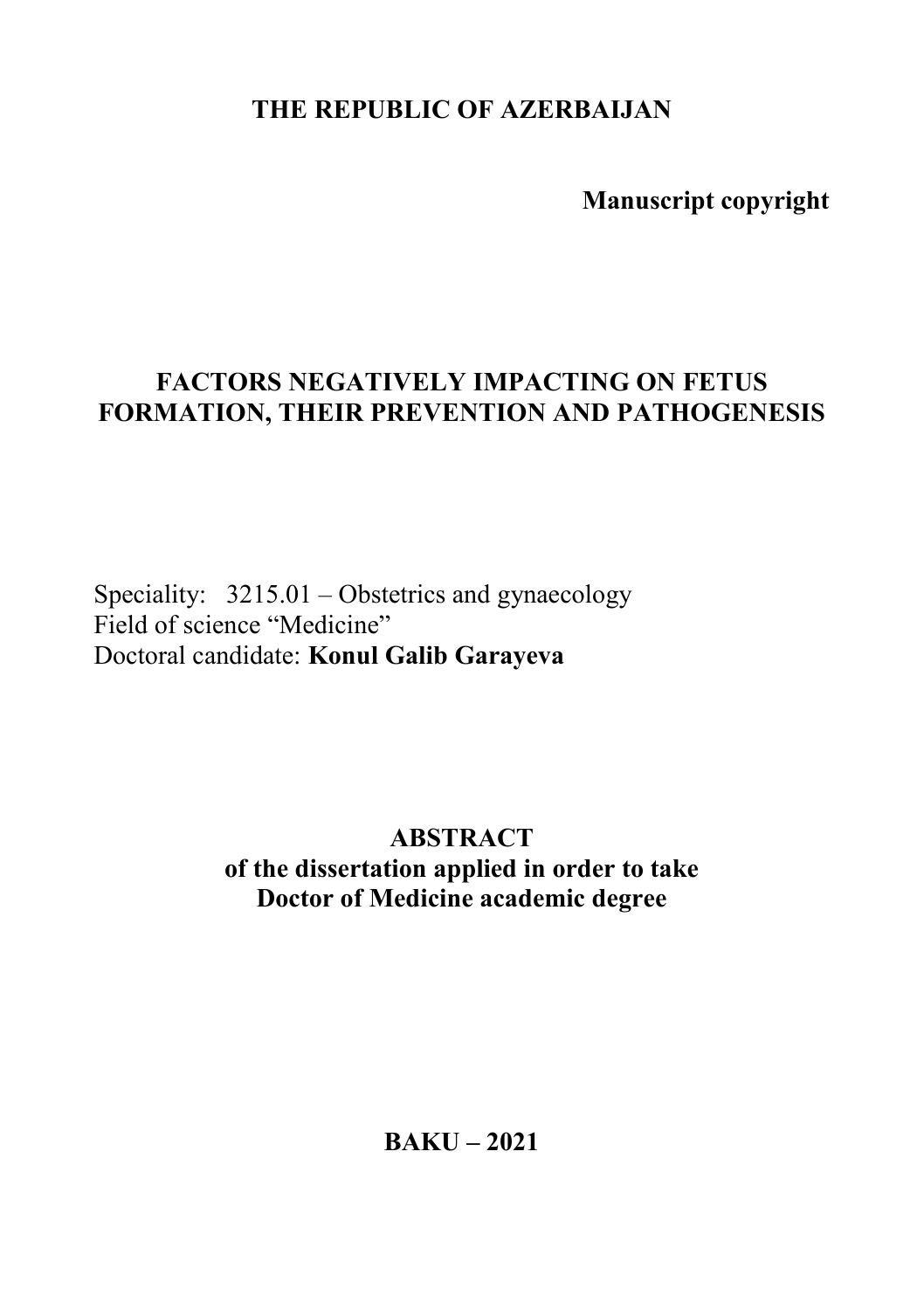**THE REPUBLIC OF AZERBAIJAN** 

 **Manuscript copyright**

# **FACTORS NEGATIVELY IMPACTING ON FETUS FORMATION, THEIR PREVENTION AND PATHOGENESIS**

Speciality: 3215.01 – Obstetrics and gynaecology Field of science "Medicine" Doctoral candidate: **Konul Galib Garayeva** 

> **ABSTRACT of the dissertation applied in order to take Doctor of Medicine academic degree**

> > **BAKU – 2021**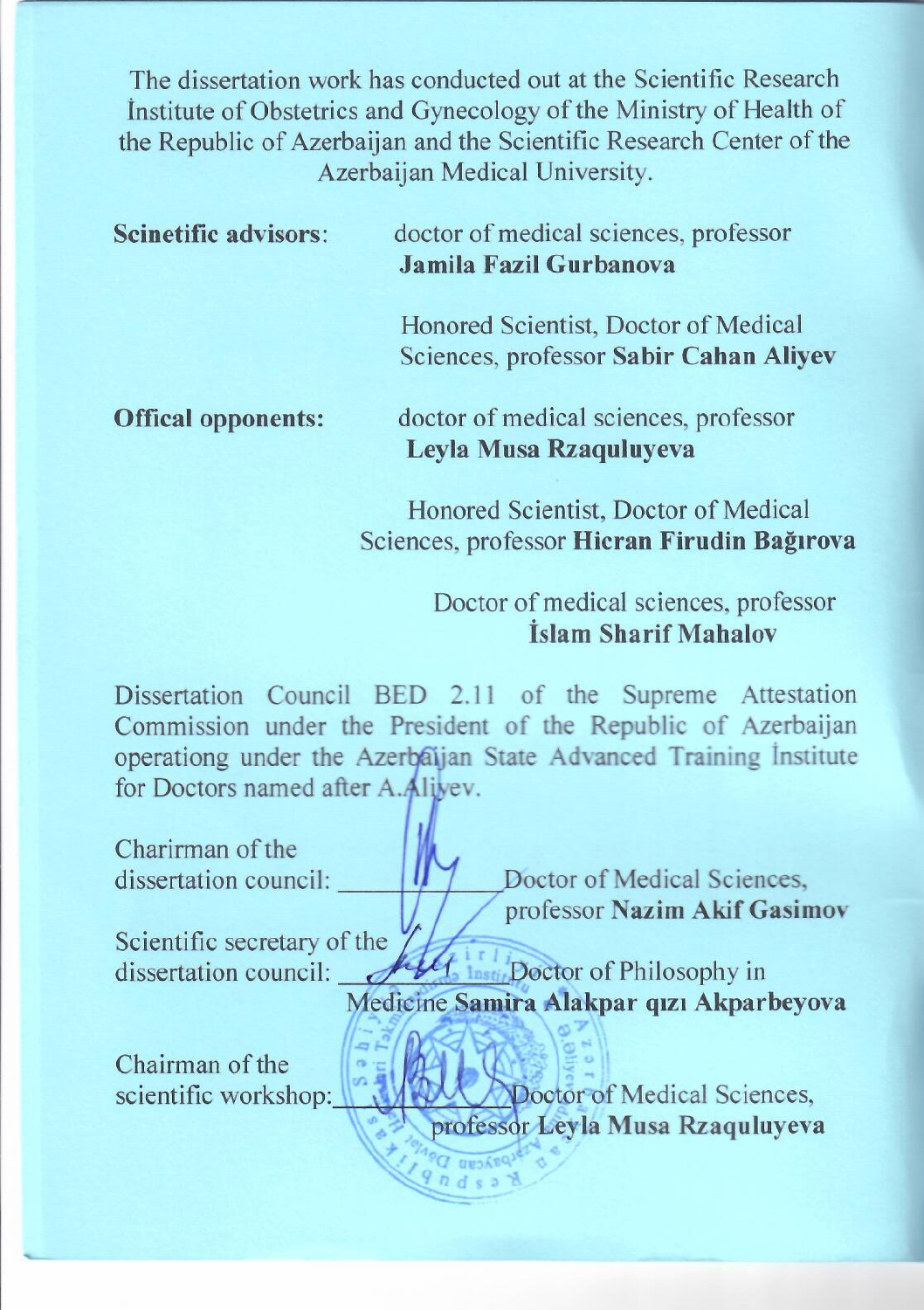The dissertation work has conducted out at the Scientific Research Institute of Obstetrics and Gynecology of the Ministry of Health of the Republic of Azerbaijan and the Scientific Research Center of the Azerbaijan Medical University.

| <b>Scinetific advisors:</b> | doctor of medical sciences, professor<br>Jamila Fazil Gurbanova               |  |  |
|-----------------------------|-------------------------------------------------------------------------------|--|--|
|                             | Honored Scientist, Doctor of Medical<br>Sciences, professor Sabir Cahan Aliye |  |  |
| <b>Offical opponents:</b>   | doctor of medical sciences, professor                                         |  |  |

Honored Scientist, Doctor of Medical Sciences, professor Hicran Firudin Bağırova

Levla Musa Rzaguluyeva

Sciences, professor **Hicran Firudin Bağırova**

## Doctor of medical sciences, professor İslam Sharif Mahalov

Dissertation Council BED 2.11 of the Supreme Attestation Commission under the President of the Republic of Azerbaijan operationg under the Azerbaijan State Advanced Training Institute for Doctors named after A.Alivev. for Doctors named after A.Aliyev.

Charirman of the<br>dissertation council: Doctor of Medical Sciences. professor Nazim Akif Gasimov

professor **Nazim Akif Gasimov**  Scientific secretary of the<br>dissertation council: Medicine Samira Alaknar quality

Medicine **Samira Alakpar qızı Akparbeyova**

Chairman of the<br>scientific workshop:

scientific workshop: Doctor of Medical Science professor **Ley la** Musa Rzaquiaye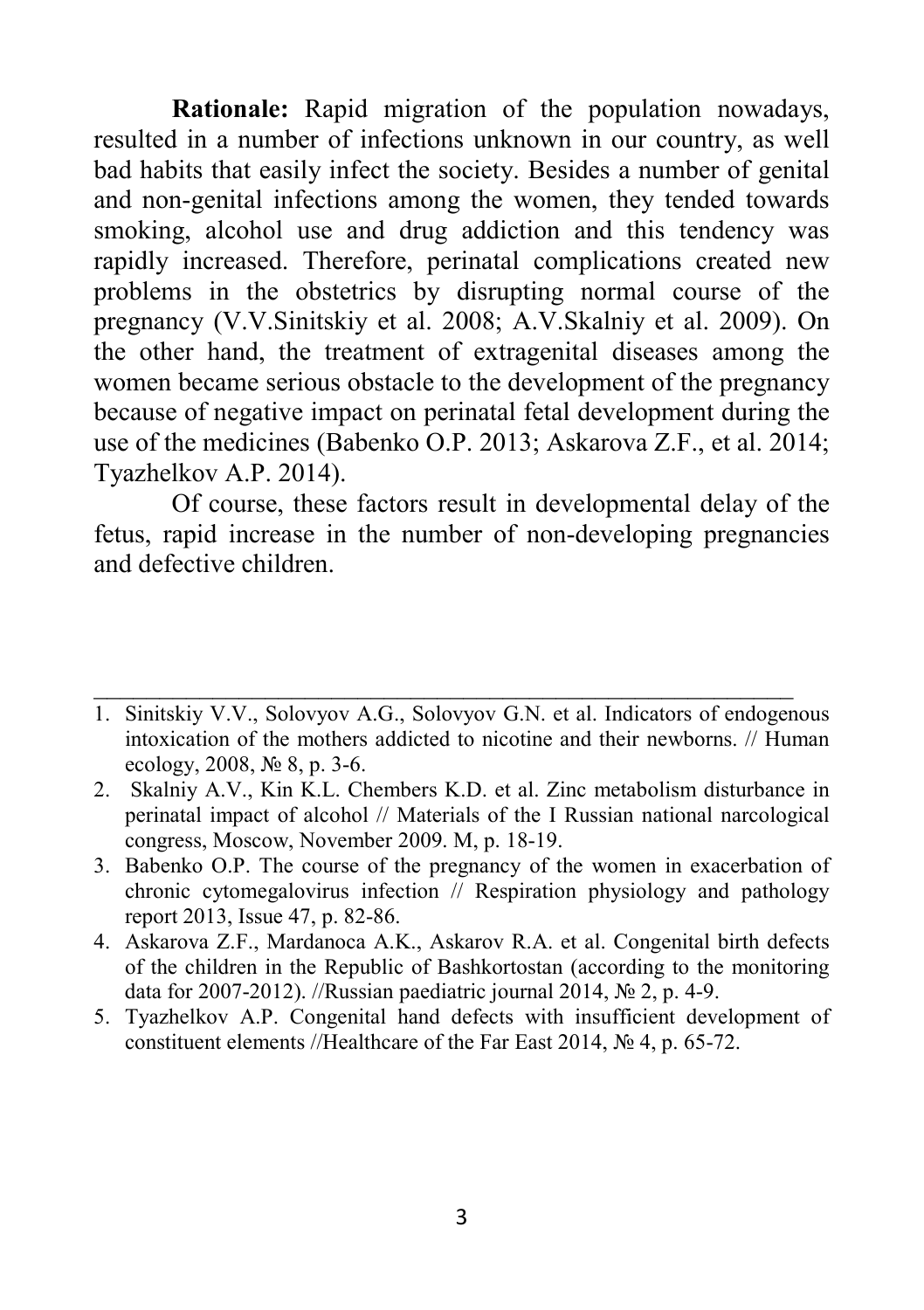**Rationale:** Rapid migration of the population nowadays, resulted in a number of infections unknown in our country, as well bad habits that easily infect the society. Besides a number of genital and non-genital infections among the women, they tended towards smoking, alcohol use and drug addiction and this tendency was rapidly increased. Therefore, perinatal complications created new problems in the obstetrics by disrupting normal course of the pregnancy (V.V.Sinitskiy et al. 2008; A.V.Skalniy et al. 2009). On the other hand, the treatment of extragenital diseases among the women became serious obstacle to the development of the pregnancy because of negative impact on perinatal fetal development during the use of the medicines (Babenko O.P. 2013; Askarova Z.F., et al. 2014; Tyazhelkov A.P. 2014).

Of course, these factors result in developmental delay of the fetus, rapid increase in the number of non-developing pregnancies and defective children.

1. Sinitskiy V.V., Solovyov A.G., Solovyov G.N. et al. Indicators of endogenous intoxication of the mothers addicted to nicotine and their newborns. // Human ecology, 2008, № 8, p. 3-6.

\_\_\_\_\_\_\_\_\_\_\_\_\_\_\_\_\_\_\_\_\_\_\_\_\_\_\_\_\_\_\_\_\_\_\_\_\_\_\_\_\_\_\_\_\_\_\_\_\_\_\_\_\_

- 2. Skalniy A.V., Kin K.L. Chembers K.D. et al. Zinc metabolism disturbance in perinatal impact of alcohol // Materials of the I Russian national narcological congress, Moscow, November 2009. М, p. 18-19.
- 3. Babenko O.P. The course of the pregnancy of the women in exacerbation of chronic cytomegalovirus infection  $\overline{\prime}$  Respiration physiology and pathology report 2013, Issue 47, p. 82-86.
- 4. Askarova Z.F., Mardanoca A.K., Askarov R.A. et al. Congenital birth defects of the children in the Republic of Bashkortostan (according to the monitoring data for 2007-2012). //Russian paediatric journal 2014, № 2, p. 4-9.
- 5. Tyazhelkov A.P. Congenital hand defects with insufficient development of constituent elements //Healthcare of the Far East 2014, № 4, p. 65-72.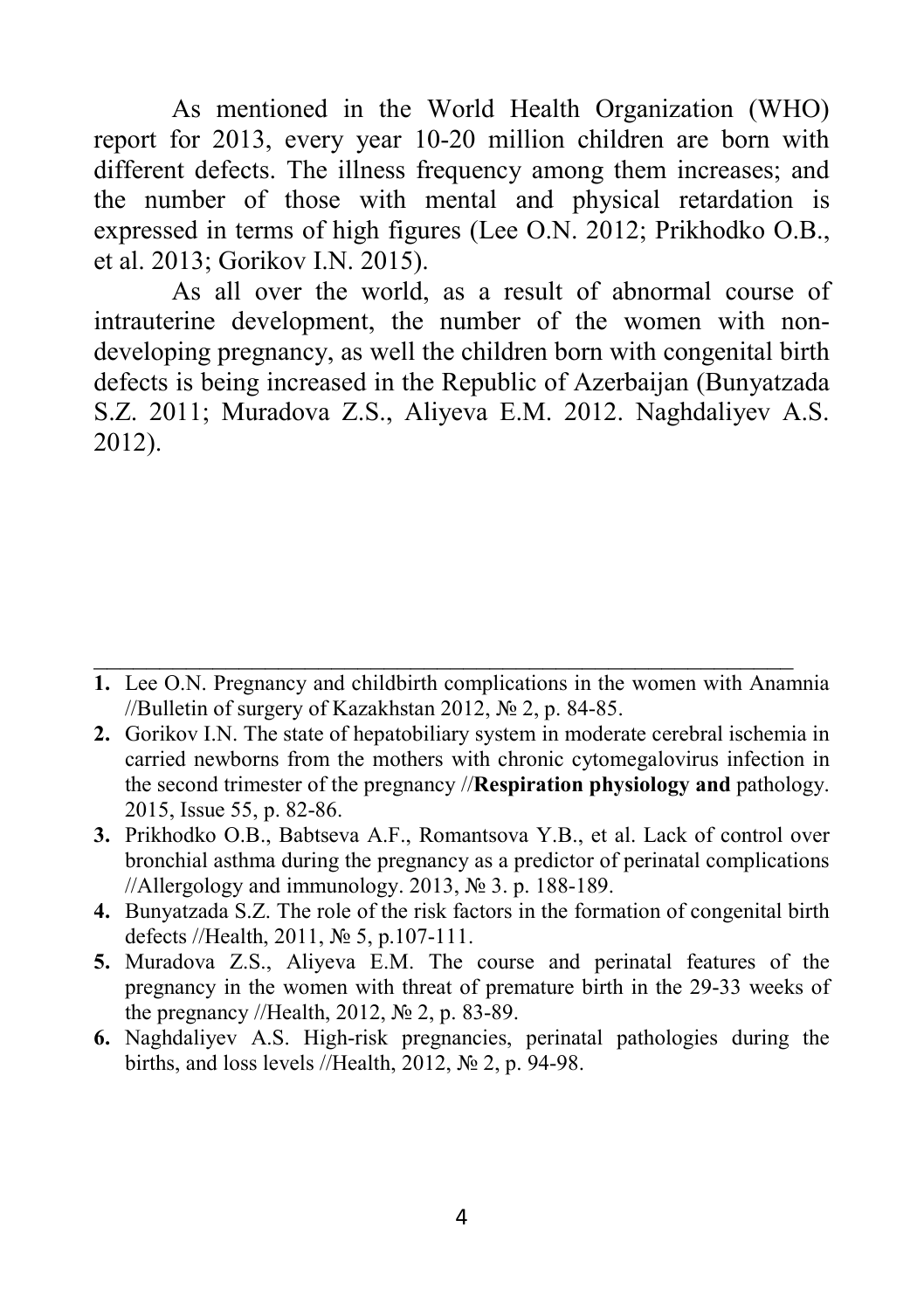As mentioned in the World Health Organization (WHO) report for 2013, every year 10-20 million children are born with different defects. The illness frequency among them increases; and the number of those with mental and physical retardation is expressed in terms of high figures (Lee O.N. 2012; Prikhodko O.B., et al. 2013; Gorikov I.N. 2015).

As all over the world, as a result of abnormal course of intrauterine development, the number of the women with nondeveloping pregnancy, as well the children born with congenital birth defects is being increased in the Republic of Azerbaijan (Bunyatzada S.Z. 2011; Muradova Z.S., Aliyeva E.M. 2012. Naghdaliyev A.S. 2012).

**1.** Lee O.N. Pregnancy and childbirth complications in the women with Anamnia //Bulletin of surgery of Kazakhstan 2012, № 2, p. 84-85.

\_\_\_\_\_\_\_\_\_\_\_\_\_\_\_\_\_\_\_\_\_\_\_\_\_\_\_\_\_\_\_\_\_\_\_\_\_\_\_\_\_\_\_\_\_\_\_\_\_\_\_\_\_

- **2.** Gorikov I.N. The state of hepatobiliary system in moderate cerebral ischemia in carried newborns from the mothers with chronic cytomegalovirus infection in the second trimester of the pregnancy //**Respiration physiology and** pathology. 2015, Issue 55, p. 82-86.
- **3.** Prikhodko O.B., Babtseva A.F., Romantsova Y.B., et al. Lack of control over bronchial asthma during the pregnancy as a predictor of perinatal complications //Allergology and immunology. 2013, № 3. p. 188-189.
- **4.** Bunyatzada S.Z. The role of the risk factors in the formation of congenital birth defects //Health, 2011, № 5, p.107-111.
- **5.** Muradova Z.S., Aliyeva E.M. The course and perinatal features of the pregnancy in the women with threat of premature birth in the 29-33 weeks of the pregnancy //Health, 2012, № 2, p. 83-89.
- **6.** Naghdaliyev A.S. High-risk pregnancies, perinatal pathologies during the births, and loss levels //Health, 2012, № 2, p. 94-98.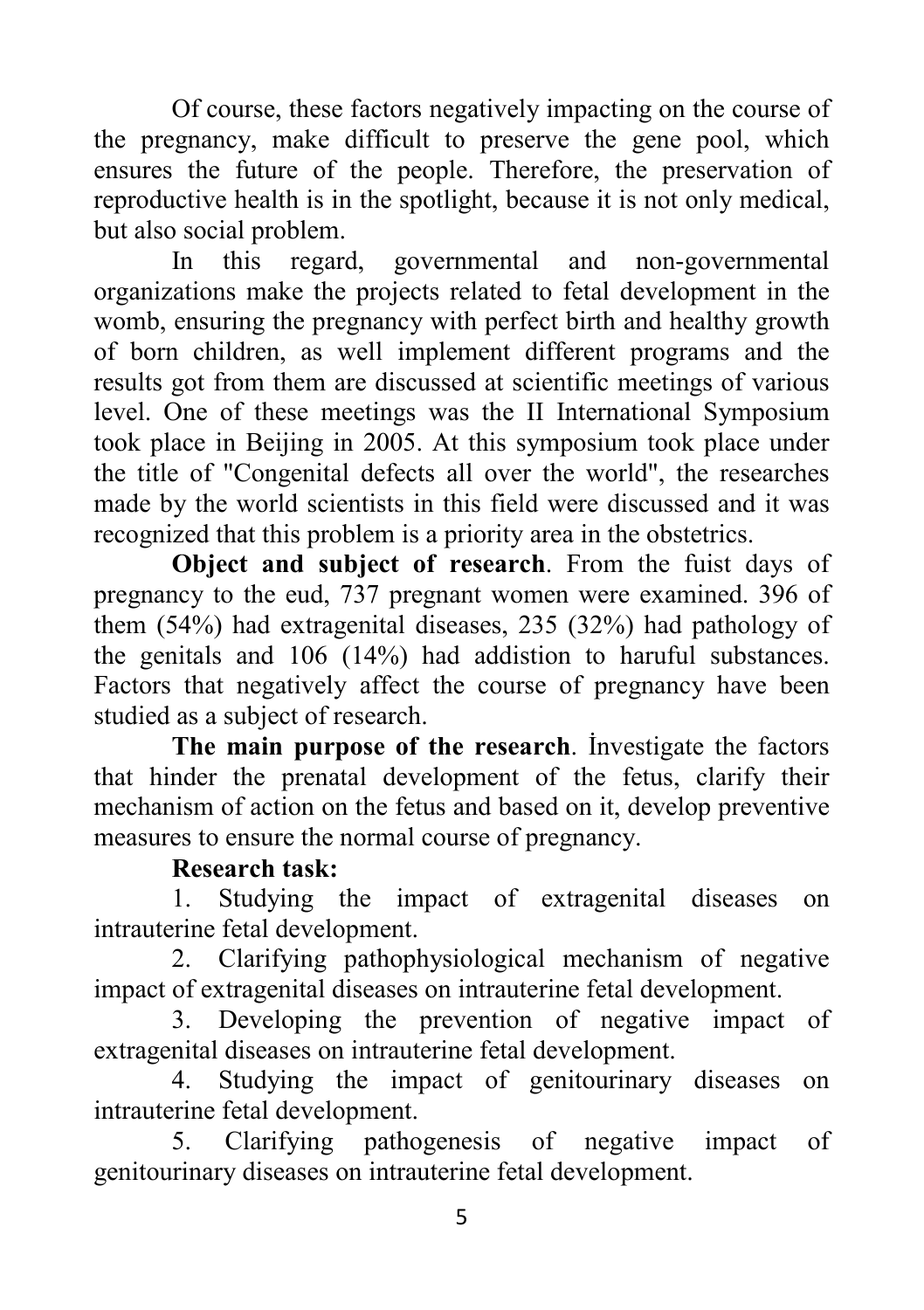Of course, these factors negatively impacting on the course of the pregnancy, make difficult to preserve the gene pool, which ensures the future of the people. Therefore, the preservation of reproductive health is in the spotlight, because it is not only medical, but also social problem.

In this regard, governmental and non-governmental organizations make the projects related to fetal development in the womb, ensuring the pregnancy with perfect birth and healthy growth of born children, as well implement different programs and the results got from them are discussed at scientific meetings of various level. One of these meetings was the II International Symposium took place in Beijing in 2005. At this symposium took place under the title of "Congenital defects all over the world", the researches made by the world scientists in this field were discussed and it was recognized that this problem is a priority area in the obstetrics.

**Object and subject of research**. From the fuist days of pregnancy to the eud, 737 pregnant women were examined. 396 of them (54%) had extragenital diseases, 235 (32%) had pathology of the genitals and 106 (14%) had addistion to haruful substances. Factors that negatively affect the course of pregnancy have been studied as a subject of research.

**The main purpose of the research**. İnvestigate the factors that hinder the prenatal development of the fetus, clarify their mechanism of action on the fetus and based on it, develop preventive measures to ensure the normal course of pregnancy.

## **Research task:**

1. Studying the impact of extragenital diseases on intrauterine fetal development.

2. Clarifying pathophysiological mechanism of negative impact of extragenital diseases on intrauterine fetal development.

3. Developing the prevention of negative impact of extragenital diseases on intrauterine fetal development.

4. Studying the impact of genitourinary diseases on intrauterine fetal development.

5. Clarifying pathogenesis of negative impact of genitourinary diseases on intrauterine fetal development.

5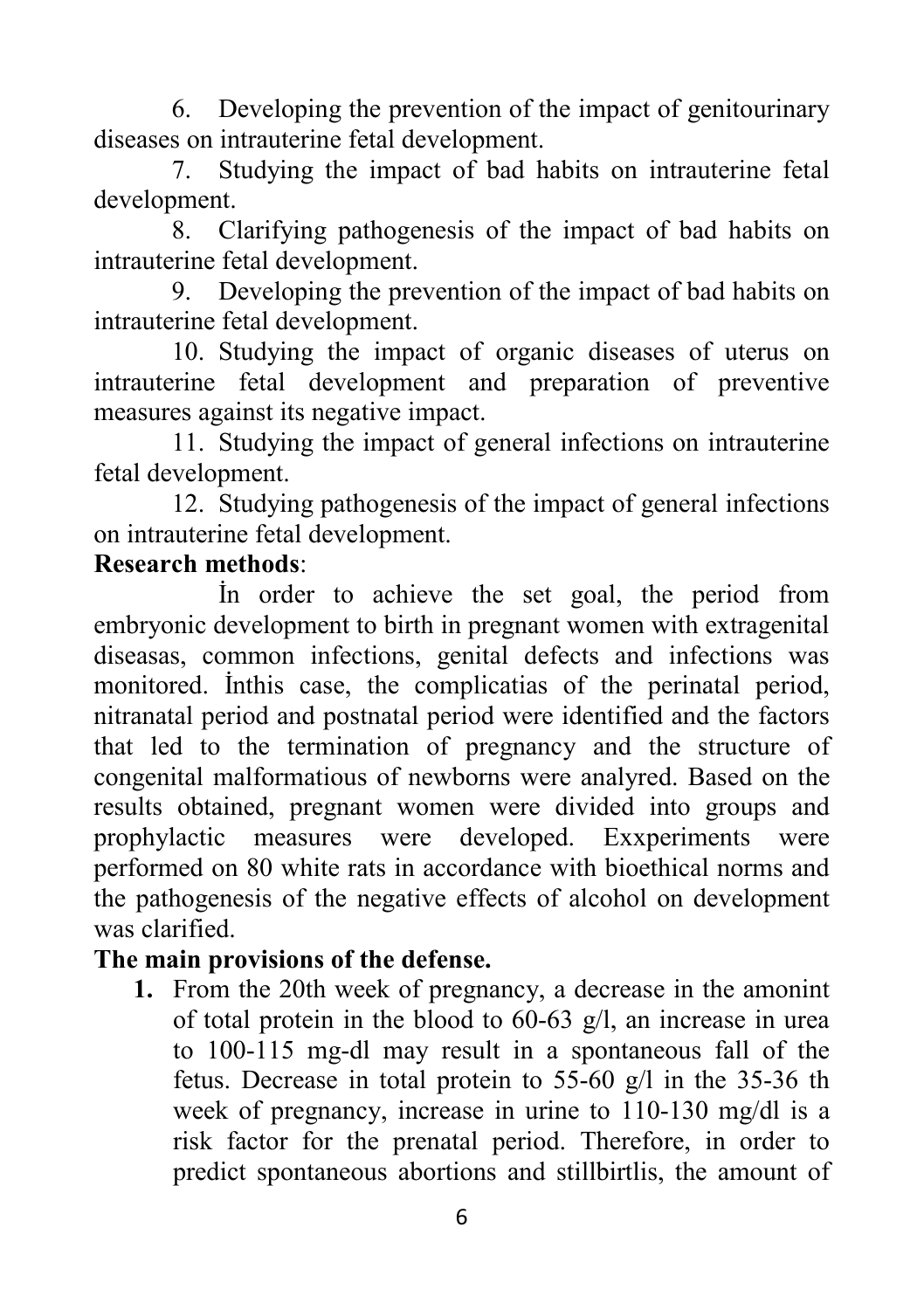6. Developing the prevention of the impact of genitourinary diseases on intrauterine fetal development.

7. Studying the impact of bad habits on intrauterine fetal development.

8. Clarifying pathogenesis of the impact of bad habits on intrauterine fetal development.

9. Developing the prevention of the impact of bad habits on intrauterine fetal development.

10. Studying the impact of organic diseases of uterus on intrauterine fetal development and preparation of preventive measures against its negative impact.

11. Studying the impact of general infections on intrauterine fetal development.

12. Studying pathogenesis of the impact of general infections on intrauterine fetal development.

## **Research methods**:

İn order to achieve the set goal, the period from embryonic development to birth in pregnant women with extragenital diseasas, common infections, genital defects and infections was monitored. İnthis case, the complicatias of the perinatal period, nitranatal period and postnatal period were identified and the factors that led to the termination of pregnancy and the structure of congenital malformatious of newborns were analyred. Based on the results obtained, pregnant women were divided into groups and prophylactic measures were developed. Exxperiments were performed on 80 white rats in accordance with bioethical norms and the pathogenesis of the negative effects of alcohol on development was clarified.

## **The main provisions of the defense.**

**1.** From the 20th week of pregnancy, a decrease in the amonint of total protein in the blood to 60-63 g/l, an increase in urea to 100-115 mg-dl may result in a spontaneous fall of the fetus. Decrease in total protein to 55-60 g/l in the 35-36 th week of pregnancy, increase in urine to 110-130 mg/dl is a risk factor for the prenatal period. Therefore, in order to predict spontaneous abortions and stillbirtlis, the amount of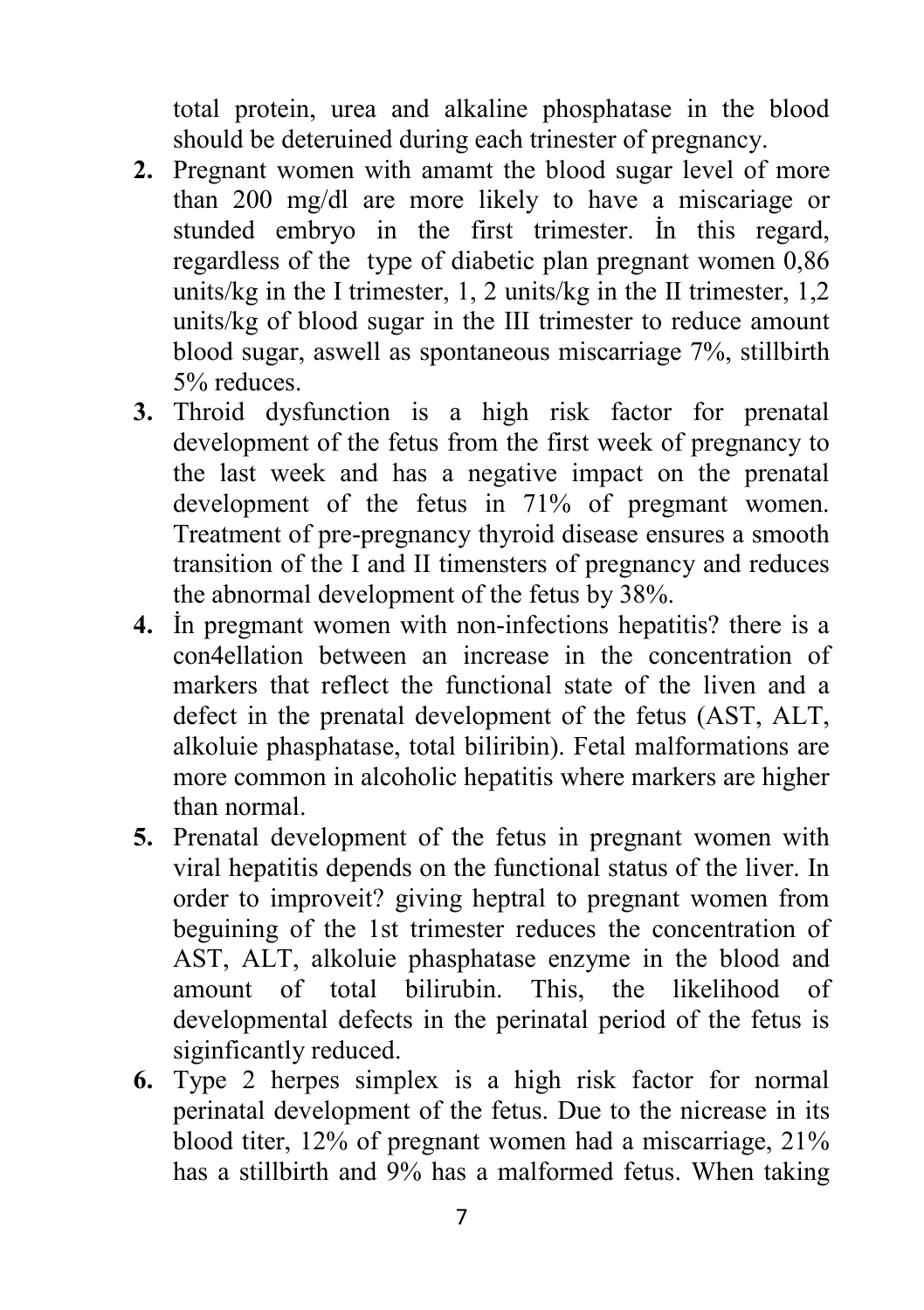total protein, urea and alkaline phosphatase in the blood should be deteruined during each trinester of pregnancy.

- **2.** Pregnant women with amamt the blood sugar level of more than 200 mg/dl are more likely to have a miscariage or stunded embryo in the first trimester. İn this regard, regardless of the type of diabetic plan pregnant women 0,86 units/kg in the I trimester, 1, 2 units/kg in the II trimester, 1,2 units/kg of blood sugar in the III trimester to reduce amount blood sugar, aswell as spontaneous miscarriage 7%, stillbirth 5% reduces.
- **3.** Throid dysfunction is a high risk factor for prenatal development of the fetus from the first week of pregnancy to the last week and has a negative impact on the prenatal development of the fetus in 71% of pregmant women. Treatment of pre-pregnancy thyroid disease ensures a smooth transition of the I and II timensters of pregnancy and reduces the abnormal development of the fetus by 38%.
- **4.** İn pregmant women with non-infections hepatitis? there is a con4ellation between an increase in the concentration of markers that reflect the functional state of the liven and a defect in the prenatal development of the fetus (AST, ALT, alkoluie phasphatase, total biliribin). Fetal malformations are more common in alcoholic hepatitis where markers are higher than normal.
- **5.** Prenatal development of the fetus in pregnant women with viral hepatitis depends on the functional status of the liver. In order to improveit? giving heptral to pregnant women from beguining of the 1st trimester reduces the concentration of AST, ALT, alkoluie phasphatase enzyme in the blood and amount of total bilirubin. This, the likelihood of developmental defects in the perinatal period of the fetus is siginficantly reduced.
- **6.** Type 2 herpes simplex is a high risk factor for normal perinatal development of the fetus. Due to the nicrease in its blood titer, 12% of pregnant women had a miscarriage, 21% has a stillbirth and 9% has a malformed fetus. When taking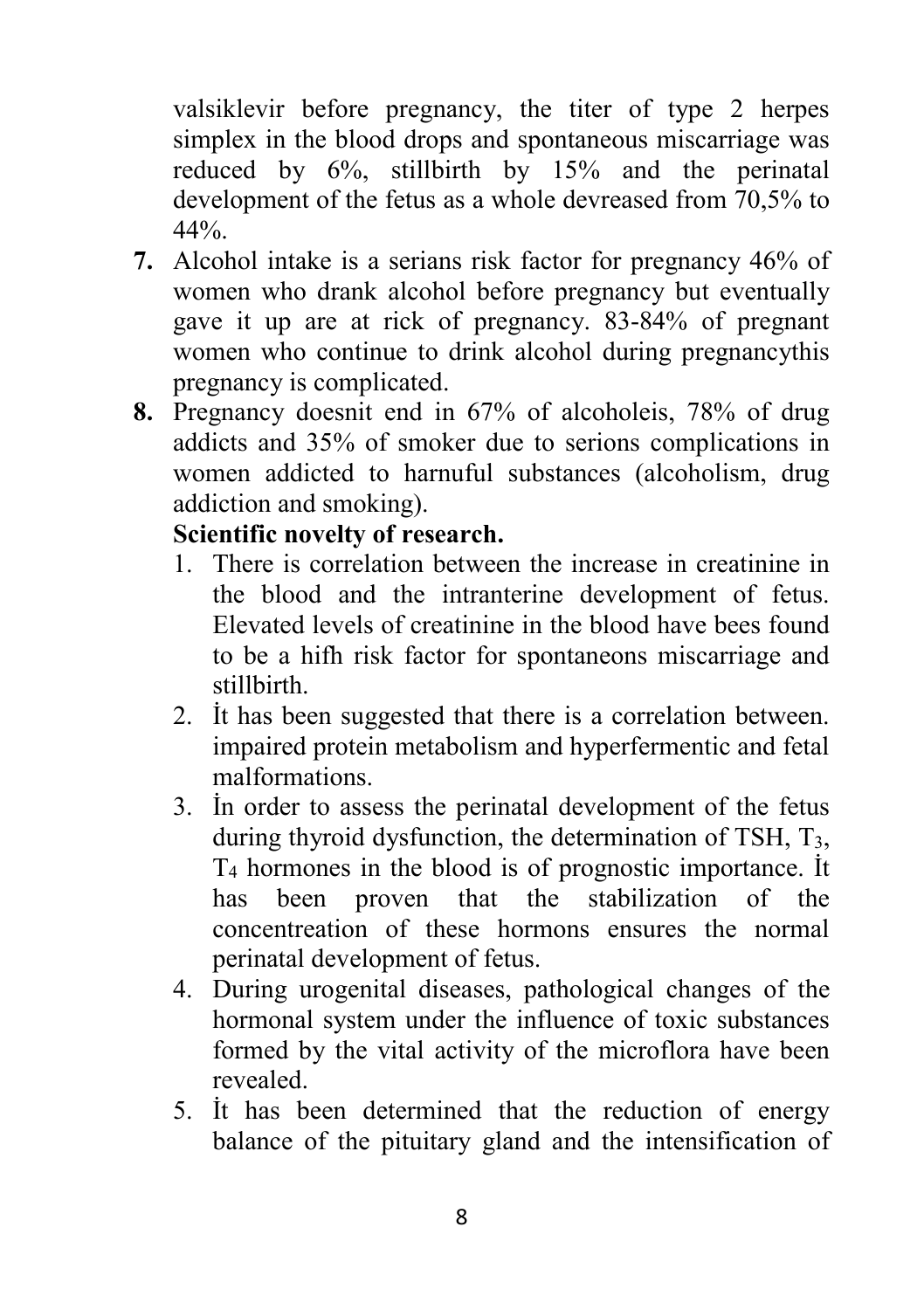valsiklevir before pregnancy, the titer of type 2 herpes simplex in the blood drops and spontaneous miscarriage was reduced by 6%, stillbirth by 15% and the perinatal development of the fetus as a whole devreased from 70,5% to  $44\%$ .

- **7.** Alcohol intake is a serians risk factor for pregnancy 46% of women who drank alcohol before pregnancy but eventually gave it up are at rick of pregnancy. 83-84% of pregnant women who continue to drink alcohol during pregnancythis pregnancy is complicated.
- **8.** Pregnancy doesnit end in 67% of alcoholeis, 78% of drug addicts and 35% of smoker due to serions complications in women addicted to harnuful substances (alcoholism, drug addiction and smoking).

## **Scientific novelty of research.**

- 1. There is correlation between the increase in creatinine in the blood and the intranterine development of fetus. Elevated levels of creatinine in the blood have bees found to be a hifh risk factor for spontaneons miscarriage and stillbirth.
- 2. İt has been suggested that there is a correlation between. impaired protein metabolism and hyperfermentic and fetal malformations.
- 3. İn order to assess the perinatal development of the fetus during thyroid dysfunction, the determination of TSH, T3, T4 hormones in the blood is of prognostic importance. İt has been proven that the stabilization of the concentreation of these hormons ensures the normal perinatal development of fetus.
- 4. During urogenital diseases, pathological changes of the hormonal system under the influence of toxic substances formed by the vital activity of the microflora have been revealed.
- 5. İt has been determined that the reduction of energy balance of the pituitary gland and the intensification of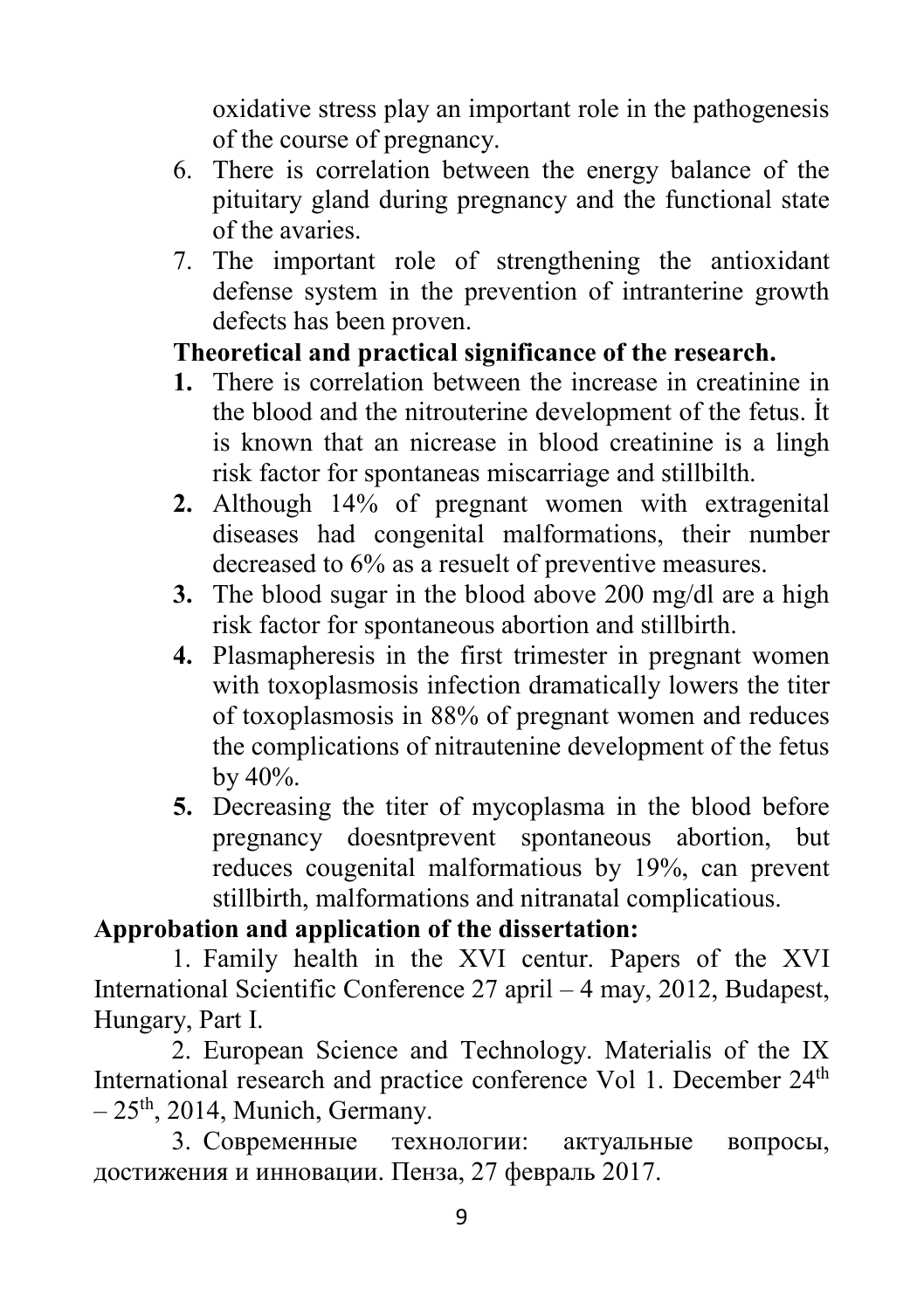oxidative stress play an important role in the pathogenesis of the course of pregnancy.

- 6. There is correlation between the energy balance of the pituitary gland during pregnancy and the functional state of the avaries.
- 7. The important role of strengthening the antioxidant defense system in the prevention of intranterine growth defects has been proven.

## **Theoretical and practical significance of the research.**

- **1.** There is correlation between the increase in creatinine in the blood and the nitrouterine development of the fetus. İt is known that an nicrease in blood creatinine is a lingh risk factor for spontaneas miscarriage and stillbilth.
- **2.** Although 14% of pregnant women with extragenital diseases had congenital malformations, their number decreased to 6% as a resuelt of preventive measures.
- **3.** The blood sugar in the blood above 200 mg/dl are a high risk factor for spontaneous abortion and stillbirth.
- **4.** Plasmapheresis in the first trimester in pregnant women with toxoplasmosis infection dramatically lowers the titer of toxoplasmosis in 88% of pregnant women and reduces the complications of nitrautenine development of the fetus by 40%.
- **5.** Decreasing the titer of mycoplasma in the blood before pregnancy doesntprevent spontaneous abortion, but reduces cougenital malformatious by 19%, can prevent stillbirth, malformations and nitranatal complicatious.

## **Approbation and application of the dissertation:**

1. Family health in the XVI centur. Papers of the XVI International Scientific Conference 27 april – 4 may, 2012, Budapest, Hungary, Part I.

2. European Science and Technology. Materialis of the IX International research and practice conference Vol 1. December 24<sup>th</sup>  $-25$ <sup>th</sup>, 2014, Munich, Germany.

3. Современные технологии: актуальные вопросы, достижения и инновации. Пенза, 27 февраль 2017.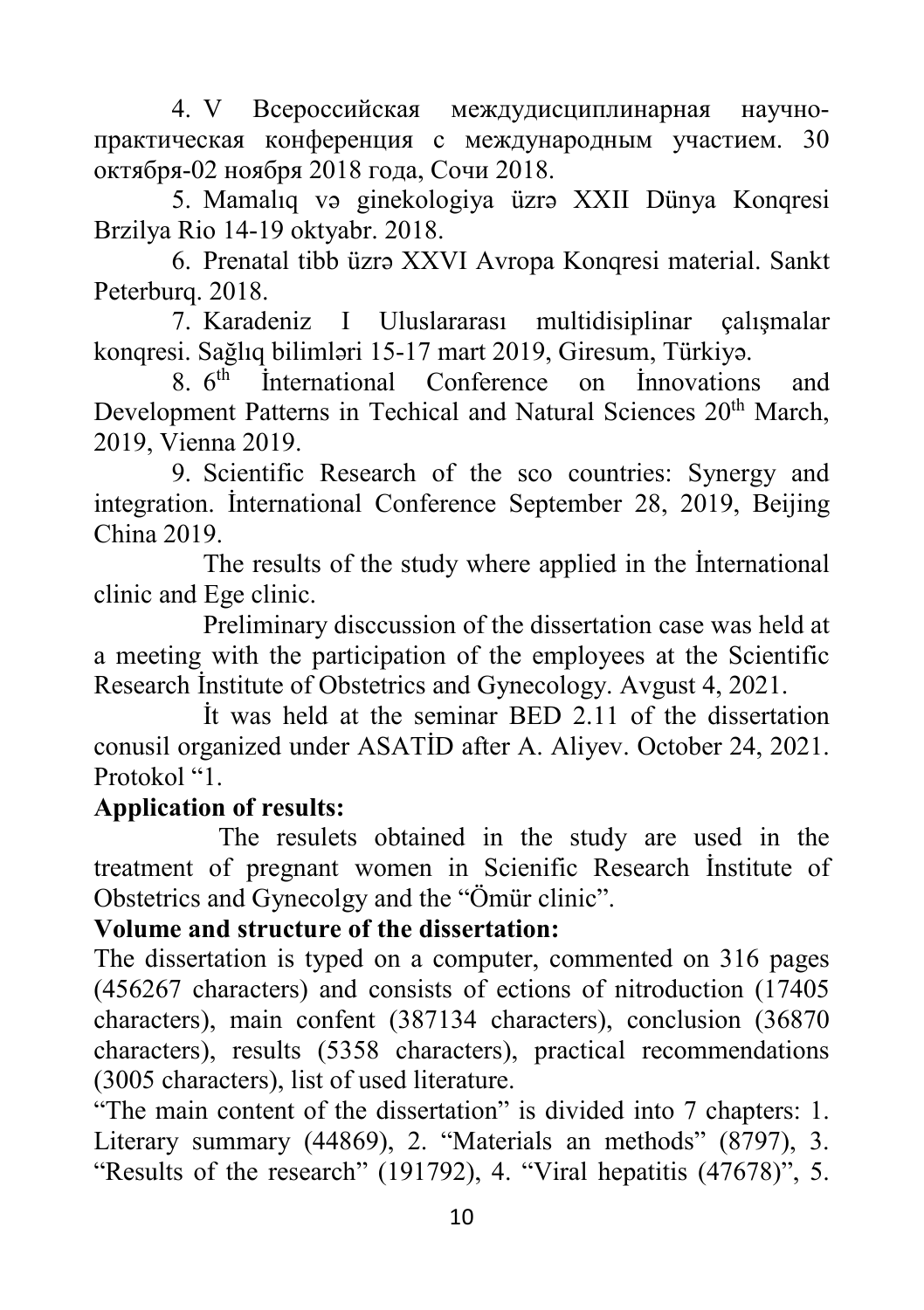4. V Всероссийская междудисциплинарная научнопрактическая конференция с международным участием. 30 октября-02 ноября 2018 года, Сочи 2018.

5. Mamalıq və ginekologiya üzrə XXII Dünya Konqresi Brzilya Rio 14-19 oktyabr. 2018.

6. Prenatal tibb üzrə XXVI Avropa Konqresi material. Sankt Peterburq. 2018.

7. Karadeniz I Uluslararası multidisiplinar çalışmalar konqresi. Sağlıq bilimləri 15-17 mart 2019, Giresum, Türkiyə.

8. 6th İnternational Conference on İnnovations and Development Patterns in Techical and Natural Sciences 20<sup>th</sup> March. 2019, Vienna 2019.

9. Scientific Research of the sco countries: Synergy and integration. İnternational Conference September 28, 2019, Beijing China 2019.

The results of the study where applied in the İnternational clinic and Ege clinic.

Preliminary disccussion of the dissertation case was held at a meeting with the participation of the employees at the Scientific Research İnstitute of Obstetrics and Gynecology. Avgust 4, 2021.

İt was held at the seminar BED 2.11 of the dissertation conusil organized under ASATİD after A. Aliyev. October 24, 2021. Protokol "1.

#### **Application of results:**

The resulets obtained in the study are used in the treatment of pregnant women in Scienific Research İnstitute of Obstetrics and Gynecolgy and the "Ömür clinic".

## **Volume and structure of the dissertation:**

The dissertation is typed on a computer, commented on 316 pages (456267 characters) and consists of ections of nitroduction (17405 characters), main confent (387134 characters), conclusion (36870 characters), results (5358 characters), practical recommendations (3005 characters), list of used literature.

"The main content of the dissertation" is divided into 7 chapters: 1. Literary summary (44869), 2. "Materials an methods" (8797), 3. "Results of the research" (191792), 4. "Viral hepatitis (47678)", 5.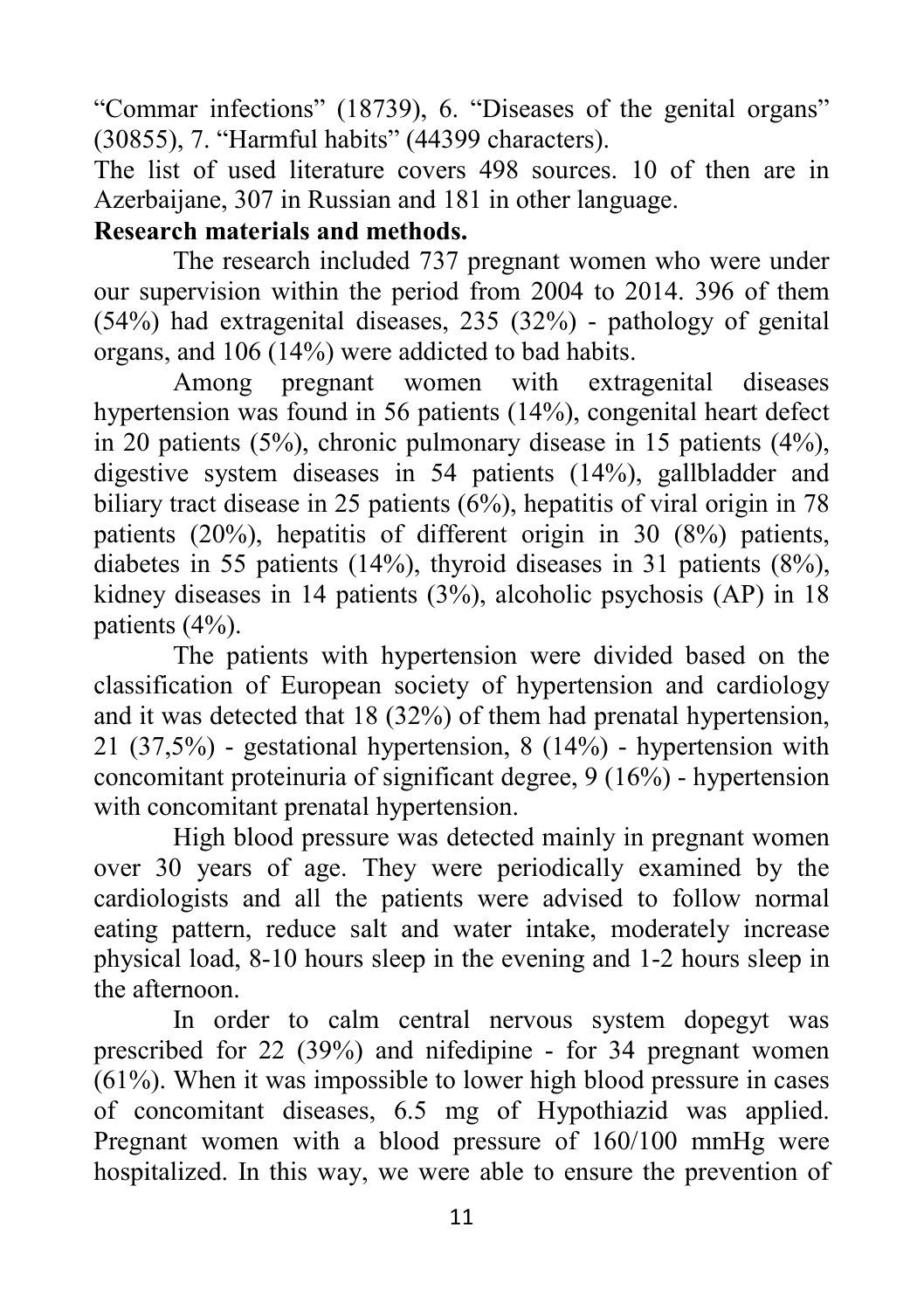"Commar infections" (18739), 6. "Diseases of the genital organs" (30855), 7. "Harmful habits" (44399 characters).

The list of used literature covers 498 sources. 10 of then are in Azerbaijane, 307 in Russian and 181 in other language.

### **Research materials and methods.**

The research included 737 pregnant women who were under our supervision within the period from 2004 to 2014. 396 of them (54%) had extragenital diseases, 235 (32%) - pathology of genital organs, and 106 (14%) were addicted to bad habits.

Among pregnant women with extragenital diseases hypertension was found in 56 patients (14%), congenital heart defect in 20 patients (5%), chronic pulmonary disease in 15 patients (4%), digestive system diseases in 54 patients (14%), gallbladder and biliary tract disease in 25 patients (6%), hepatitis of viral origin in 78 patients (20%), hepatitis of different origin in 30 (8%) patients, diabetes in 55 patients (14%), thyroid diseases in 31 patients (8%), kidney diseases in 14 patients (3%), alcoholic psychosis (AP) in 18 patients (4%).

The patients with hypertension were divided based on the classification of European society of hypertension and cardiology and it was detected that 18 (32%) of them had prenatal hypertension, 21 (37,5%) - gestational hypertension, 8 (14%) - hypertension with concomitant proteinuria of significant degree, 9 (16%) - hypertension with concomitant prenatal hypertension.

High blood pressure was detected mainly in pregnant women over 30 years of age. They were periodically examined by the cardiologists and all the patients were advised to follow normal eating pattern, reduce salt and water intake, moderately increase physical load, 8-10 hours sleep in the evening and 1-2 hours sleep in the afternoon.

In order to calm central nervous system dopegyt was prescribed for 22 (39%) and nifedipine - for 34 pregnant women (61%). When it was impossible to lower high blood pressure in cases of concomitant diseases, 6.5 mg of Hypothiazid was applied. Pregnant women with a blood pressure of 160/100 mmHg were hospitalized. In this way, we were able to ensure the prevention of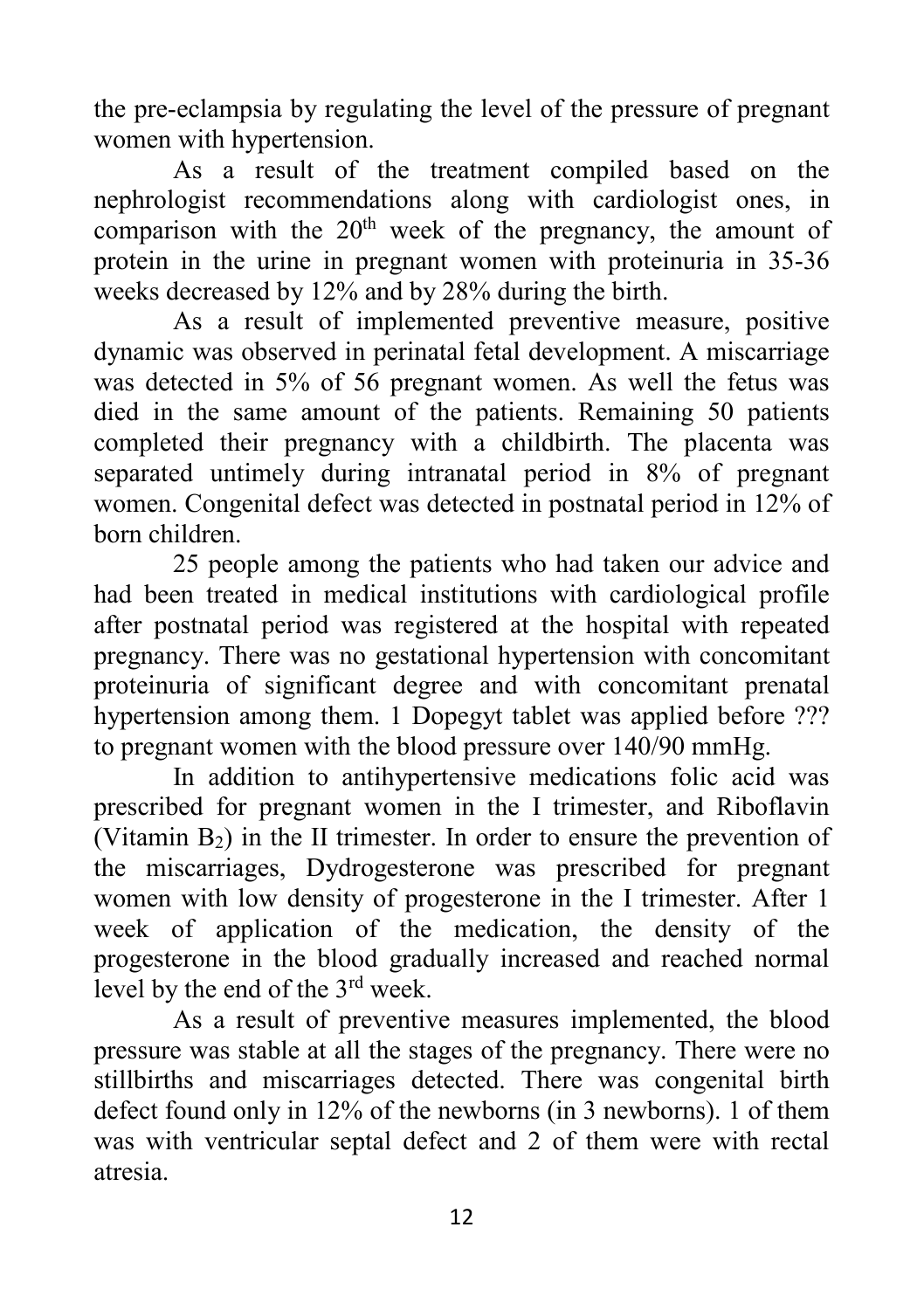the pre-eclampsia by regulating the level of the pressure of pregnant women with hypertension.

As a result of the treatment compiled based on the nephrologist recommendations along with cardiologist ones, in comparison with the  $20<sup>th</sup>$  week of the pregnancy, the amount of protein in the urine in pregnant women with proteinuria in 35-36 weeks decreased by 12% and by 28% during the birth.

As a result of implemented preventive measure, positive dynamic was observed in perinatal fetal development. A miscarriage was detected in 5% of 56 pregnant women. As well the fetus was died in the same amount of the patients. Remaining 50 patients completed their pregnancy with a childbirth. The placenta was separated untimely during intranatal period in 8% of pregnant women. Congenital defect was detected in postnatal period in 12% of born children.

25 people among the patients who had taken our advice and had been treated in medical institutions with cardiological profile after postnatal period was registered at the hospital with repeated pregnancy. There was no gestational hypertension with concomitant proteinuria of significant degree and with concomitant prenatal hypertension among them. 1 Dopegyt tablet was applied before ??? to pregnant women with the blood pressure over 140/90 mmHg.

In addition to antihypertensive medications folic acid was prescribed for pregnant women in the I trimester, and Riboflavin (Vitamin  $B_2$ ) in the II trimester. In order to ensure the prevention of the miscarriages, Dydrogesterone was prescribed for pregnant women with low density of progesterone in the I trimester. After 1 week of application of the medication, the density of the progesterone in the blood gradually increased and reached normal level by the end of the 3rd week.

As a result of preventive measures implemented, the blood pressure was stable at all the stages of the pregnancy. There were no stillbirths and miscarriages detected. There was congenital birth defect found only in 12% of the newborns (in 3 newborns). 1 of them was with ventricular septal defect and 2 of them were with rectal atresia.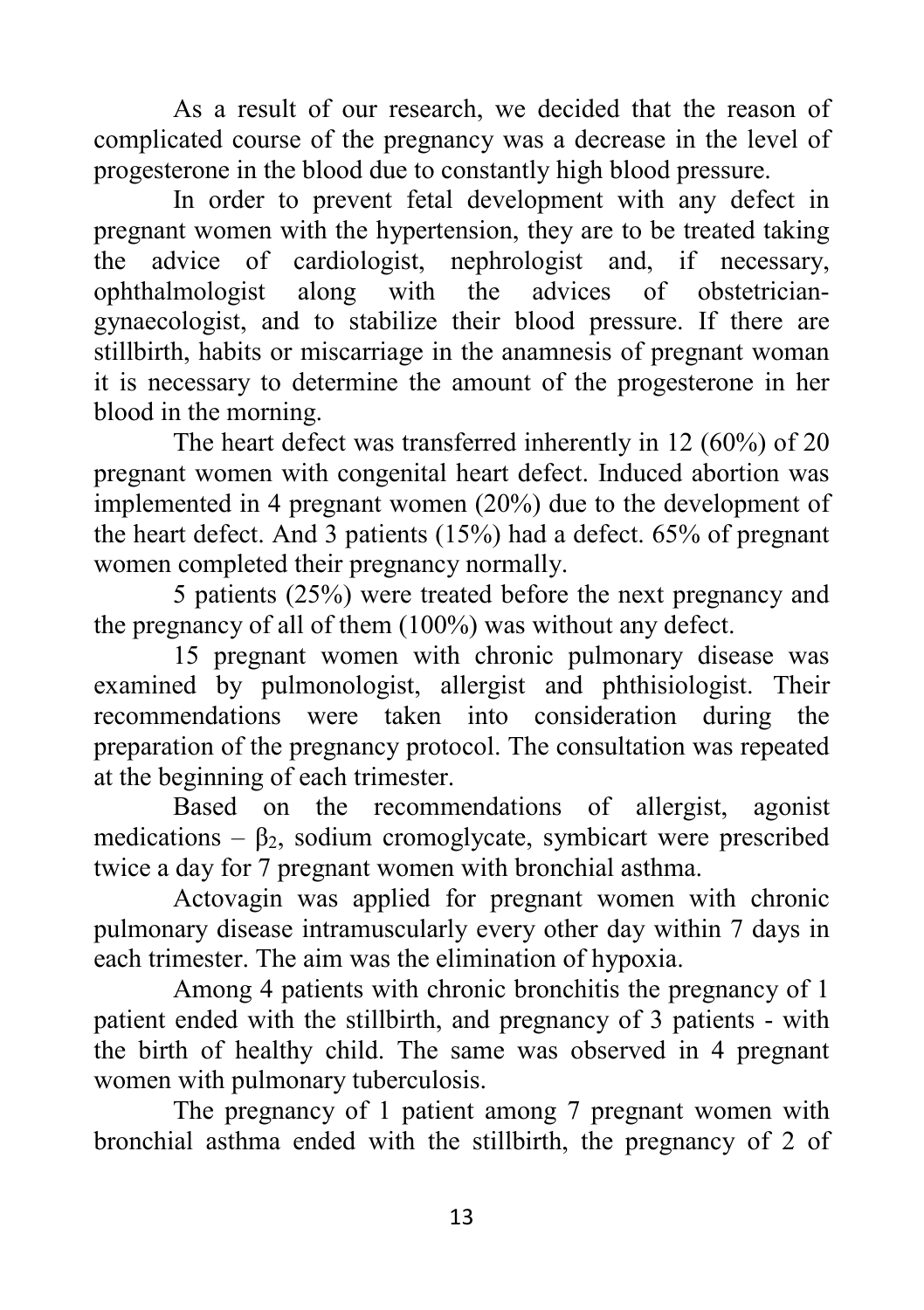As a result of our research, we decided that the reason of complicated course of the pregnancy was a decrease in the level of progesterone in the blood due to constantly high blood pressure.

In order to prevent fetal development with any defect in pregnant women with the hypertension, they are to be treated taking the advice of cardiologist, nephrologist and, if necessary, ophthalmologist along with the advices of obstetriciangynaecologist, and to stabilize their blood pressure. If there are stillbirth, habits or miscarriage in the anamnesis of pregnant woman it is necessary to determine the amount of the progesterone in her blood in the morning.

The heart defect was transferred inherently in 12 (60%) of 20 pregnant women with congenital heart defect. Induced abortion was implemented in 4 pregnant women (20%) due to the development of the heart defect. And 3 patients (15%) had a defect. 65% of pregnant women completed their pregnancy normally.

5 patients (25%) were treated before the next pregnancy and the pregnancy of all of them (100%) was without any defect.

15 pregnant women with chronic pulmonary disease was examined by pulmonologist, allergist and phthisiologist. Their recommendations were taken into consideration during the preparation of the pregnancy protocol. The consultation was repeated at the beginning of each trimester.

Based on the recommendations of allergist, agonist medications –  $\beta_2$ , sodium cromoglycate, symbicart were prescribed twice a day for 7 pregnant women with bronchial asthma.

Actovagin was applied for pregnant women with chronic pulmonary disease intramuscularly every other day within 7 days in each trimester. The aim was the elimination of hypoxia.

Among 4 patients with chronic bronchitis the pregnancy of 1 patient ended with the stillbirth, and pregnancy of 3 patients - with the birth of healthy child. The same was observed in 4 pregnant women with pulmonary tuberculosis.

The pregnancy of 1 patient among 7 pregnant women with bronchial asthma ended with the stillbirth, the pregnancy of 2 of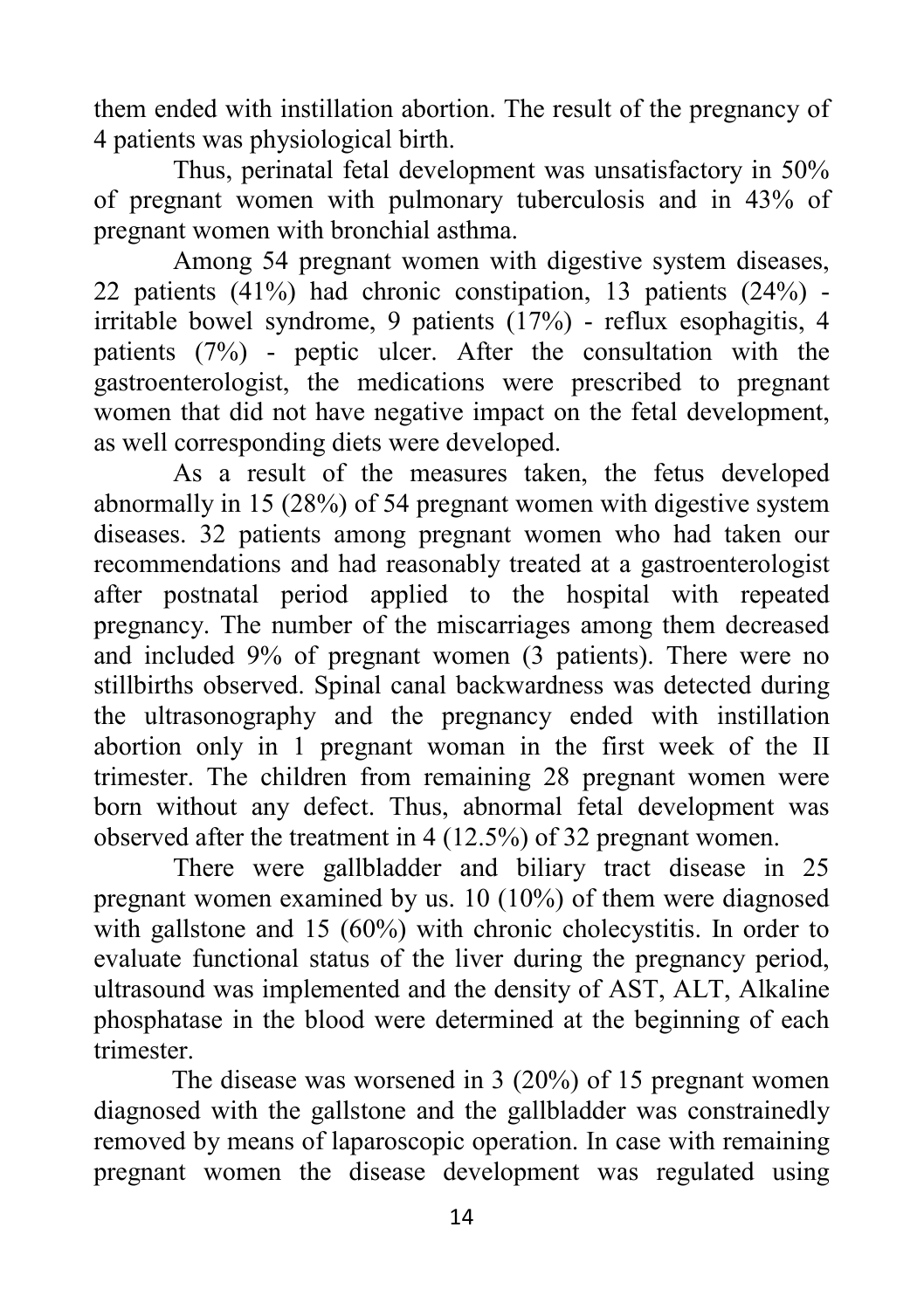them ended with instillation abortion. The result of the pregnancy of 4 patients was physiological birth.

Thus, perinatal fetal development was unsatisfactory in 50% of pregnant women with pulmonary tuberculosis and in 43% of pregnant women with bronchial asthma.

Among 54 pregnant women with digestive system diseases, 22 patients (41%) had chronic constipation, 13 patients (24%) irritable bowel syndrome, 9 patients (17%) - reflux esophagitis, 4 patients (7%) - peptic ulcer. After the consultation with the gastroenterologist, the medications were prescribed to pregnant women that did not have negative impact on the fetal development, as well corresponding diets were developed.

As a result of the measures taken, the fetus developed abnormally in 15 (28%) of 54 pregnant women with digestive system diseases. 32 patients among pregnant women who had taken our recommendations and had reasonably treated at a gastroenterologist after postnatal period applied to the hospital with repeated pregnancy. The number of the miscarriages among them decreased and included 9% of pregnant women (3 patients). There were no stillbirths observed. Spinal canal backwardness was detected during the ultrasonography and the pregnancy ended with instillation abortion only in 1 pregnant woman in the first week of the II trimester. The children from remaining 28 pregnant women were born without any defect. Thus, abnormal fetal development was observed after the treatment in 4 (12.5%) of 32 pregnant women.

There were gallbladder and biliary tract disease in 25 pregnant women examined by us. 10 (10%) of them were diagnosed with gallstone and 15 (60%) with chronic cholecystitis. In order to evaluate functional status of the liver during the pregnancy period, ultrasound was implemented and the density of AST, ALT, Alkaline phosphatase in the blood were determined at the beginning of each trimester.

The disease was worsened in 3 (20%) of 15 pregnant women diagnosed with the gallstone and the gallbladder was constrainedly removed by means of laparoscopic operation. In case with remaining pregnant women the disease development was regulated using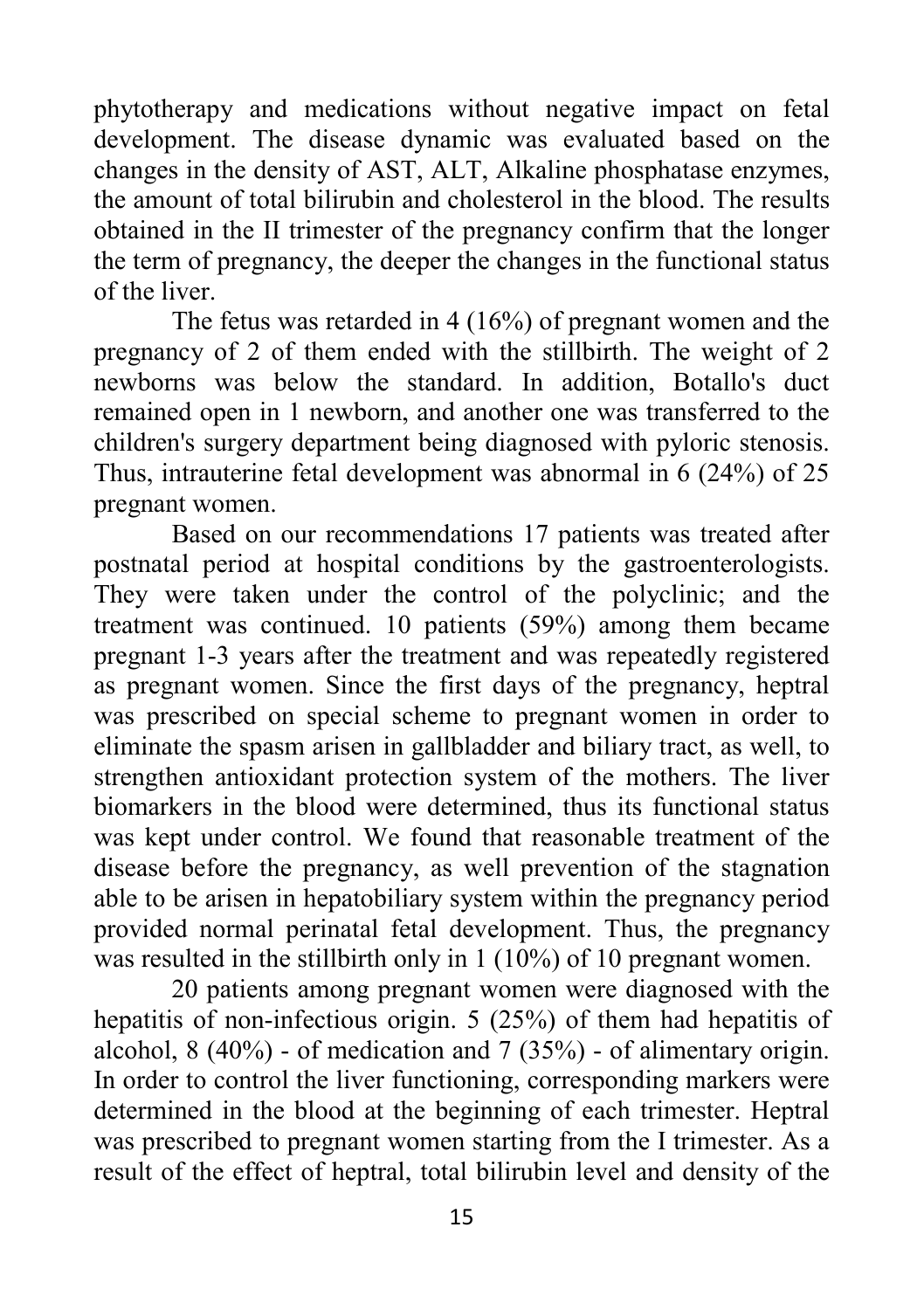phytotherapy and medications without negative impact on fetal development. The disease dynamic was evaluated based on the changes in the density of AST, ALT, Alkaline phosphatase enzymes, the amount of total bilirubin and cholesterol in the blood. The results obtained in the II trimester of the pregnancy confirm that the longer the term of pregnancy, the deeper the changes in the functional status of the liver.

The fetus was retarded in 4 (16%) of pregnant women and the pregnancy of 2 of them ended with the stillbirth. The weight of 2 newborns was below the standard. In addition, Botallo's duct remained open in 1 newborn, and another one was transferred to the children's surgery department being diagnosed with pyloric stenosis. Thus, intrauterine fetal development was abnormal in 6 (24%) of 25 pregnant women.

Based on our recommendations 17 patients was treated after postnatal period at hospital conditions by the gastroenterologists. They were taken under the control of the polyclinic; and the treatment was continued. 10 patients (59%) among them became pregnant 1-3 years after the treatment and was repeatedly registered as pregnant women. Since the first days of the pregnancy, heptral was prescribed on special scheme to pregnant women in order to eliminate the spasm arisen in gallbladder and biliary tract, as well, to strengthen antioxidant protection system of the mothers. The liver biomarkers in the blood were determined, thus its functional status was kept under control. We found that reasonable treatment of the disease before the pregnancy, as well prevention of the stagnation able to be arisen in hepatobiliary system within the pregnancy period provided normal perinatal fetal development. Thus, the pregnancy was resulted in the stillbirth only in 1 (10%) of 10 pregnant women.

20 patients among pregnant women were diagnosed with the hepatitis of non-infectious origin. 5 (25%) of them had hepatitis of alcohol, 8 (40%) - of medication and 7 (35%) - of alimentary origin. In order to control the liver functioning, corresponding markers were determined in the blood at the beginning of each trimester. Heptral was prescribed to pregnant women starting from the I trimester. As a result of the effect of heptral, total bilirubin level and density of the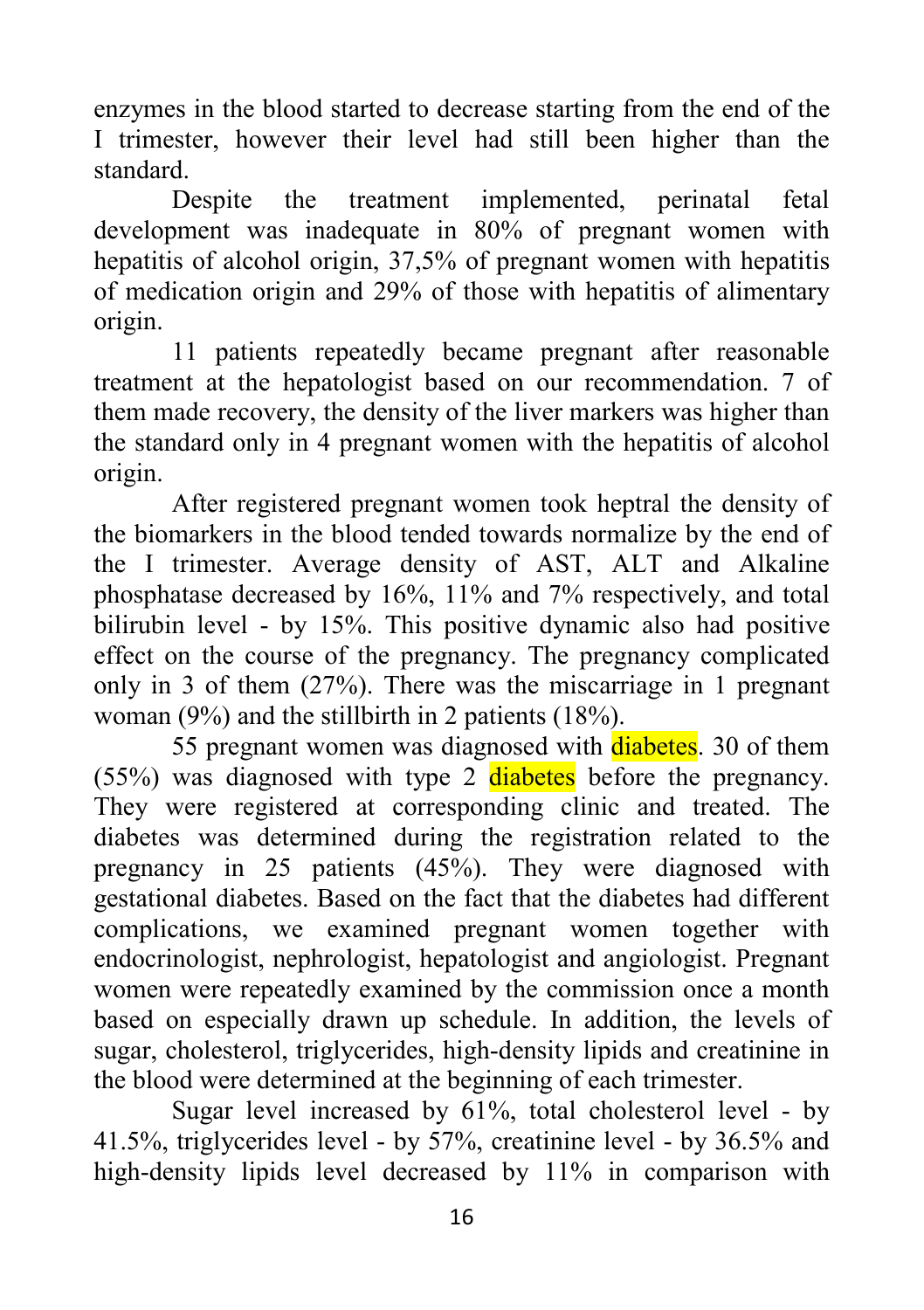enzymes in the blood started to decrease starting from the end of the I trimester, however their level had still been higher than the

standard.<br>Despite the treatment implemented, perinatal fetal development was inadequate in 80% of pregnant women with hepatitis of alcohol origin, 37,5% of pregnant women with hepatitis of medication origin and 29% of those with hepatitis of alimentary origin.

11 patients repeatedly became pregnant after reasonable treatment at the hepatologist based on our recommendation. 7 of them made recovery, the density of the liver markers was higher than the standard only in 4 pregnant women with the hepatitis of alcohol origin.

After registered pregnant women took heptral the density of the biomarkers in the blood tended towards normalize by the end of the I trimester. Average density of AST, ALT and Alkaline phosphatase decreased by 16%, 11% and 7% respectively, and total bilirubin level - by 15%. This positive dynamic also had positive effect on the course of the pregnancy. The pregnancy complicated only in 3 of them (27%). There was the miscarriage in 1 pregnant woman (9%) and the stillbirth in 2 patients (18%).

55 pregnant women was diagnosed with diabetes. 30 of them  $(55%)$  was diagnosed with type 2 diabetes before the pregnancy. They were registered at corresponding clinic and treated. The diabetes was determined during the registration related to the pregnancy in 25 patients (45%). They were diagnosed with gestational diabetes. Based on the fact that the diabetes had different complications, we examined pregnant women together with endocrinologist, nephrologist, hepatologist and angiologist. Pregnant women were repeatedly examined by the commission once a month based on especially drawn up schedule. In addition, the levels of sugar, cholesterol, triglycerides, high-density lipids and creatinine in the blood were determined at the beginning of each trimester.

Sugar level increased by 61%, total cholesterol level - by 41.5%, triglycerides level - by 57%, creatinine level - by 36.5% and high-density lipids level decreased by 11% in comparison with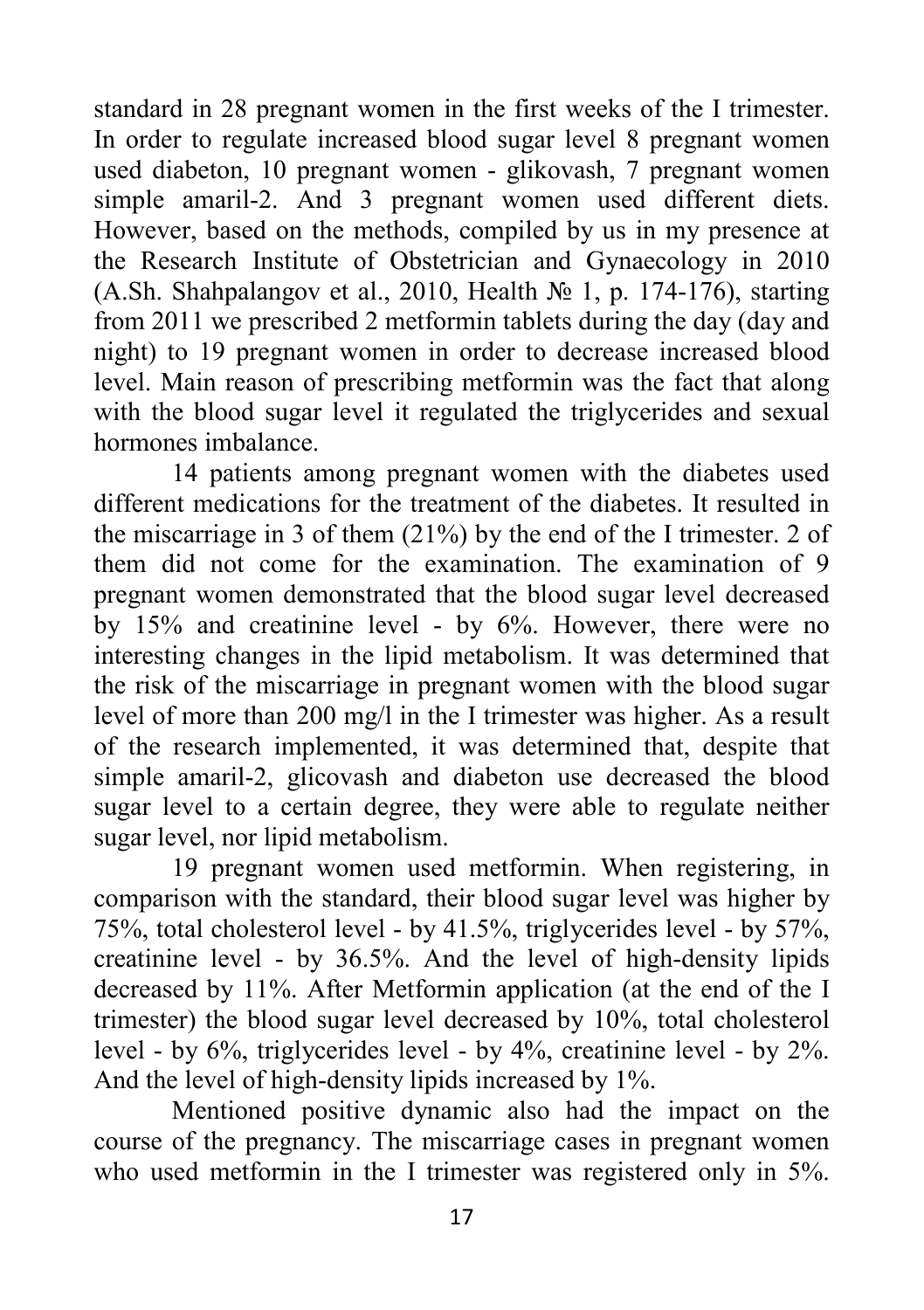standard in 28 pregnant women in the first weeks of the I trimester. In order to regulate increased blood sugar level 8 pregnant women used diabeton, 10 pregnant women - glikovash, 7 pregnant women simple amaril-2. And 3 pregnant women used different diets. However, based on the methods, compiled by us in my presence at the Research Institute of Obstetrician and Gynaecology in 2010 (A.Sh. Shahpalangov et al., 2010, Health № 1, p. 174-176), starting from 2011 we prescribed 2 metformin tablets during the day (day and night) to 19 pregnant women in order to decrease increased blood level. Main reason of prescribing metformin was the fact that along with the blood sugar level it regulated the triglycerides and sexual hormones imbalance.

14 patients among pregnant women with the diabetes used different medications for the treatment of the diabetes. It resulted in the miscarriage in 3 of them (21%) by the end of the I trimester. 2 of them did not come for the examination. The examination of 9 pregnant women demonstrated that the blood sugar level decreased by 15% and creatinine level - by 6%. However, there were no interesting changes in the lipid metabolism. It was determined that the risk of the miscarriage in pregnant women with the blood sugar level of more than 200 mg/l in the I trimester was higher. As a result of the research implemented, it was determined that, despite that simple amaril-2, glicovash and diabeton use decreased the blood sugar level to a certain degree, they were able to regulate neither sugar level, nor lipid metabolism.

19 pregnant women used metformin. When registering, in comparison with the standard, their blood sugar level was higher by 75%, total cholesterol level - by 41.5%, triglycerides level - by 57%, creatinine level - by 36.5%. And the level of high-density lipids decreased by 11%. After Metformin application (at the end of the I trimester) the blood sugar level decreased by 10%, total cholesterol level - by 6%, triglycerides level - by 4%, creatinine level - by 2%. And the level of high-density lipids increased by 1%.

Mentioned positive dynamic also had the impact on the course of the pregnancy. The miscarriage cases in pregnant women who used metformin in the I trimester was registered only in 5%.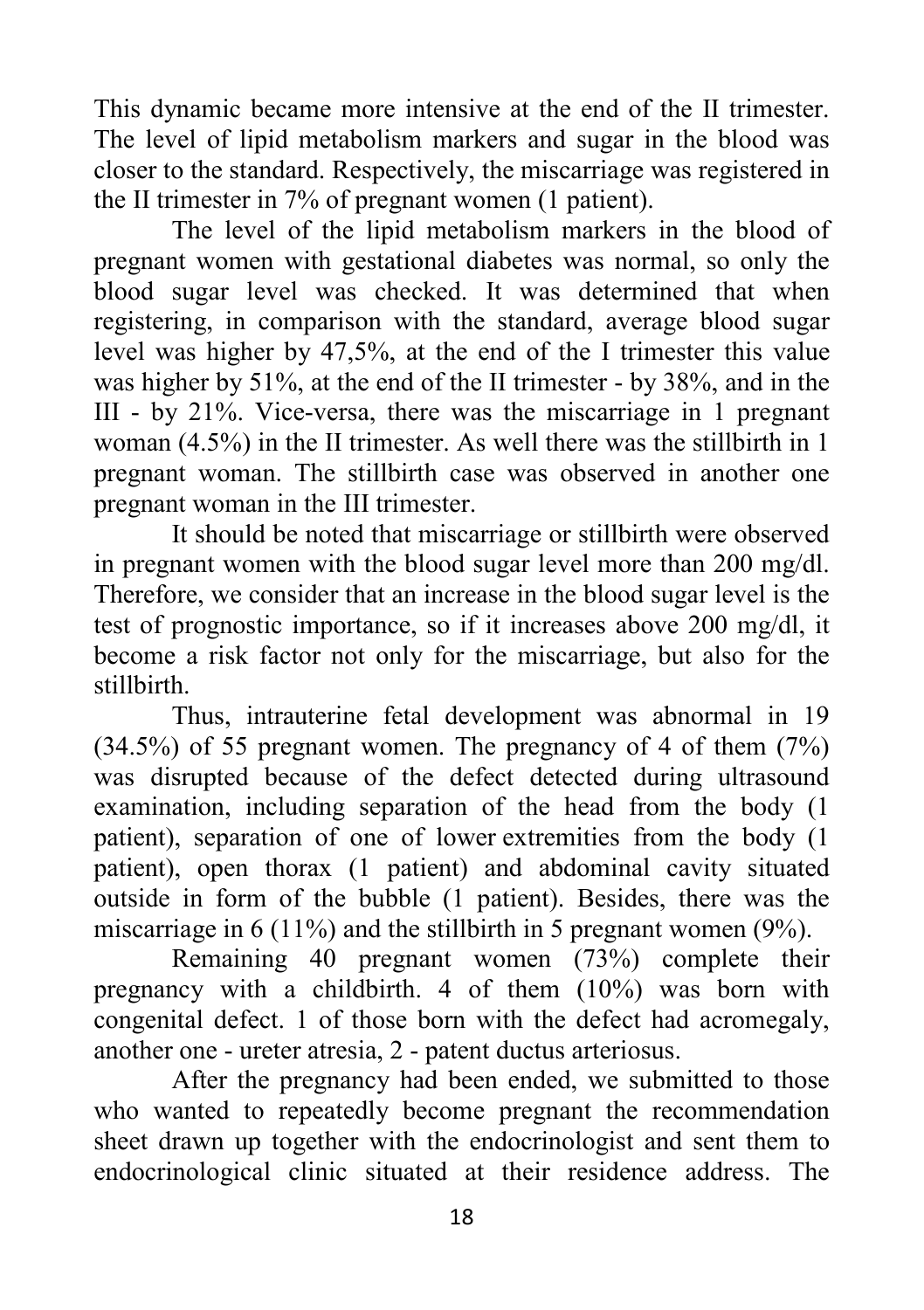This dynamic became more intensive at the end of the II trimester. The level of lipid metabolism markers and sugar in the blood was closer to the standard. Respectively, the miscarriage was registered in the II trimester in 7% of pregnant women (1 patient).

The level of the lipid metabolism markers in the blood of pregnant women with gestational diabetes was normal, so only the blood sugar level was checked. It was determined that when registering, in comparison with the standard, average blood sugar level was higher by 47,5%, at the end of the I trimester this value was higher by 51%, at the end of the II trimester - by 38%, and in the III - by 21%. Vice-versa, there was the miscarriage in 1 pregnant woman (4.5%) in the II trimester. As well there was the stillbirth in 1 pregnant woman. The stillbirth case was observed in another one pregnant woman in the III trimester.

It should be noted that miscarriage or stillbirth were observed in pregnant women with the blood sugar level more than 200 mg/dl. Therefore, we consider that an increase in the blood sugar level is the test of prognostic importance, so if it increases above 200 mg/dl, it become a risk factor not only for the miscarriage, but also for the stillbirth.

Thus, intrauterine fetal development was abnormal in 19 (34.5%) of 55 pregnant women. The pregnancy of 4 of them (7%) was disrupted because of the defect detected during ultrasound examination, including separation of the head from the body (1 patient), separation of one of lower extremities from the body (1 patient), open thorax (1 patient) and abdominal cavity situated outside in form of the bubble (1 patient). Besides, there was the miscarriage in 6 (11%) and the stillbirth in 5 pregnant women (9%).

Remaining 40 pregnant women (73%) complete their pregnancy with a childbirth. 4 of them (10%) was born with congenital defect. 1 of those born with the defect had acromegaly, another one - ureter atresia, 2 - patent ductus arteriosus.

After the pregnancy had been ended, we submitted to those who wanted to repeatedly become pregnant the recommendation sheet drawn up together with the endocrinologist and sent them to endocrinological clinic situated at their residence address. The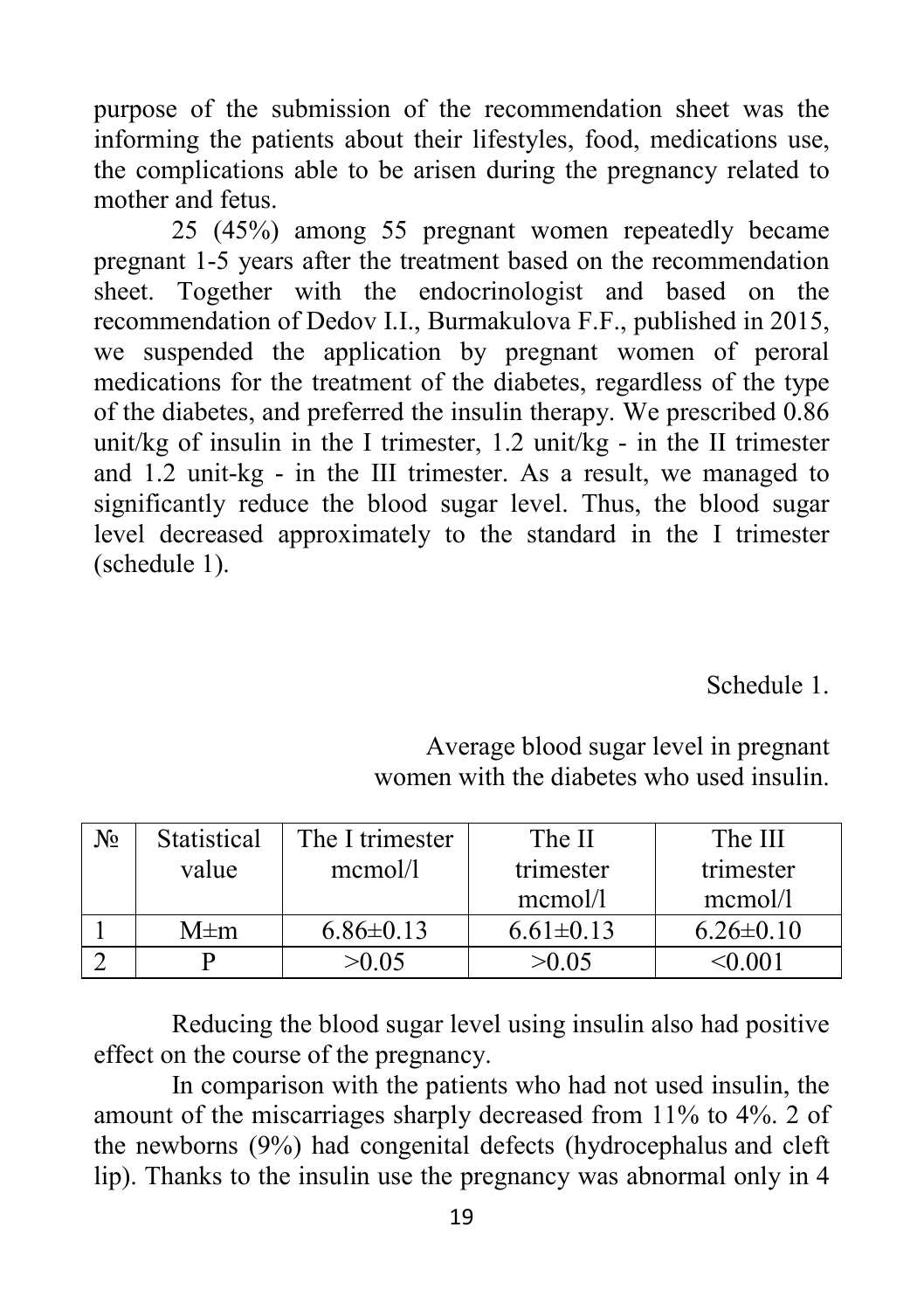purpose of the submission of the recommendation sheet was the informing the patients about their lifestyles, food, medications use, the complications able to be arisen during the pregnancy related to mother and fetus.

25 (45%) among 55 pregnant women repeatedly became pregnant 1-5 years after the treatment based on the recommendation sheet. Together with the endocrinologist and based on the recommendation of Dedov I.I., Burmakulova F.F., published in 2015, we suspended the application by pregnant women of peroral medications for the treatment of the diabetes, regardless of the type of the diabetes, and preferred the insulin therapy. We prescribed 0.86 unit/kg of insulin in the I trimester,  $1.2 \text{ unit/kg}$  - in the II trimester and 1.2 unit-kg - in the III trimester. As a result, we managed to significantly reduce the blood sugar level. Thus, the blood sugar level decreased approximately to the standard in the I trimester (schedule 1).

#### Schedule 1.

| No | Statistical | The I trimester | The II          | The III         |
|----|-------------|-----------------|-----------------|-----------------|
|    | value       | mcmol/1         | trimester       | trimester       |
|    |             |                 | mcmol/l         | $m$ cmol/1      |
|    | $M \pm m$   | $6.86 \pm 0.13$ | $6.61 \pm 0.13$ | $6.26 \pm 0.10$ |
|    |             | >0.05           | >0.05           |                 |

Average blood sugar level in pregnant women with the diabetes who used insulin.

Reducing the blood sugar level using insulin also had positive effect on the course of the pregnancy.

In comparison with the patients who had not used insulin, the amount of the miscarriages sharply decreased from 11% to 4%. 2 of the newborns (9%) had congenital defects (hydrocephalus and cleft lip). Thanks to the insulin use the pregnancy was abnormal only in 4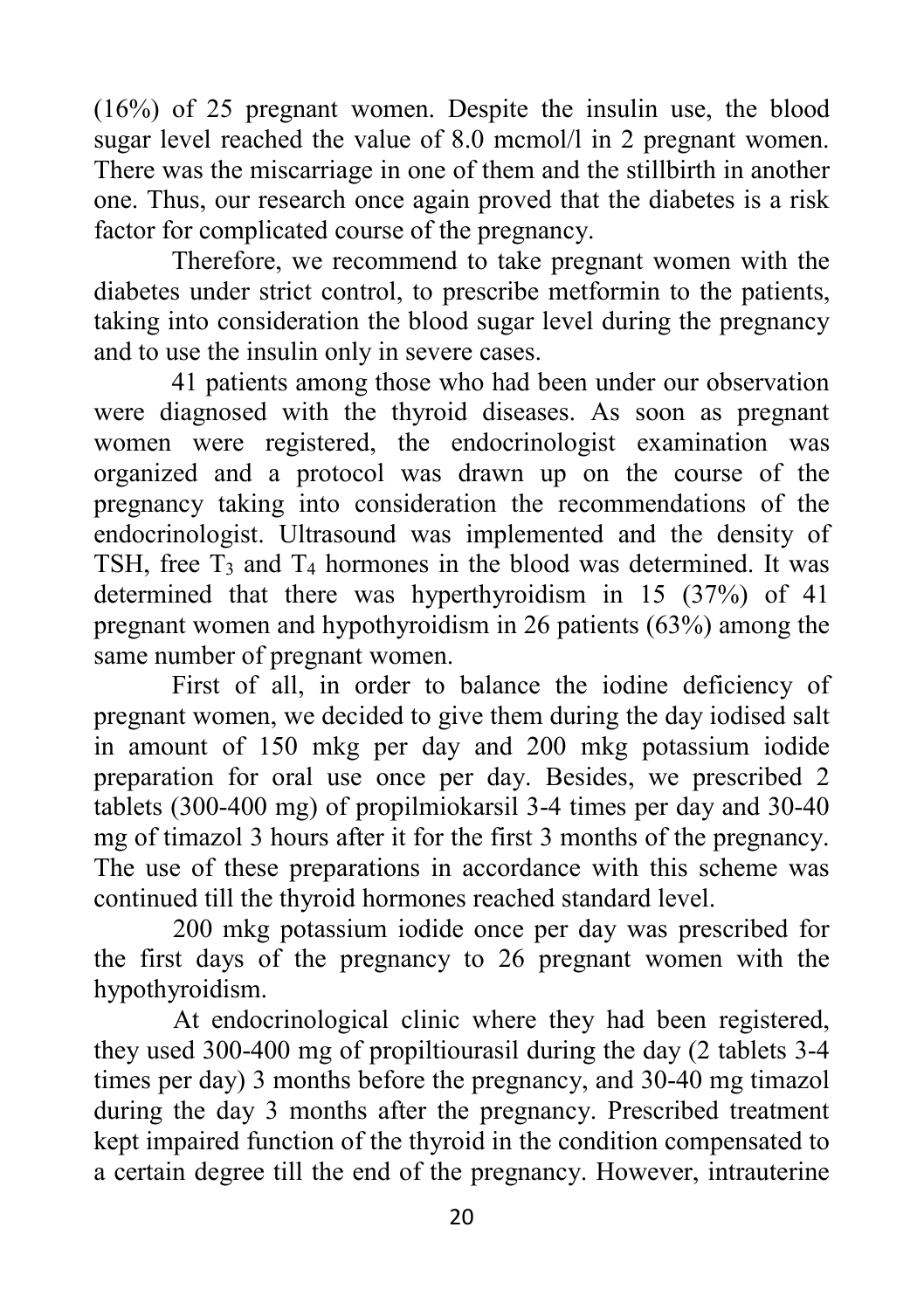(16%) of 25 pregnant women. Despite the insulin use, the blood sugar level reached the value of 8.0 mcmol/l in 2 pregnant women. There was the miscarriage in one of them and the stillbirth in another one. Thus, our research once again proved that the diabetes is a risk factor for complicated course of the pregnancy.

Therefore, we recommend to take pregnant women with the diabetes under strict control, to prescribe metformin to the patients, taking into consideration the blood sugar level during the pregnancy and to use the insulin only in severe cases.

41 patients among those who had been under our observation were diagnosed with the thyroid diseases. As soon as pregnant women were registered, the endocrinologist examination was organized and a protocol was drawn up on the course of the pregnancy taking into consideration the recommendations of the endocrinologist. Ultrasound was implemented and the density of TSH, free  $T_3$  and  $T_4$  hormones in the blood was determined. It was determined that there was hyperthyroidism in 15 (37%) of 41 pregnant women and hypothyroidism in 26 patients (63%) among the same number of pregnant women.

First of all, in order to balance the iodine deficiency of pregnant women, we decided to give them during the day iodised salt in amount of 150 mkg per day and 200 mkg potassium iodide preparation for oral use once per day. Besides, we prescribed 2 tablets (300-400 mg) of propilmiokarsil 3-4 times per day and 30-40 mg of timazol 3 hours after it for the first 3 months of the pregnancy. The use of these preparations in accordance with this scheme was continued till the thyroid hormones reached standard level.

200 mkg potassium iodide once per day was prescribed for the first days of the pregnancy to 26 pregnant women with the hypothyroidism.

At endocrinological clinic where they had been registered, they used 300-400 mg of propiltiourasil during the day (2 tablets 3-4 times per day) 3 months before the pregnancy, and 30-40 mg timazol during the day 3 months after the pregnancy. Prescribed treatment kept impaired function of the thyroid in the condition compensated to a certain degree till the end of the pregnancy. However, intrauterine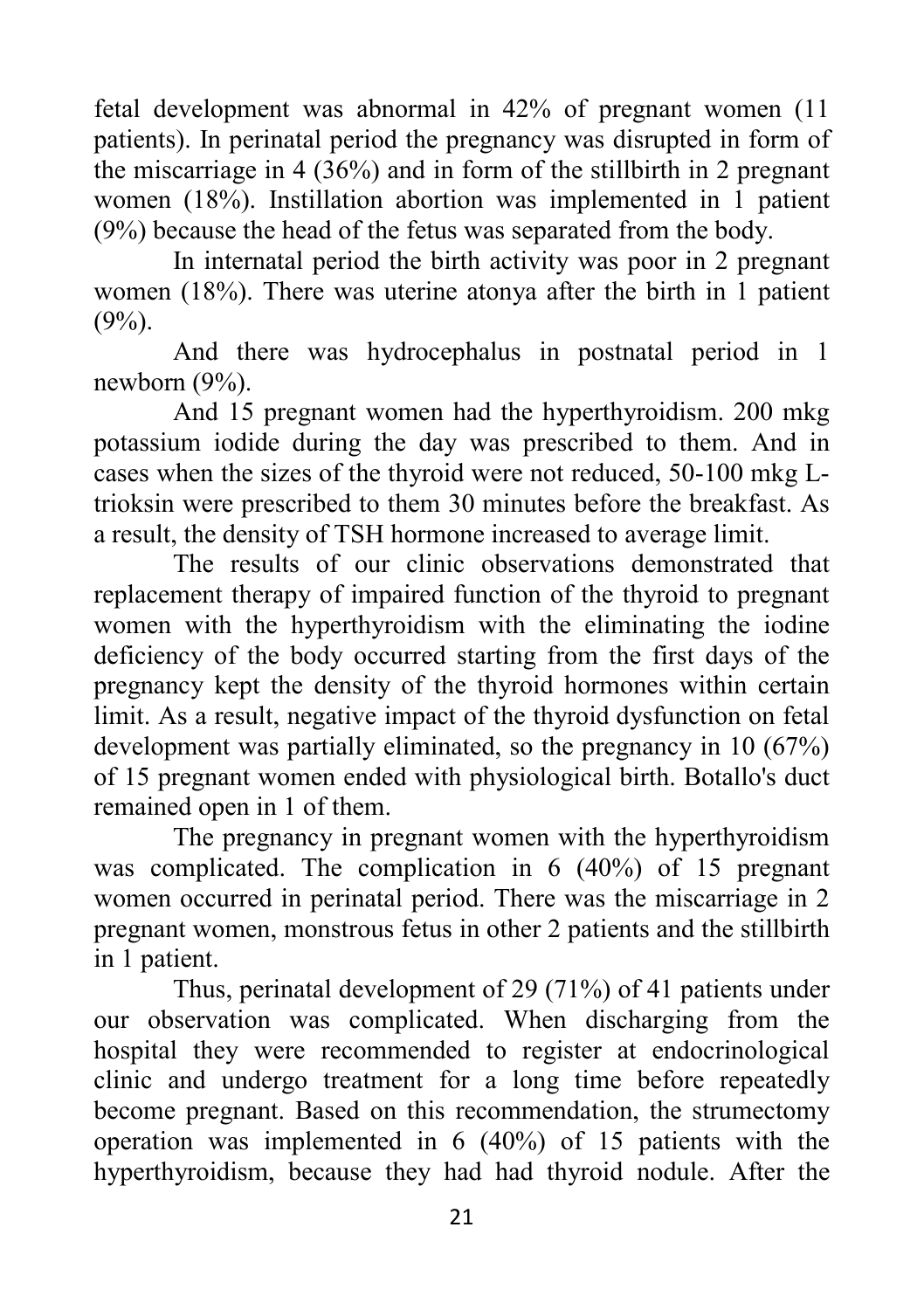fetal development was abnormal in 42% of pregnant women (11 patients). In perinatal period the pregnancy was disrupted in form of the miscarriage in 4 (36%) and in form of the stillbirth in 2 pregnant women (18%). Instillation abortion was implemented in 1 patient (9%) because the head of the fetus was separated from the body.

In internatal period the birth activity was poor in 2 pregnant women (18%). There was uterine atonya after the birth in 1 patient  $(9\%)$ .

And there was hydrocephalus in postnatal period in 1 newborn (9%).

And 15 pregnant women had the hyperthyroidism. 200 mkg potassium iodide during the day was prescribed to them. And in cases when the sizes of the thyroid were not reduced, 50-100 mkg Ltrioksin were prescribed to them 30 minutes before the breakfast. As a result, the density of TSH hormone increased to average limit.

The results of our clinic observations demonstrated that replacement therapy of impaired function of the thyroid to pregnant women with the hyperthyroidism with the eliminating the iodine deficiency of the body occurred starting from the first days of the pregnancy kept the density of the thyroid hormones within certain limit. As a result, negative impact of the thyroid dysfunction on fetal development was partially eliminated, so the pregnancy in 10 (67%) of 15 pregnant women ended with physiological birth. Botallo's duct remained open in 1 of them.

The pregnancy in pregnant women with the hyperthyroidism was complicated. The complication in 6 (40%) of 15 pregnant women occurred in perinatal period. There was the miscarriage in 2 pregnant women, monstrous fetus in other 2 patients and the stillbirth in 1 patient.

Thus, perinatal development of 29 (71%) of 41 patients under our observation was complicated. When discharging from the hospital they were recommended to register at endocrinological clinic and undergo treatment for a long time before repeatedly become pregnant. Based on this recommendation, the strumectomy operation was implemented in 6 (40%) of 15 patients with the hyperthyroidism, because they had had thyroid nodule. After the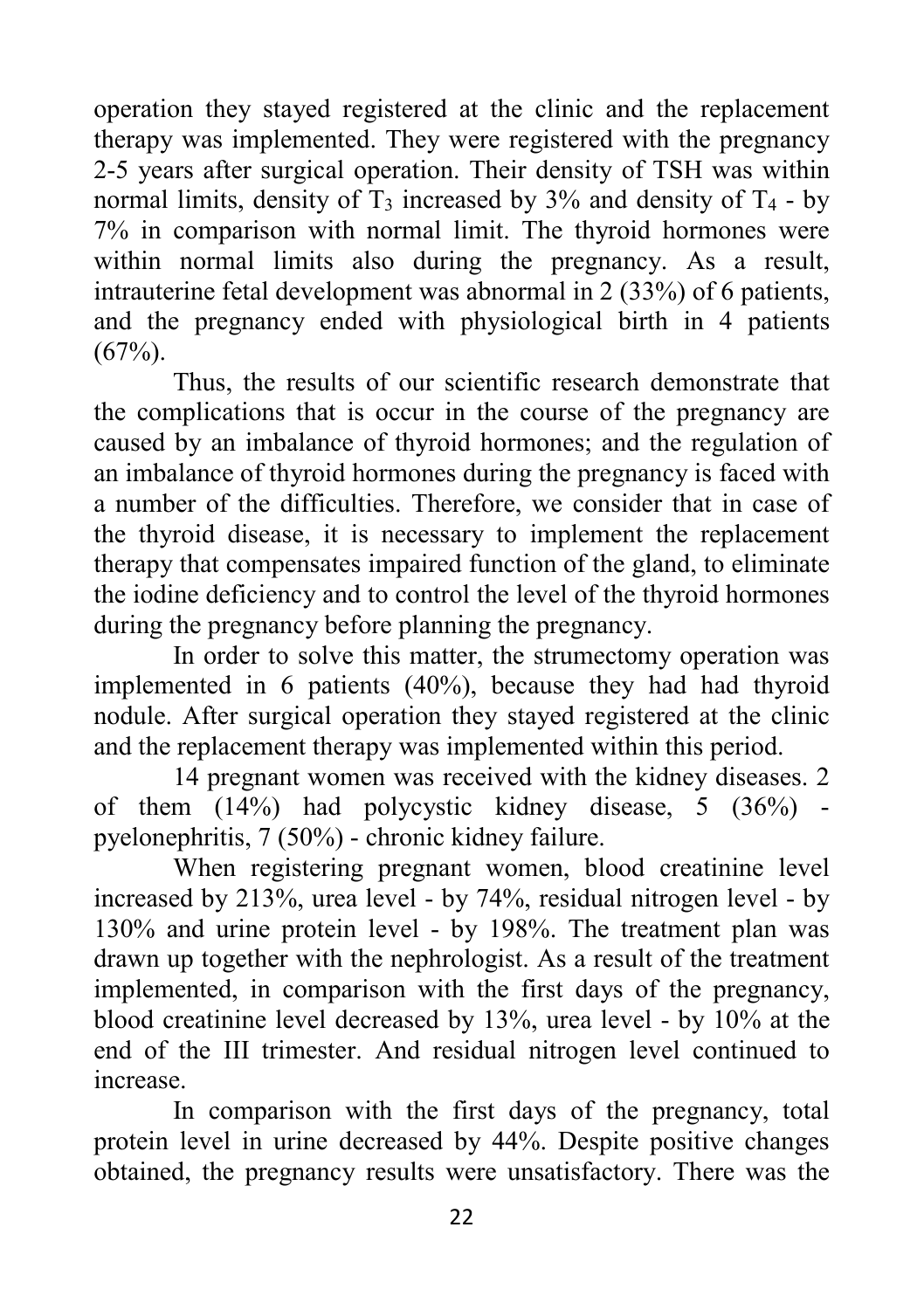operation they stayed registered at the clinic and the replacement therapy was implemented. They were registered with the pregnancy 2-5 years after surgical operation. Their density of TSH was within normal limits, density of  $T_3$  increased by 3% and density of  $T_4$  - by 7% in comparison with normal limit. The thyroid hormones were within normal limits also during the pregnancy. As a result, intrauterine fetal development was abnormal in 2 (33%) of 6 patients, and the pregnancy ended with physiological birth in 4 patients  $(67\%)$ .

Thus, the results of our scientific research demonstrate that the complications that is occur in the course of the pregnancy are caused by an imbalance of thyroid hormones; and the regulation of an imbalance of thyroid hormones during the pregnancy is faced with a number of the difficulties. Therefore, we consider that in case of the thyroid disease, it is necessary to implement the replacement therapy that compensates impaired function of the gland, to eliminate the iodine deficiency and to control the level of the thyroid hormones during the pregnancy before planning the pregnancy.

In order to solve this matter, the strumectomy operation was implemented in 6 patients (40%), because they had had thyroid nodule. After surgical operation they stayed registered at the clinic and the replacement therapy was implemented within this period.

14 pregnant women was received with the kidney diseases. 2 of them (14%) had polycystic kidney disease, 5 (36%) pyelonephritis, 7 (50%) - chronic kidney failure.

When registering pregnant women, blood creatinine level increased by 213%, urea level - by 74%, residual nitrogen level - by 130% and urine protein level - by 198%. The treatment plan was drawn up together with the nephrologist. As a result of the treatment implemented, in comparison with the first days of the pregnancy, blood creatinine level decreased by 13%, urea level - by 10% at the end of the III trimester. And residual nitrogen level continued to increase.

In comparison with the first days of the pregnancy, total protein level in urine decreased by 44%. Despite positive changes obtained, the pregnancy results were unsatisfactory. There was the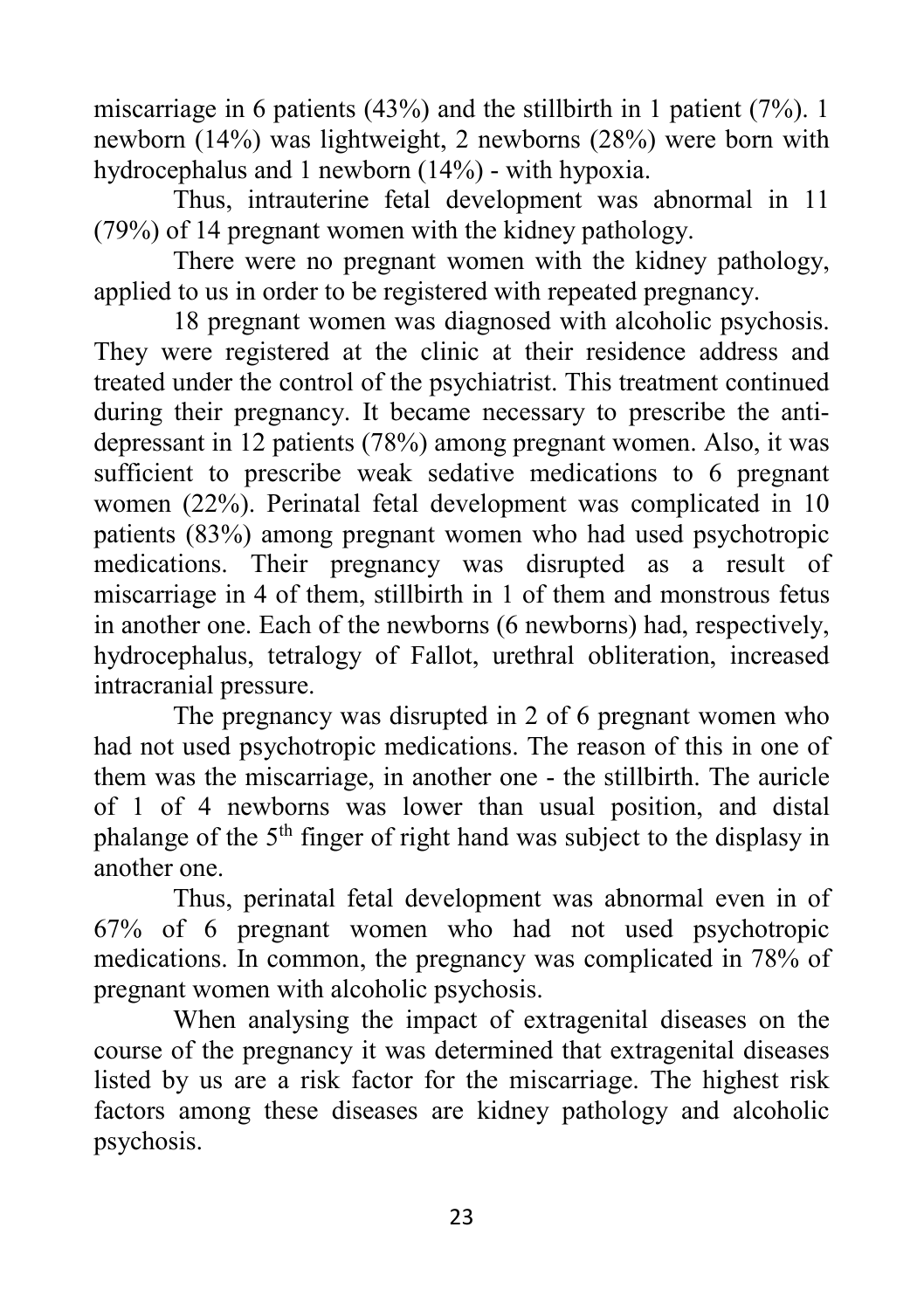miscarriage in 6 patients (43%) and the stillbirth in 1 patient (7%). 1 newborn (14%) was lightweight, 2 newborns (28%) were born with hydrocephalus and 1 newborn (14%) - with hypoxia.

Thus, intrauterine fetal development was abnormal in 11 (79%) of 14 pregnant women with the kidney pathology.

There were no pregnant women with the kidney pathology, applied to us in order to be registered with repeated pregnancy.

18 pregnant women was diagnosed with alcoholic psychosis. They were registered at the clinic at their residence address and treated under the control of the psychiatrist. This treatment continued during their pregnancy. It became necessary to prescribe the antidepressant in 12 patients (78%) among pregnant women. Also, it was sufficient to prescribe weak sedative medications to 6 pregnant women (22%). Perinatal fetal development was complicated in 10 patients (83%) among pregnant women who had used psychotropic medications. Their pregnancy was disrupted as a result of miscarriage in 4 of them, stillbirth in 1 of them and monstrous fetus in another one. Each of the newborns (6 newborns) had, respectively, hydrocephalus, tetralogy of Fallot, urethral obliteration, increased intracranial pressure.

The pregnancy was disrupted in 2 of 6 pregnant women who had not used psychotropic medications. The reason of this in one of them was the miscarriage, in another one - the stillbirth. The auricle of 1 of 4 newborns was lower than usual position, and distal phalange of the  $5<sup>th</sup>$  finger of right hand was subject to the displasy in another one.

Thus, perinatal fetal development was abnormal even in of 67% of 6 pregnant women who had not used psychotropic medications. In common, the pregnancy was complicated in 78% of pregnant women with alcoholic psychosis.

When analysing the impact of extragenital diseases on the course of the pregnancy it was determined that extragenital diseases listed by us are a risk factor for the miscarriage. The highest risk factors among these diseases are kidney pathology and alcoholic psychosis.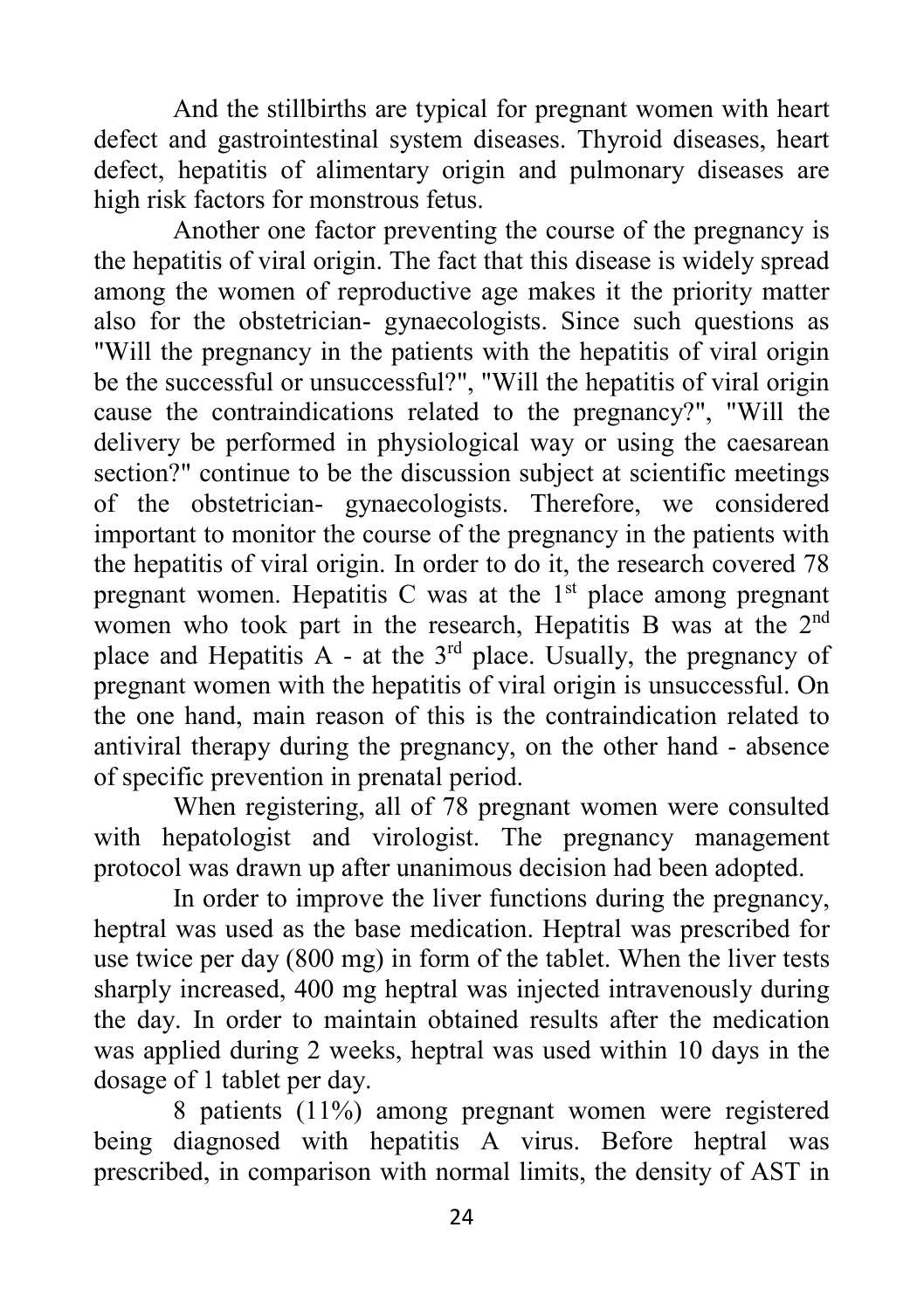And the stillbirths are typical for pregnant women with heart defect and gastrointestinal system diseases. Thyroid diseases, heart defect, hepatitis of alimentary origin and pulmonary diseases are high risk factors for monstrous fetus.

Another one factor preventing the course of the pregnancy is the hepatitis of viral origin. The fact that this disease is widely spread among the women of reproductive age makes it the priority matter also for the obstetrician- gynaecologists. Since such questions as "Will the pregnancy in the patients with the hepatitis of viral origin be the successful or unsuccessful?", "Will the hepatitis of viral origin cause the contraindications related to the pregnancy?", "Will the delivery be performed in physiological way or using the caesarean section?" continue to be the discussion subject at scientific meetings of the obstetrician- gynaecologists. Therefore, we considered important to monitor the course of the pregnancy in the patients with the hepatitis of viral origin. In order to do it, the research covered 78 pregnant women. Hepatitis C was at the 1<sup>st</sup> place among pregnant women who took part in the research, Hepatitis B was at the 2<sup>nd</sup> place and Hepatitis A - at the  $3<sup>rd</sup>$  place. Usually, the pregnancy of pregnant women with the hepatitis of viral origin is unsuccessful. On the one hand, main reason of this is the contraindication related to antiviral therapy during the pregnancy, on the other hand - absence of specific prevention in prenatal period.

When registering, all of 78 pregnant women were consulted with hepatologist and virologist. The pregnancy management protocol was drawn up after unanimous decision had been adopted.

In order to improve the liver functions during the pregnancy, heptral was used as the base medication. Heptral was prescribed for use twice per day (800 mg) in form of the tablet. When the liver tests sharply increased, 400 mg heptral was injected intravenously during the day. In order to maintain obtained results after the medication was applied during 2 weeks, heptral was used within 10 days in the dosage of 1 tablet per day.

8 patients (11%) among pregnant women were registered being diagnosed with hepatitis A virus. Before heptral was prescribed, in comparison with normal limits, the density of AST in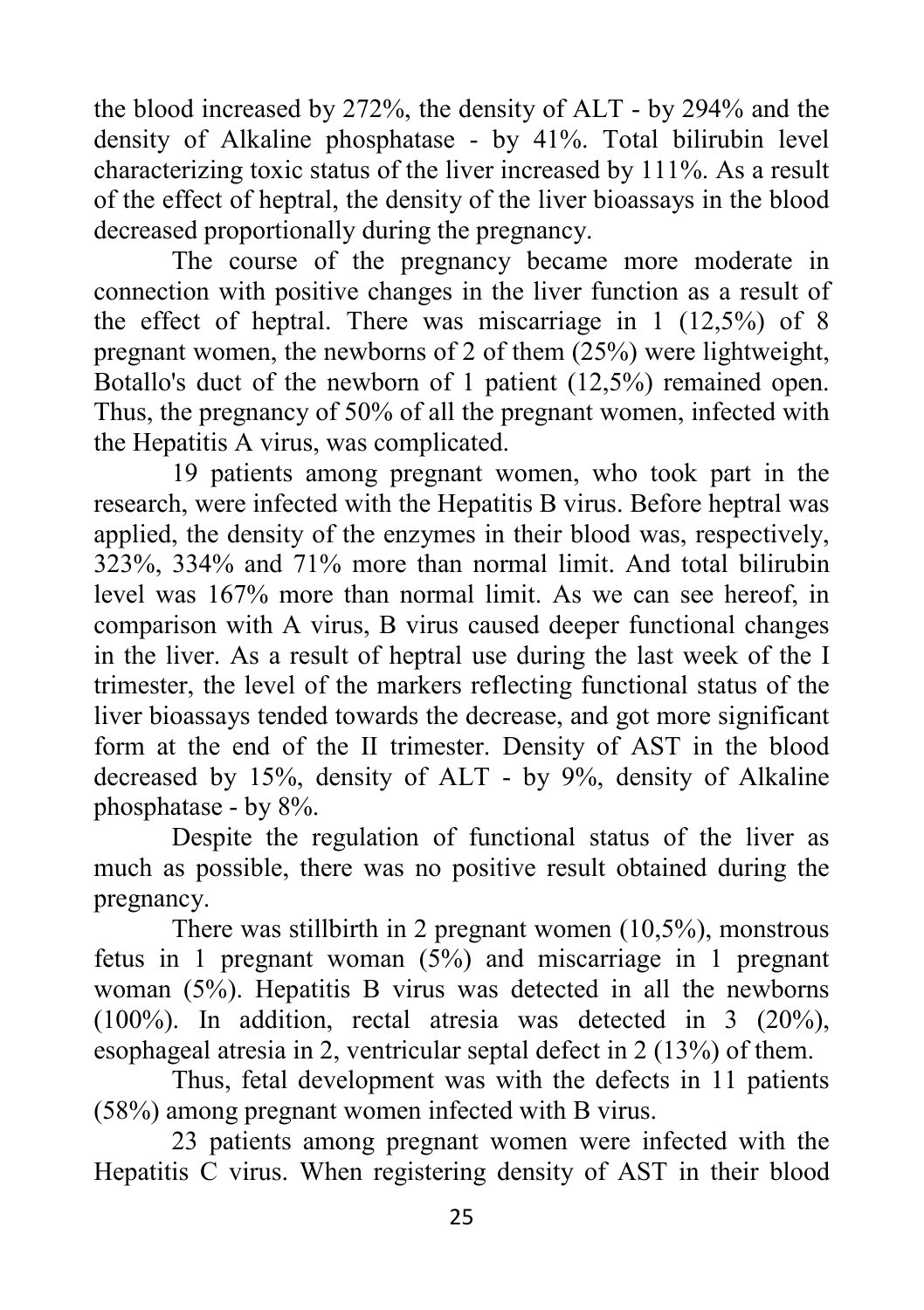the blood increased by 272%, the density of ALT - by 294% and the density of Alkaline phosphatase - by 41%. Total bilirubin level characterizing toxic status of the liver increased by 111%. As a result of the effect of heptral, the density of the liver bioassays in the blood decreased proportionally during the pregnancy.

The course of the pregnancy became more moderate in connection with positive changes in the liver function as a result of the effect of heptral. There was miscarriage in 1 (12,5%) of 8 pregnant women, the newborns of 2 of them (25%) were lightweight, Botallo's duct of the newborn of 1 patient (12,5%) remained open. Thus, the pregnancy of 50% of all the pregnant women, infected with the Hepatitis A virus, was complicated.

19 patients among pregnant women, who took part in the research, were infected with the Hepatitis B virus. Before heptral was applied, the density of the enzymes in their blood was, respectively, 323%, 334% and 71% more than normal limit. And total bilirubin level was 167% more than normal limit. As we can see hereof, in comparison with A virus, B virus caused deeper functional changes in the liver. As a result of heptral use during the last week of the I trimester, the level of the markers reflecting functional status of the liver bioassays tended towards the decrease, and got more significant form at the end of the II trimester. Density of AST in the blood decreased by 15%, density of ALT - by 9%, density of Alkaline phosphatase - by 8%.

Despite the regulation of functional status of the liver as much as possible, there was no positive result obtained during the pregnancy.

There was stillbirth in 2 pregnant women (10,5%), monstrous fetus in 1 pregnant woman (5%) and miscarriage in 1 pregnant woman (5%). Hepatitis B virus was detected in all the newborns (100%). In addition, rectal atresia was detected in 3 (20%), esophageal atresia in 2, ventricular septal defect in 2 (13%) of them.

Thus, fetal development was with the defects in 11 patients (58%) among pregnant women infected with B virus.

23 patients among pregnant women were infected with the Hepatitis C virus. When registering density of AST in their blood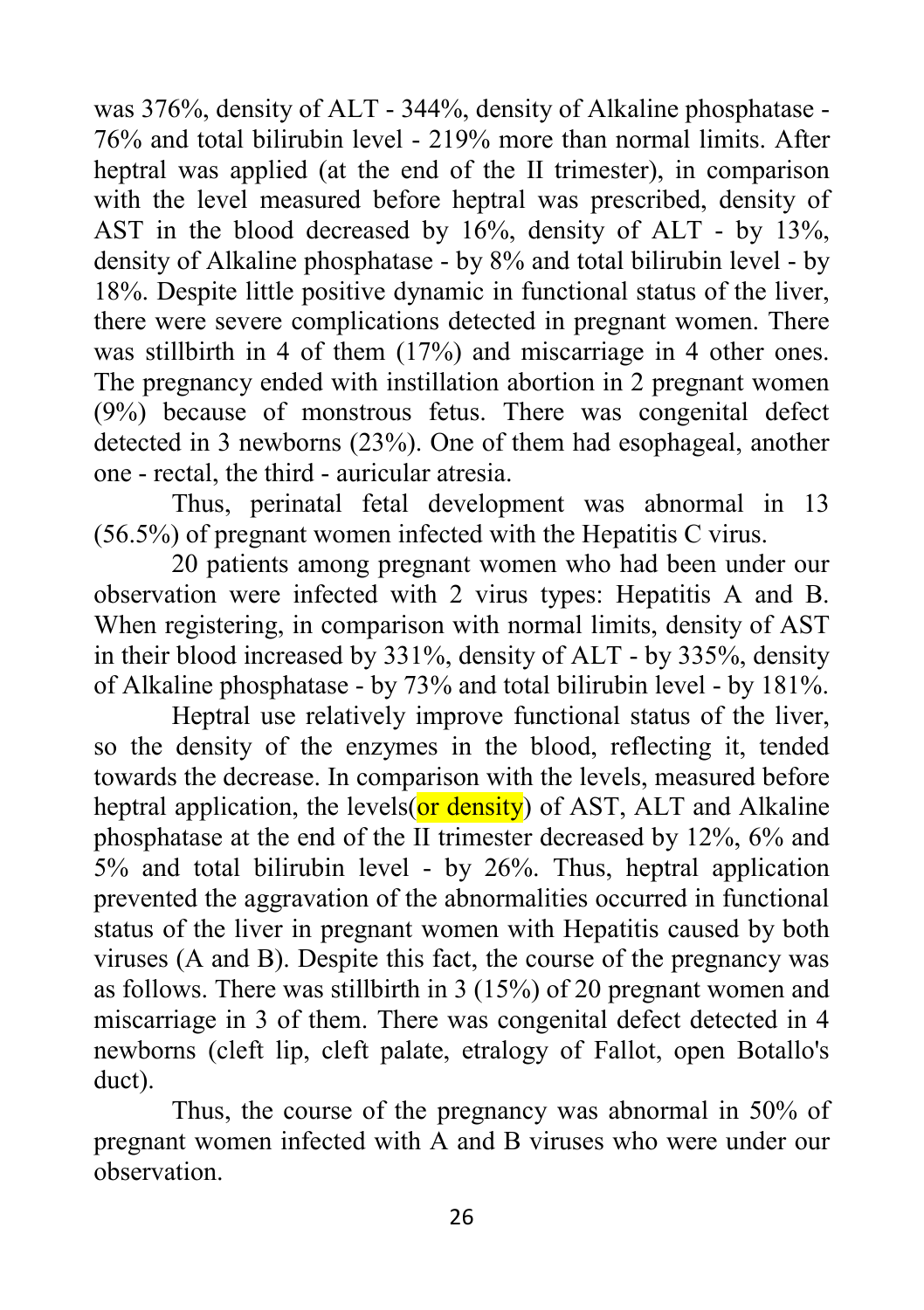was 376%, density of ALT - 344%, density of Alkaline phosphatase - 76% and total bilirubin level - 219% more than normal limits. After heptral was applied (at the end of the II trimester), in comparison with the level measured before heptral was prescribed, density of AST in the blood decreased by 16%, density of ALT - by 13%, density of Alkaline phosphatase - by 8% and total bilirubin level - by 18%. Despite little positive dynamic in functional status of the liver, there were severe complications detected in pregnant women. There was stillbirth in 4 of them  $(17%)$  and miscarriage in 4 other ones. The pregnancy ended with instillation abortion in 2 pregnant women (9%) because of monstrous fetus. There was congenital defect detected in 3 newborns (23%). One of them had esophageal, another one - rectal, the third - auricular atresia.

Thus, perinatal fetal development was abnormal in 13 (56.5%) of pregnant women infected with the Hepatitis C virus.

20 patients among pregnant women who had been under our observation were infected with 2 virus types: Hepatitis A and B. When registering, in comparison with normal limits, density of AST in their blood increased by 331%, density of ALT - by 335%, density of Alkaline phosphatase - by 73% and total bilirubin level - by 181%.

Heptral use relatively improve functional status of the liver, so the density of the enzymes in the blood, reflecting it, tended towards the decrease. In comparison with the levels, measured before heptral application, the levels( $or$  density) of AST, ALT and Alkaline phosphatase at the end of the II trimester decreased by 12%, 6% and 5% and total bilirubin level - by 26%. Thus, heptral application prevented the aggravation of the abnormalities occurred in functional status of the liver in pregnant women with Hepatitis caused by both viruses (A and B). Despite this fact, the course of the pregnancy was as follows. There was stillbirth in 3 (15%) of 20 pregnant women and miscarriage in 3 of them. There was congenital defect detected in 4 newborns (cleft lip, cleft palate, etralogy of Fallot, open Botallo's duct).

Thus, the course of the pregnancy was abnormal in 50% of pregnant women infected with A and B viruses who were under our observation.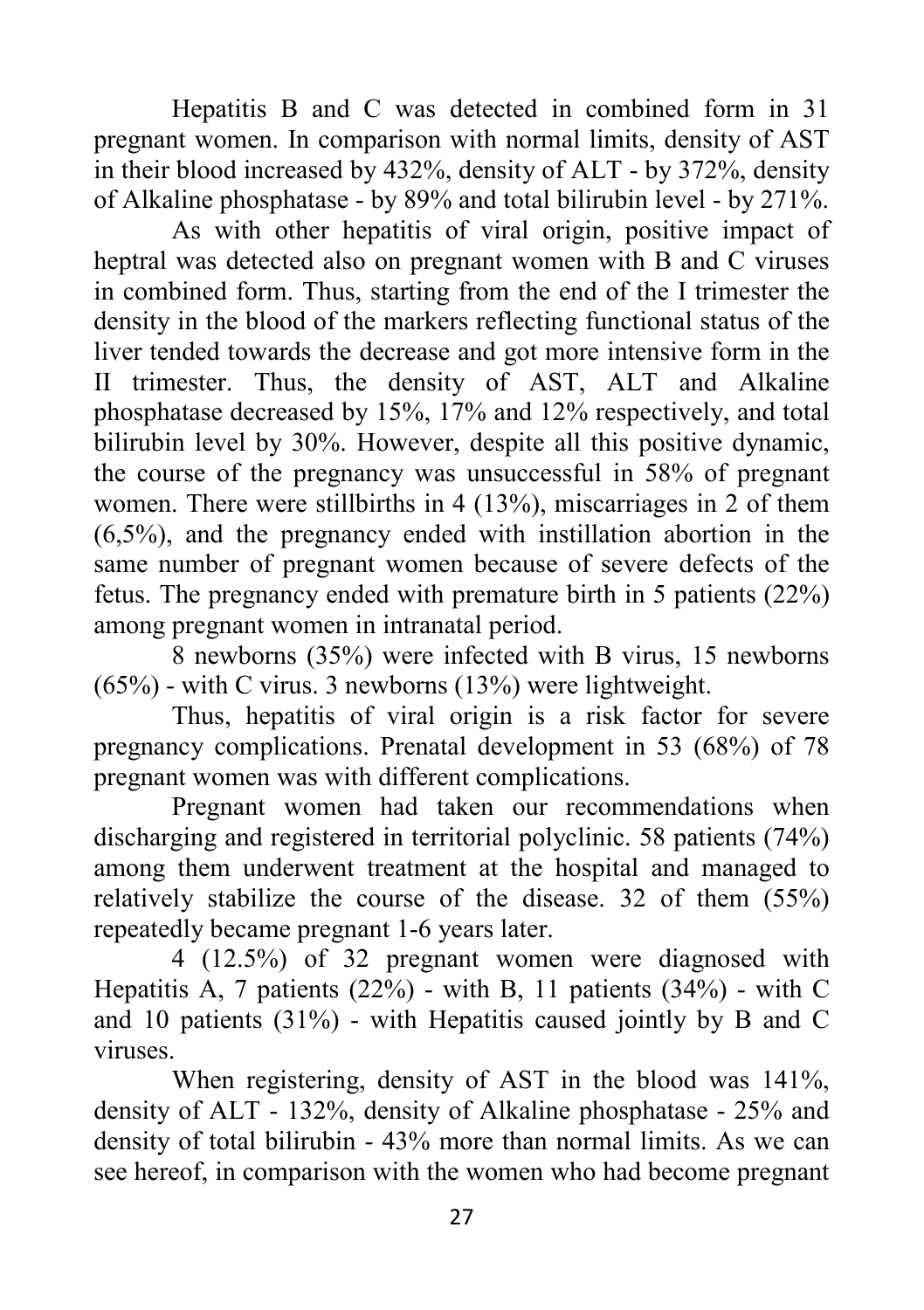Hepatitis B and C was detected in combined form in 31 pregnant women. In comparison with normal limits, density of AST in their blood increased by 432%, density of ALT - by 372%, density of Alkaline phosphatase - by 89% and total bilirubin level - by 271%.

As with other hepatitis of viral origin, positive impact of heptral was detected also on pregnant women with B and C viruses in combined form. Thus, starting from the end of the I trimester the density in the blood of the markers reflecting functional status of the liver tended towards the decrease and got more intensive form in the II trimester. Thus, the density of AST, ALT and Alkaline phosphatase decreased by 15%, 17% and 12% respectively, and total bilirubin level by 30%. However, despite all this positive dynamic, the course of the pregnancy was unsuccessful in 58% of pregnant women. There were stillbirths in 4 (13%), miscarriages in 2 of them (6,5%), and the pregnancy ended with instillation abortion in the same number of pregnant women because of severe defects of the fetus. The pregnancy ended with premature birth in 5 patients (22%) among pregnant women in intranatal period.

8 newborns (35%) were infected with B virus, 15 newborns (65%) - with C virus. 3 newborns (13%) were lightweight.

Thus, hepatitis of viral origin is a risk factor for severe pregnancy complications. Prenatal development in 53 (68%) of 78 pregnant women was with different complications.

Pregnant women had taken our recommendations when discharging and registered in territorial polyclinic. 58 patients (74%) among them underwent treatment at the hospital and managed to relatively stabilize the course of the disease. 32 of them (55%) repeatedly became pregnant 1-6 years later.

4 (12.5%) of 32 pregnant women were diagnosed with Hepatitis A, 7 patients (22%) - with B, 11 patients (34%) - with C and 10 patients (31%) - with Hepatitis caused jointly by B and C viruses.

When registering, density of AST in the blood was 141%, density of ALT - 132%, density of Alkaline phosphatase - 25% and density of total bilirubin - 43% more than normal limits. As we can see hereof, in comparison with the women who had become pregnant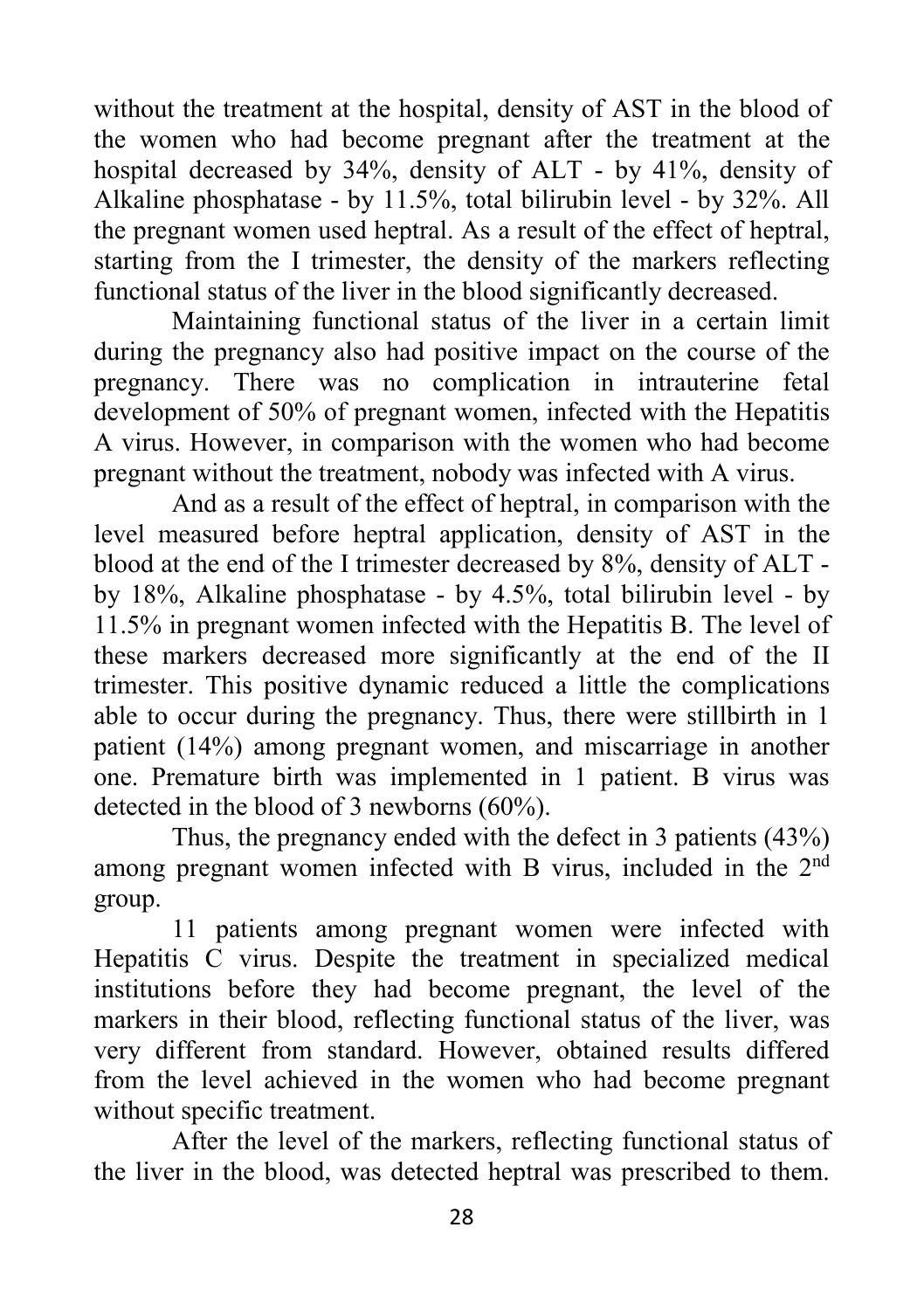without the treatment at the hospital, density of AST in the blood of the women who had become pregnant after the treatment at the hospital decreased by 34%, density of ALT - by 41%, density of Alkaline phosphatase - by 11.5%, total bilirubin level - by 32%. All the pregnant women used heptral. As a result of the effect of heptral, starting from the I trimester, the density of the markers reflecting functional status of the liver in the blood significantly decreased.

Maintaining functional status of the liver in a certain limit during the pregnancy also had positive impact on the course of the pregnancy. There was no complication in intrauterine fetal development of 50% of pregnant women, infected with the Hepatitis A virus. However, in comparison with the women who had become pregnant without the treatment, nobody was infected with A virus.

And as a result of the effect of heptral, in comparison with the level measured before heptral application, density of AST in the blood at the end of the I trimester decreased by 8%, density of ALT by 18%, Alkaline phosphatase - by 4.5%, total bilirubin level - by 11.5% in pregnant women infected with the Hepatitis B. The level of these markers decreased more significantly at the end of the II trimester. This positive dynamic reduced a little the complications able to occur during the pregnancy. Thus, there were stillbirth in 1 patient (14%) among pregnant women, and miscarriage in another one. Premature birth was implemented in 1 patient. B virus was detected in the blood of 3 newborns (60%).

Thus, the pregnancy ended with the defect in 3 patients (43%) among pregnant women infected with B virus, included in the 2<sup>nd</sup> group.

11 patients among pregnant women were infected with Hepatitis C virus. Despite the treatment in specialized medical institutions before they had become pregnant, the level of the markers in their blood, reflecting functional status of the liver, was very different from standard. However, obtained results differed from the level achieved in the women who had become pregnant without specific treatment.

After the level of the markers, reflecting functional status of the liver in the blood, was detected heptral was prescribed to them.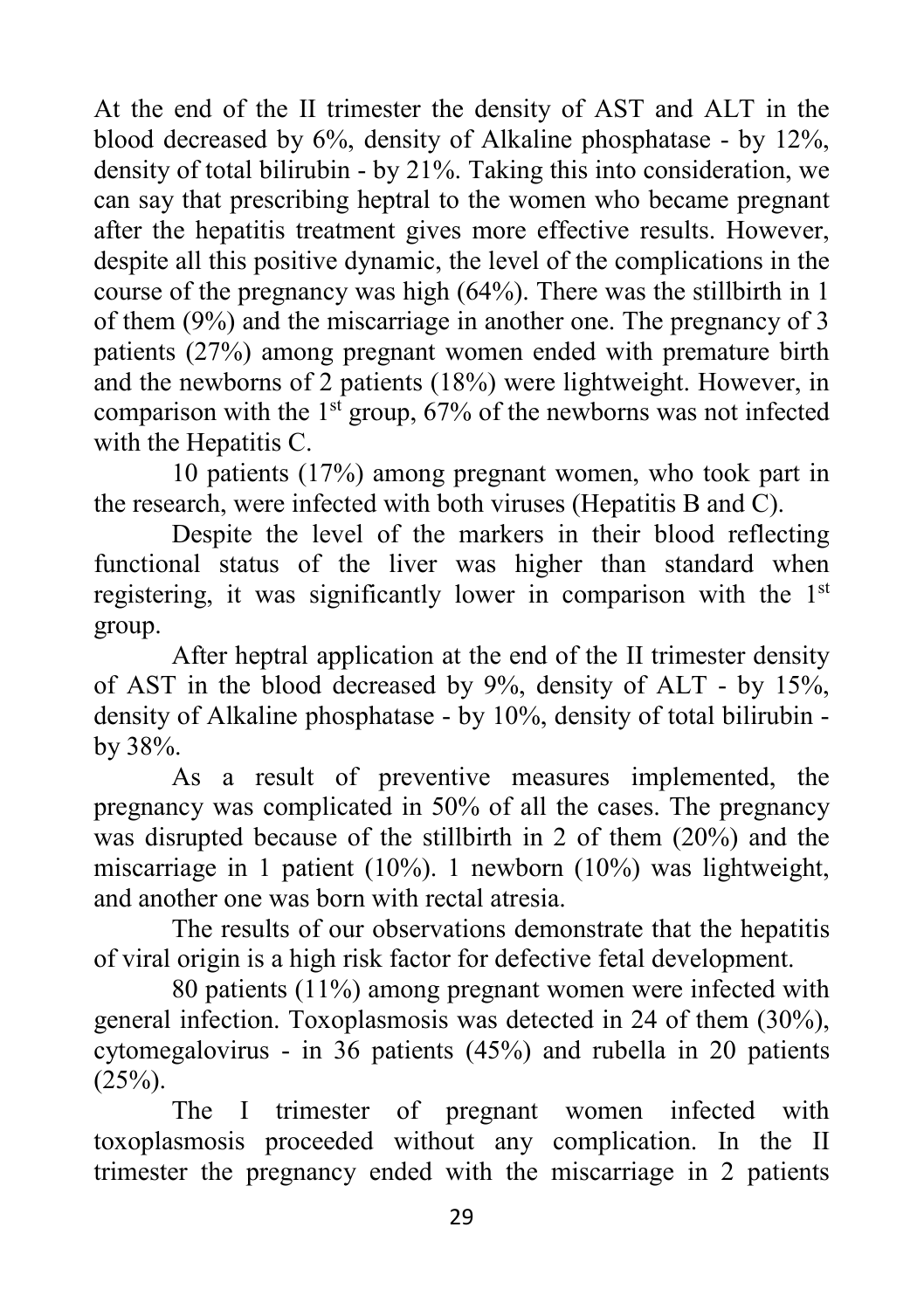At the end of the II trimester the density of AST and ALT in the blood decreased by 6%, density of Alkaline phosphatase - by 12%, density of total bilirubin - by 21%. Taking this into consideration, we can say that prescribing heptral to the women who became pregnant after the hepatitis treatment gives more effective results. However, despite all this positive dynamic, the level of the complications in the course of the pregnancy was high (64%). There was the stillbirth in 1 of them (9%) and the miscarriage in another one. The pregnancy of 3 patients (27%) among pregnant women ended with premature birth and the newborns of 2 patients (18%) were lightweight. However, in comparison with the  $1<sup>st</sup>$  group, 67% of the newborns was not infected with the Hepatitis C.

10 patients (17%) among pregnant women, who took part in the research, were infected with both viruses (Hepatitis B and C).

Despite the level of the markers in their blood reflecting functional status of the liver was higher than standard when registering, it was significantly lower in comparison with the 1<sup>st</sup> group.

After heptral application at the end of the II trimester density of AST in the blood decreased by 9%, density of ALT - by 15%, density of Alkaline phosphatase - by 10%, density of total bilirubin by 38%.

As a result of preventive measures implemented, the pregnancy was complicated in 50% of all the cases. The pregnancy was disrupted because of the stillbirth in 2 of them (20%) and the miscarriage in 1 patient (10%). 1 newborn (10%) was lightweight, and another one was born with rectal atresia.

The results of our observations demonstrate that the hepatitis of viral origin is a high risk factor for defective fetal development.

80 patients (11%) among pregnant women were infected with general infection. Toxoplasmosis was detected in 24 of them (30%), cytomegalovirus - in 36 patients (45%) and rubella in 20 patients  $(25\%)$ .

The I trimester of pregnant women infected with toxoplasmosis proceeded without any complication. In the II trimester the pregnancy ended with the miscarriage in 2 patients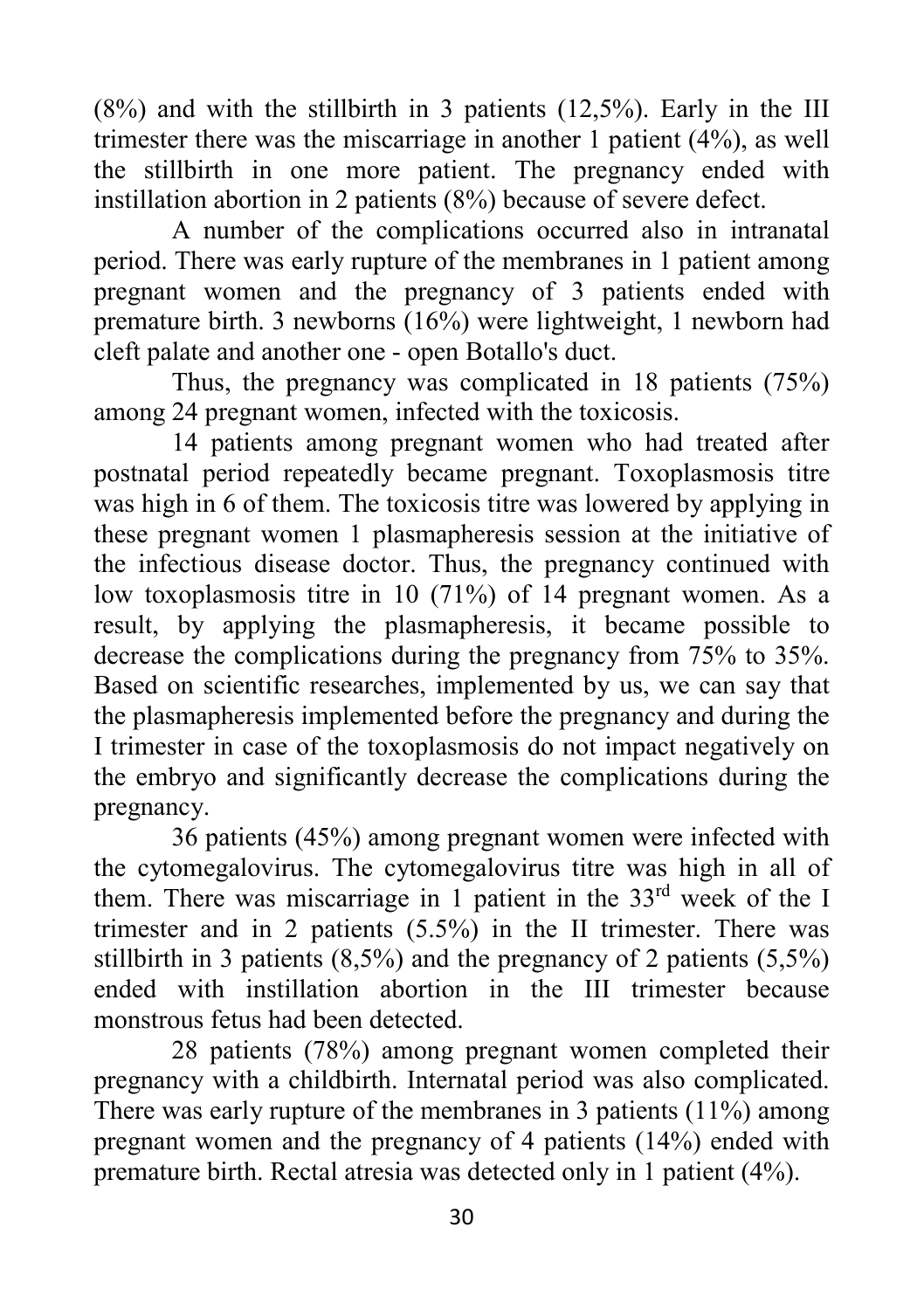$(8\%)$  and with the stillbirth in 3 patients  $(12,5\%)$ . Early in the III trimester there was the miscarriage in another 1 patient (4%), as well the stillbirth in one more patient. The pregnancy ended with instillation abortion in 2 patients (8%) because of severe defect.

A number of the complications occurred also in intranatal period. There was early rupture of the membranes in 1 patient among pregnant women and the pregnancy of 3 patients ended with premature birth. 3 newborns (16%) were lightweight, 1 newborn had cleft palate and another one - open Botallo's duct.

Thus, the pregnancy was complicated in 18 patients (75%) among 24 pregnant women, infected with the toxicosis.

14 patients among pregnant women who had treated after postnatal period repeatedly became pregnant. Toxoplasmosis titre was high in 6 of them. The toxicosis titre was lowered by applying in these pregnant women 1 plasmapheresis session at the initiative of the infectious disease doctor. Thus, the pregnancy continued with low toxoplasmosis titre in 10 (71%) of 14 pregnant women. As a result, by applying the plasmapheresis, it became possible to decrease the complications during the pregnancy from 75% to 35%. Based on scientific researches, implemented by us, we can say that the plasmapheresis implemented before the pregnancy and during the I trimester in case of the toxoplasmosis do not impact negatively on the embryo and significantly decrease the complications during the pregnancy.

36 patients (45%) among pregnant women were infected with the cytomegalovirus. The cytomegalovirus titre was high in all of them. There was miscarriage in 1 patient in the 33<sup>rd</sup> week of the I trimester and in 2 patients (5.5%) in the II trimester. There was stillbirth in 3 patients (8,5%) and the pregnancy of 2 patients (5,5%) ended with instillation abortion in the III trimester because monstrous fetus had been detected.

28 patients (78%) among pregnant women completed their pregnancy with a childbirth. Internatal period was also complicated. There was early rupture of the membranes in 3 patients (11%) among pregnant women and the pregnancy of 4 patients (14%) ended with premature birth. Rectal atresia was detected only in 1 patient (4%).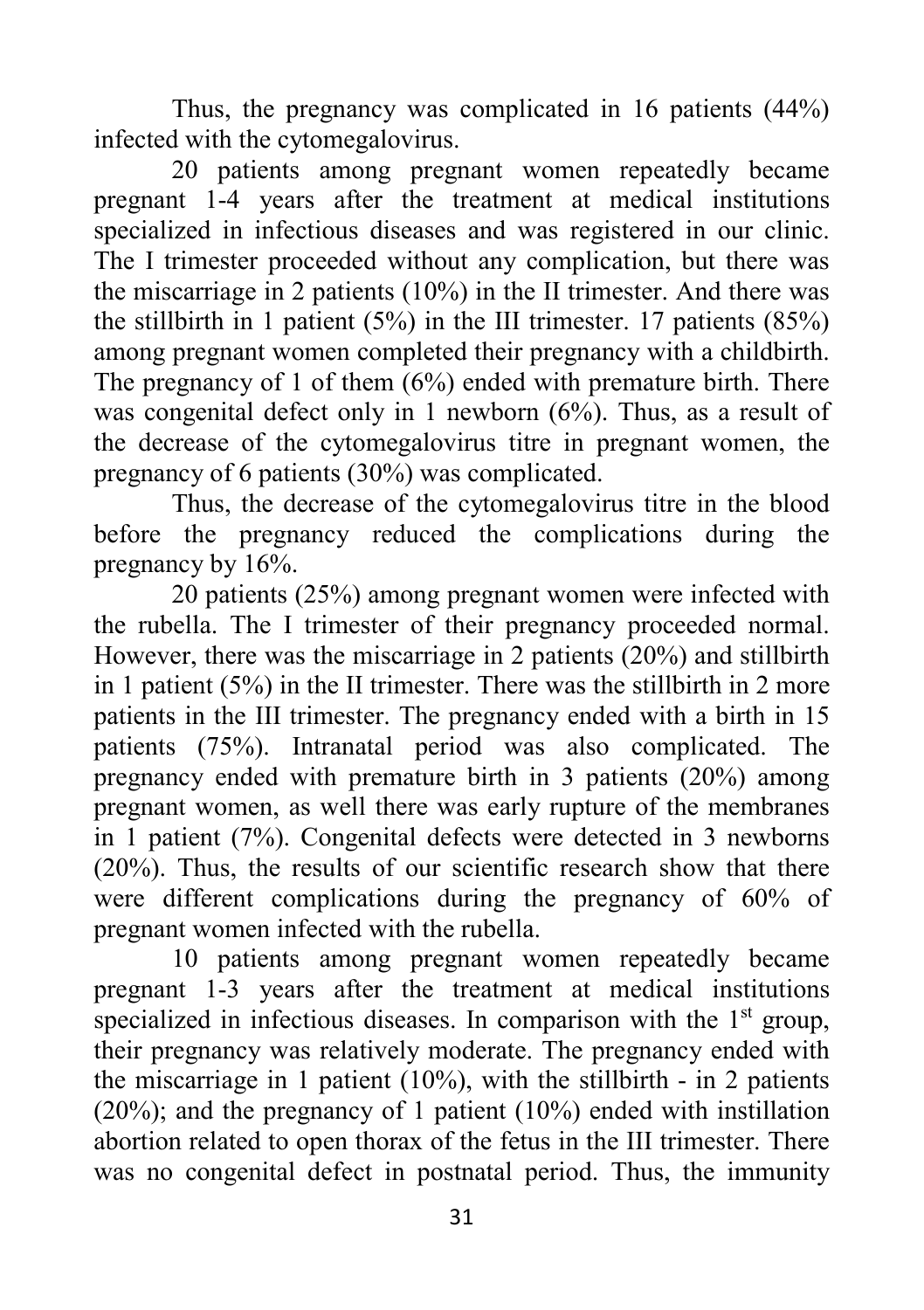Thus, the pregnancy was complicated in 16 patients (44%) infected with the cytomegalovirus.

20 patients among pregnant women repeatedly became pregnant 1-4 years after the treatment at medical institutions specialized in infectious diseases and was registered in our clinic. The I trimester proceeded without any complication, but there was the miscarriage in 2 patients (10%) in the II trimester. And there was the stillbirth in 1 patient  $(5\%)$  in the III trimester. 17 patients  $(85\%)$ among pregnant women completed their pregnancy with a childbirth. The pregnancy of 1 of them (6%) ended with premature birth. There was congenital defect only in 1 newborn (6%). Thus, as a result of the decrease of the cytomegalovirus titre in pregnant women, the pregnancy of 6 patients (30%) was complicated.

Thus, the decrease of the cytomegalovirus titre in the blood before the pregnancy reduced the complications during the pregnancy by 16%.

20 patients (25%) among pregnant women were infected with the rubella. The I trimester of their pregnancy proceeded normal. However, there was the miscarriage in 2 patients (20%) and stillbirth in 1 patient  $(5\%)$  in the II trimester. There was the stillbirth in 2 more patients in the III trimester. The pregnancy ended with a birth in 15 patients (75%). Intranatal period was also complicated. The pregnancy ended with premature birth in 3 patients (20%) among pregnant women, as well there was early rupture of the membranes in 1 patient (7%). Congenital defects were detected in 3 newborns (20%). Thus, the results of our scientific research show that there were different complications during the pregnancy of 60% of pregnant women infected with the rubella.

10 patients among pregnant women repeatedly became pregnant 1-3 years after the treatment at medical institutions specialized in infectious diseases. In comparison with the 1<sup>st</sup> group, their pregnancy was relatively moderate. The pregnancy ended with the miscarriage in 1 patient  $(10\%)$ , with the stillbirth - in 2 patients (20%); and the pregnancy of 1 patient (10%) ended with instillation abortion related to open thorax of the fetus in the III trimester. There was no congenital defect in postnatal period. Thus, the immunity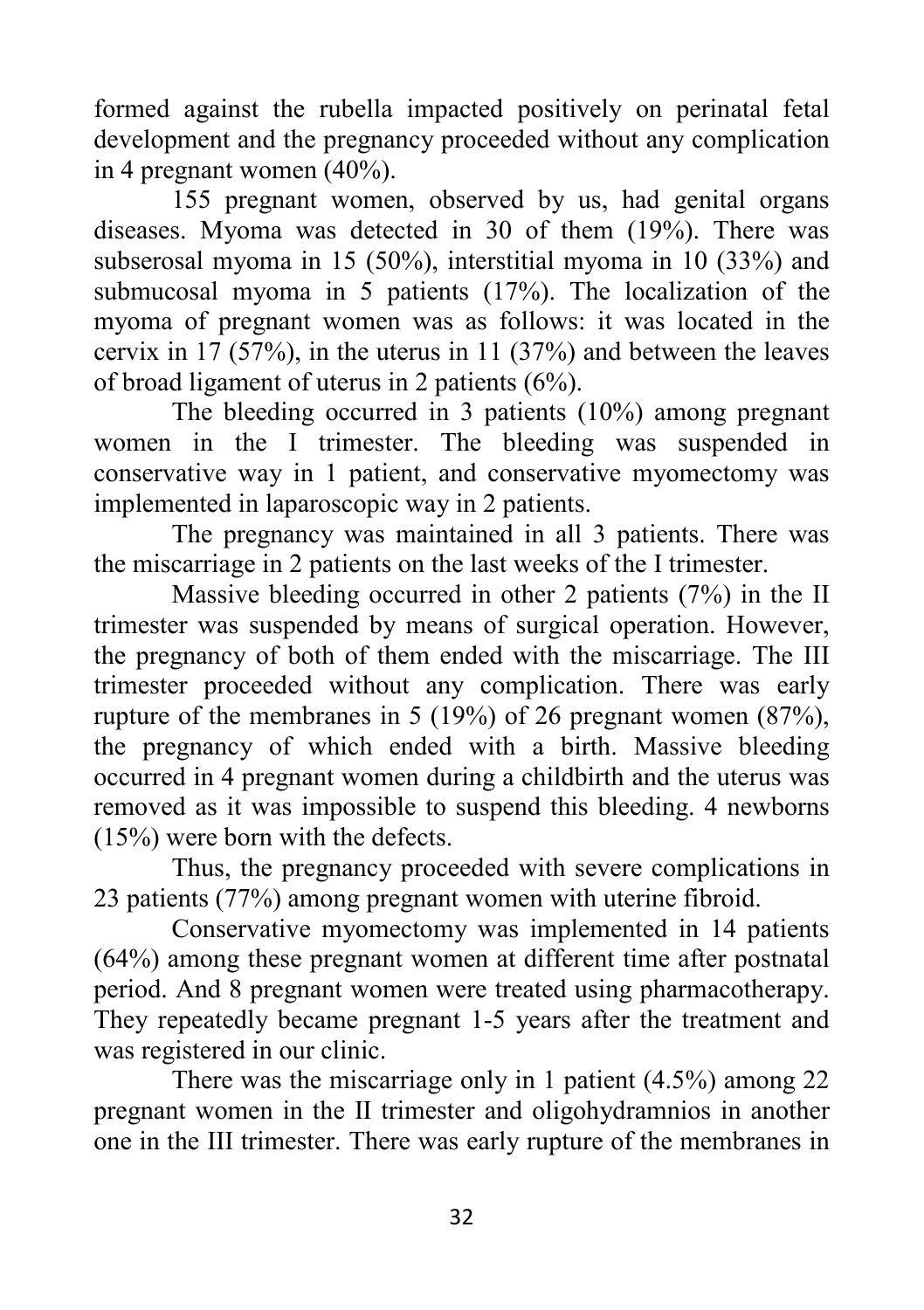formed against the rubella impacted positively on perinatal fetal development and the pregnancy proceeded without any complication in 4 pregnant women (40%).

155 pregnant women, observed by us, had genital organs diseases. Myoma was detected in 30 of them (19%). There was subserosal myoma in 15 (50%), interstitial myoma in 10 (33%) and submucosal myoma in 5 patients (17%). The localization of the myoma of pregnant women was as follows: it was located in the cervix in 17 (57%), in the uterus in 11 (37%) and between the leaves of broad ligament of uterus in 2 patients (6%).

The bleeding occurred in 3 patients (10%) among pregnant women in the I trimester. The bleeding was suspended in conservative way in 1 patient, and conservative myomectomy was implemented in laparoscopic way in 2 patients.

The pregnancy was maintained in all 3 patients. There was the miscarriage in 2 patients on the last weeks of the I trimester.

Massive bleeding occurred in other 2 patients (7%) in the II trimester was suspended by means of surgical operation. However, the pregnancy of both of them ended with the miscarriage. The III trimester proceeded without any complication. There was early rupture of the membranes in 5 (19%) of 26 pregnant women (87%), the pregnancy of which ended with a birth. Massive bleeding occurred in 4 pregnant women during a childbirth and the uterus was removed as it was impossible to suspend this bleeding. 4 newborns (15%) were born with the defects.

Thus, the pregnancy proceeded with severe complications in 23 patients (77%) among pregnant women with uterine fibroid.

Conservative myomectomy was implemented in 14 patients (64%) among these pregnant women at different time after postnatal period. And 8 pregnant women were treated using pharmacotherapy. They repeatedly became pregnant 1-5 years after the treatment and was registered in our clinic.

There was the miscarriage only in 1 patient (4.5%) among 22 pregnant women in the II trimester and oligohydramnios in another one in the III trimester. There was early rupture of the membranes in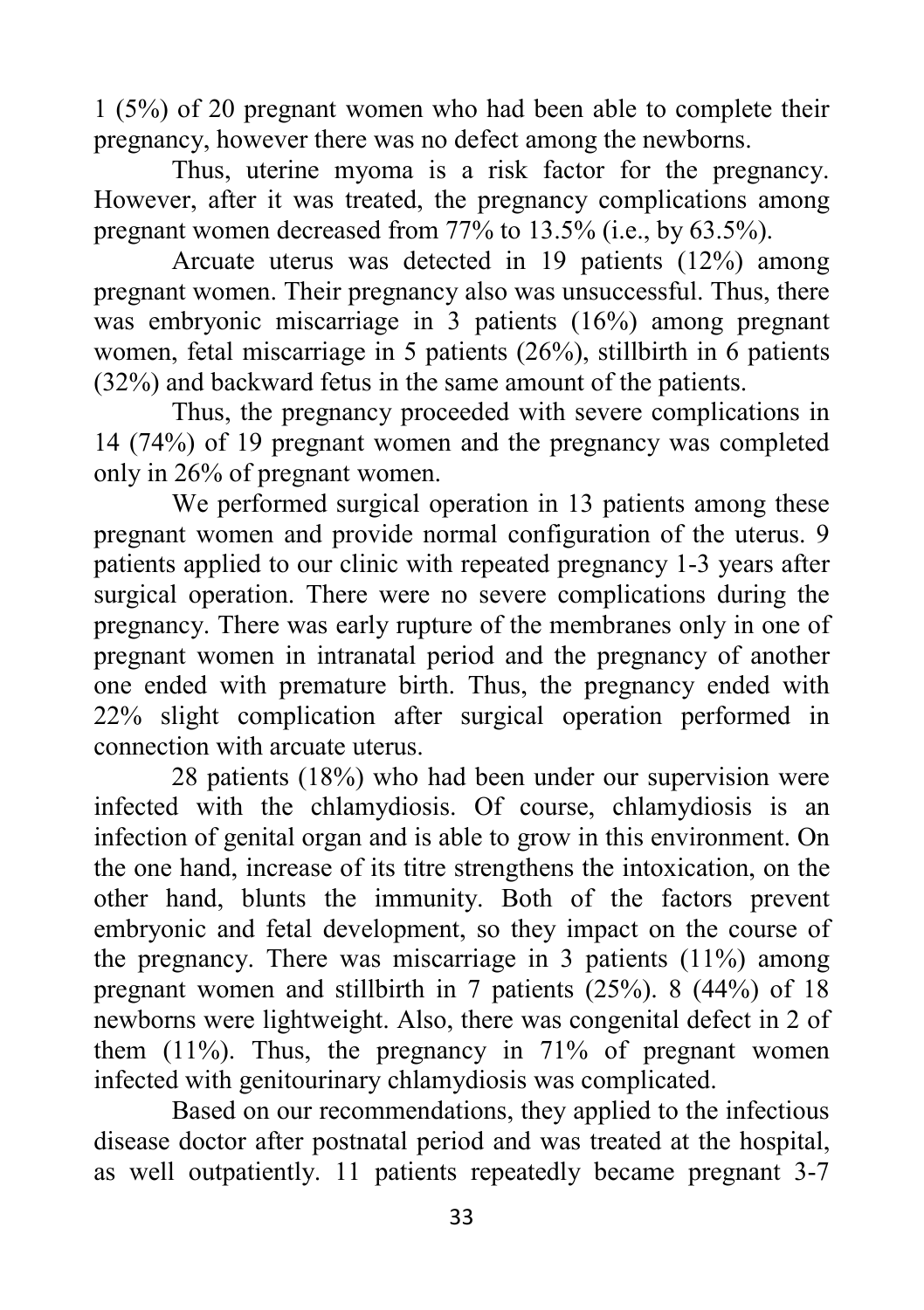1 (5%) of 20 pregnant women who had been able to complete their pregnancy, however there was no defect among the newborns.

Thus, uterine myoma is a risk factor for the pregnancy. However, after it was treated, the pregnancy complications among pregnant women decreased from 77% to 13.5% (i.e., by 63.5%).

Arcuate uterus was detected in 19 patients (12%) among pregnant women. Their pregnancy also was unsuccessful. Thus, there was embryonic miscarriage in 3 patients (16%) among pregnant women, fetal miscarriage in 5 patients (26%), stillbirth in 6 patients (32%) and backward fetus in the same amount of the patients.

Thus, the pregnancy proceeded with severe complications in 14 (74%) of 19 pregnant women and the pregnancy was completed only in 26% of pregnant women.

We performed surgical operation in 13 patients among these pregnant women and provide normal configuration of the uterus. 9 patients applied to our clinic with repeated pregnancy 1-3 years after surgical operation. There were no severe complications during the pregnancy. There was early rupture of the membranes only in one of pregnant women in intranatal period and the pregnancy of another one ended with premature birth. Thus, the pregnancy ended with 22% slight complication after surgical operation performed in connection with arcuate uterus.

28 patients (18%) who had been under our supervision were infected with the chlamydiosis. Of course, chlamydiosis is an infection of genital organ and is able to grow in this environment. On the one hand, increase of its titre strengthens the intoxication, on the other hand, blunts the immunity. Both of the factors prevent embryonic and fetal development, so they impact on the course of the pregnancy. There was miscarriage in 3 patients (11%) among pregnant women and stillbirth in 7 patients (25%). 8 (44%) of 18 newborns were lightweight. Also, there was congenital defect in 2 of them (11%). Thus, the pregnancy in 71% of pregnant women infected with genitourinary chlamydiosis was complicated.

Based on our recommendations, they applied to the infectious disease doctor after postnatal period and was treated at the hospital, as well outpatiently. 11 patients repeatedly became pregnant 3-7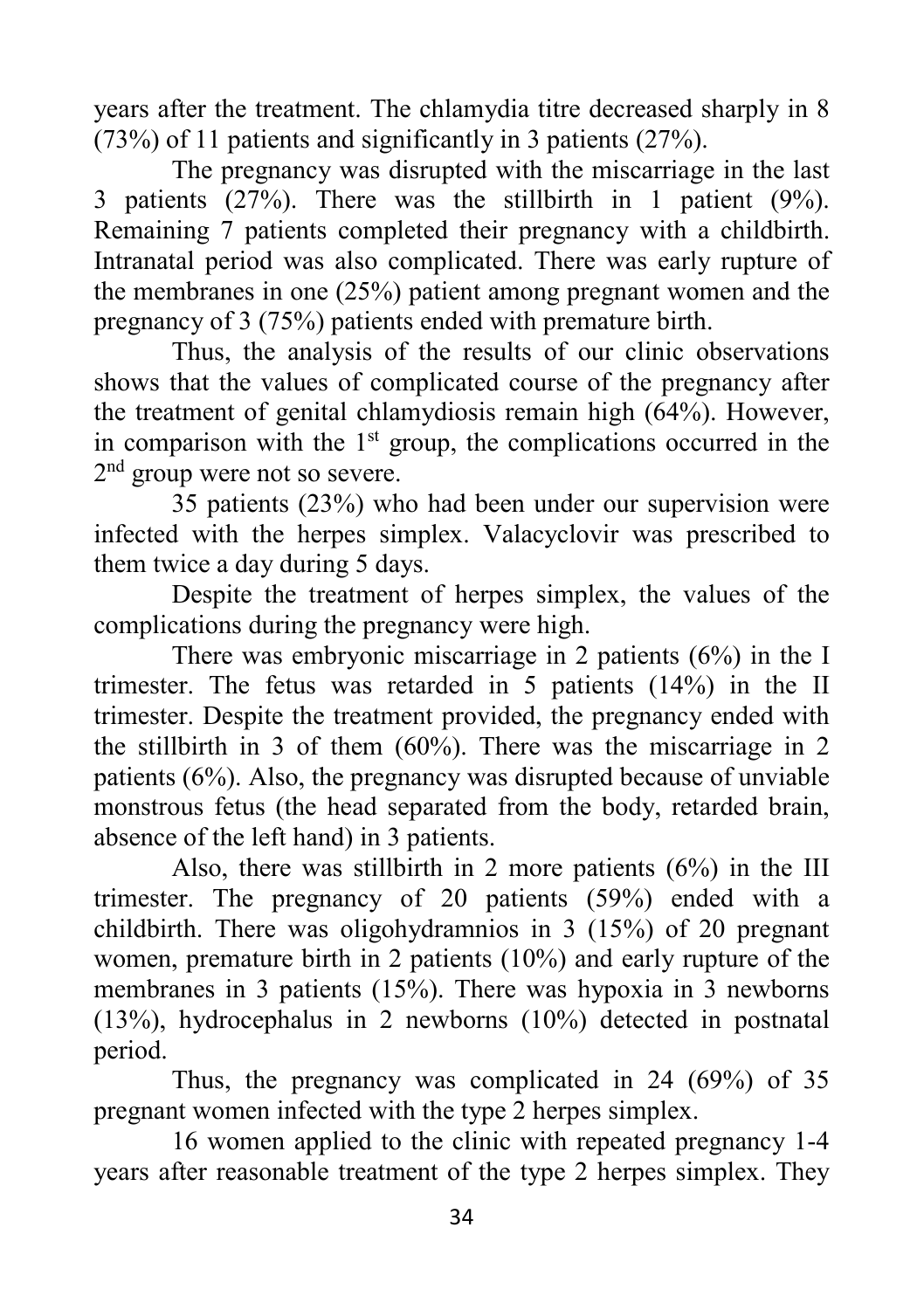years after the treatment. The chlamydia titre decreased sharply in 8 (73%) of 11 patients and significantly in 3 patients (27%).

The pregnancy was disrupted with the miscarriage in the last 3 patients (27%). There was the stillbirth in 1 patient (9%). Remaining 7 patients completed their pregnancy with a childbirth. Intranatal period was also complicated. There was early rupture of the membranes in one (25%) patient among pregnant women and the pregnancy of 3 (75%) patients ended with premature birth.

Thus, the analysis of the results of our clinic observations shows that the values of complicated course of the pregnancy after the treatment of genital chlamydiosis remain high (64%). However, in comparison with the  $1<sup>st</sup>$  group, the complications occurred in the 2<sup>nd</sup> group were not so severe.

35 patients (23%) who had been under our supervision were infected with the herpes simplex. Valacyclovir was prescribed to them twice a day during 5 days.

Despite the treatment of herpes simplex, the values of the complications during the pregnancy were high.

There was embryonic miscarriage in 2 patients (6%) in the I trimester. The fetus was retarded in 5 patients (14%) in the II trimester. Despite the treatment provided, the pregnancy ended with the stillbirth in 3 of them (60%). There was the miscarriage in 2 patients (6%). Also, the pregnancy was disrupted because of unviable monstrous fetus (the head separated from the body, retarded brain, absence of the left hand) in 3 patients.

Also, there was stillbirth in 2 more patients (6%) in the III trimester. The pregnancy of 20 patients (59%) ended with a childbirth. There was oligohydramnios in 3 (15%) of 20 pregnant women, premature birth in 2 patients (10%) and early rupture of the membranes in 3 patients (15%). There was hypoxia in 3 newborns (13%), hydrocephalus in 2 newborns (10%) detected in postnatal period.

Thus, the pregnancy was complicated in 24 (69%) of 35 pregnant women infected with the type 2 herpes simplex.

16 women applied to the clinic with repeated pregnancy 1-4 years after reasonable treatment of the type 2 herpes simplex. They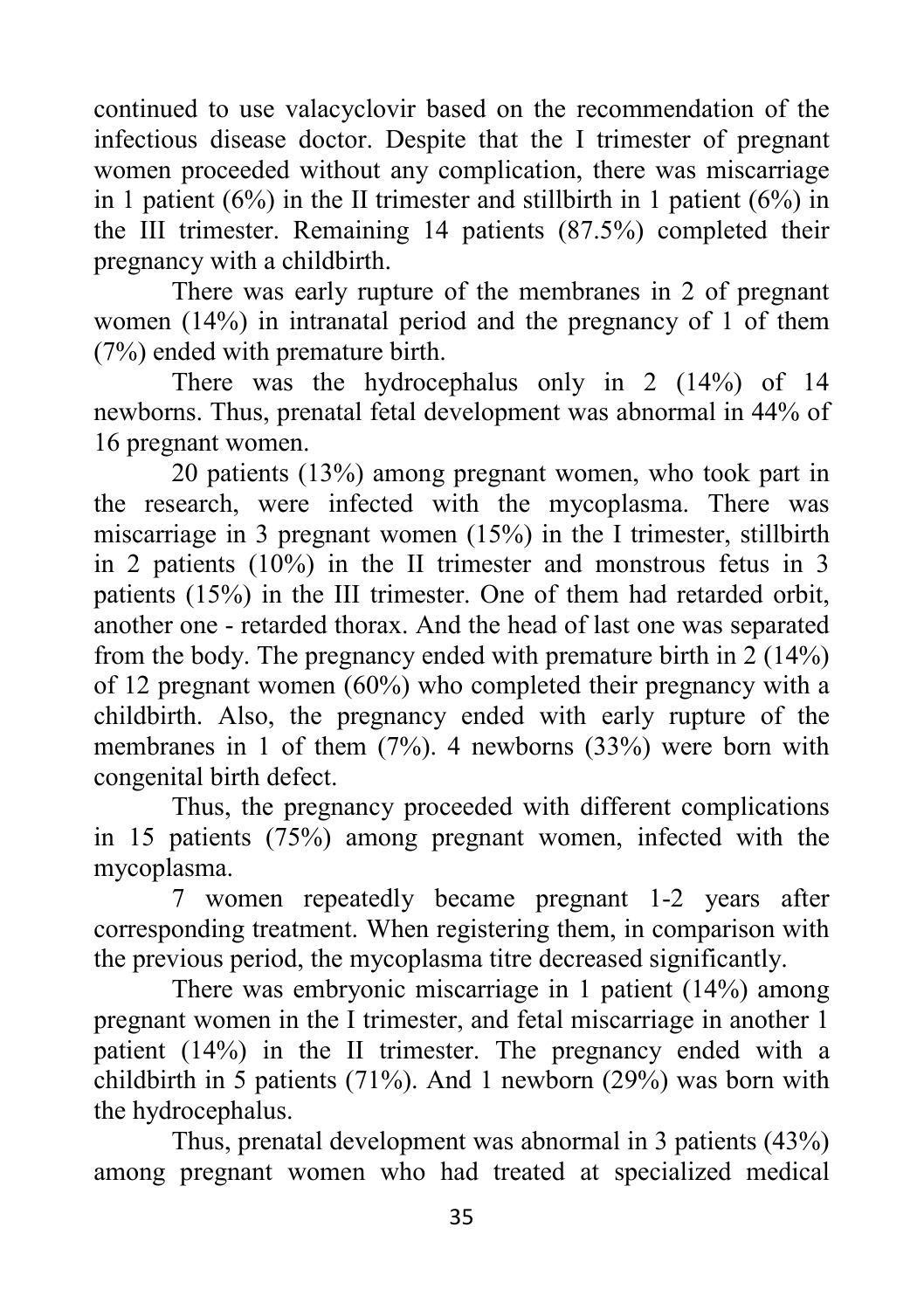continued to use valacyclovir based on the recommendation of the infectious disease doctor. Despite that the I trimester of pregnant women proceeded without any complication, there was miscarriage in 1 patient  $(6\%)$  in the II trimester and stillbirth in 1 patient  $(6\%)$  in the III trimester. Remaining 14 patients (87.5%) completed their pregnancy with a childbirth.

There was early rupture of the membranes in 2 of pregnant women (14%) in intranatal period and the pregnancy of 1 of them (7%) ended with premature birth.

There was the hydrocephalus only in 2 (14%) of 14 newborns. Thus, prenatal fetal development was abnormal in 44% of 16 pregnant women.

20 patients (13%) among pregnant women, who took part in the research, were infected with the mycoplasma. There was miscarriage in 3 pregnant women (15%) in the I trimester, stillbirth in 2 patients (10%) in the II trimester and monstrous fetus in 3 patients (15%) in the III trimester. One of them had retarded orbit, another one - retarded thorax. And the head of last one was separated from the body. The pregnancy ended with premature birth in 2 (14%) of 12 pregnant women (60%) who completed their pregnancy with a childbirth. Also, the pregnancy ended with early rupture of the membranes in 1 of them (7%). 4 newborns (33%) were born with congenital birth defect.

Thus, the pregnancy proceeded with different complications in 15 patients (75%) among pregnant women, infected with the mycoplasma.

7 women repeatedly became pregnant 1-2 years after corresponding treatment. When registering them, in comparison with the previous period, the mycoplasma titre decreased significantly.

There was embryonic miscarriage in 1 patient (14%) among pregnant women in the I trimester, and fetal miscarriage in another 1 patient (14%) in the II trimester. The pregnancy ended with a childbirth in 5 patients (71%). And 1 newborn (29%) was born with the hydrocephalus.

Thus, prenatal development was abnormal in 3 patients (43%) among pregnant women who had treated at specialized medical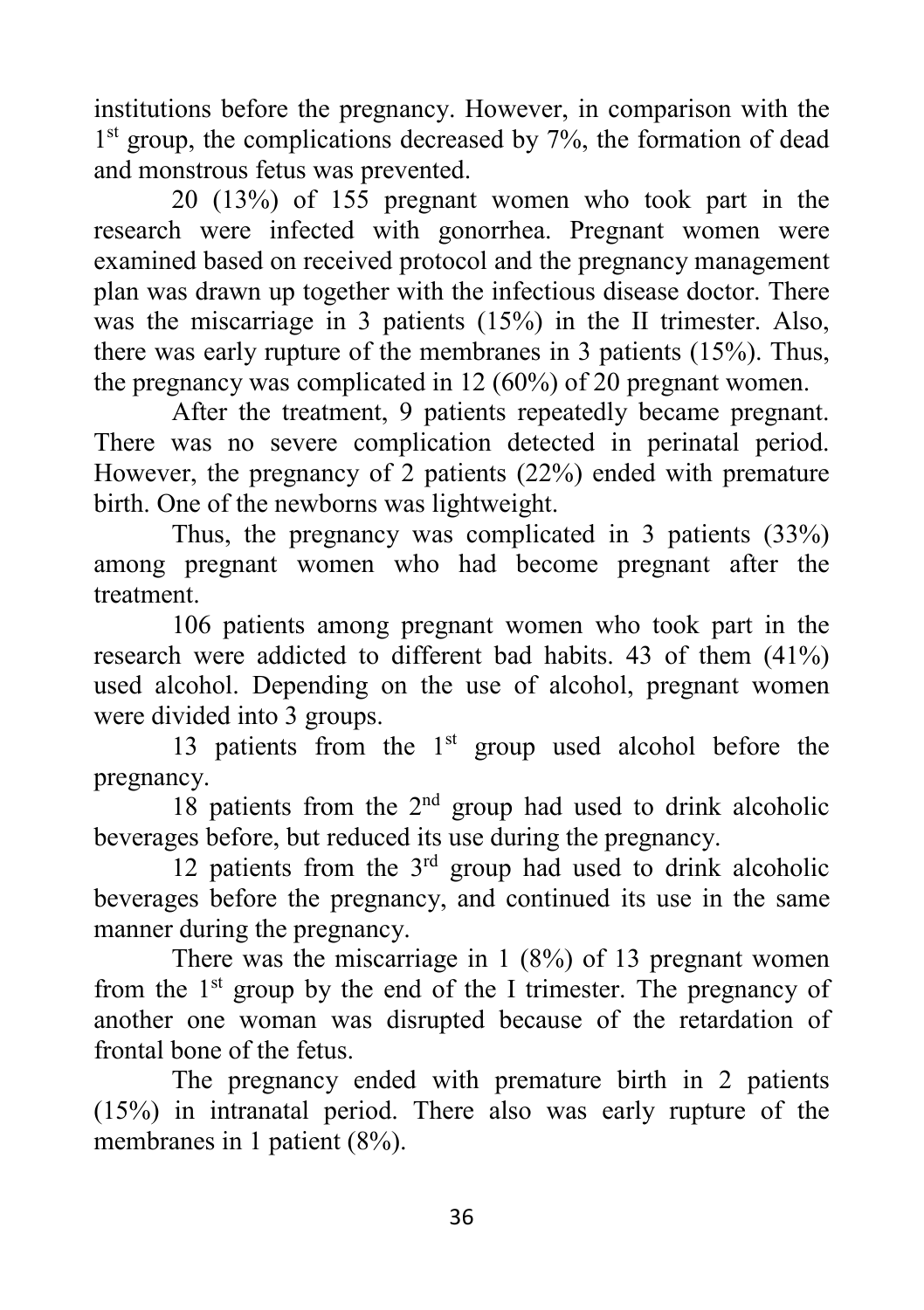institutions before the pregnancy. However, in comparison with the 1<sup>st</sup> group, the complications decreased by 7%, the formation of dead and monstrous fetus was prevented.

20 (13%) of 155 pregnant women who took part in the research were infected with gonorrhea. Pregnant women were examined based on received protocol and the pregnancy management plan was drawn up together with the infectious disease doctor. There was the miscarriage in 3 patients (15%) in the II trimester. Also, there was early rupture of the membranes in 3 patients (15%). Thus, the pregnancy was complicated in 12 (60%) of 20 pregnant women.

After the treatment, 9 patients repeatedly became pregnant. There was no severe complication detected in perinatal period. However, the pregnancy of 2 patients (22%) ended with premature birth. One of the newborns was lightweight.

Thus, the pregnancy was complicated in 3 patients (33%) among pregnant women who had become pregnant after the treatment.

106 patients among pregnant women who took part in the research were addicted to different bad habits. 43 of them (41%) used alcohol. Depending on the use of alcohol, pregnant women were divided into 3 groups.

13 patients from the  $1<sup>st</sup>$  group used alcohol before the pregnancy.

18 patients from the  $2<sup>nd</sup>$  group had used to drink alcoholic beverages before, but reduced its use during the pregnancy.

12 patients from the  $3<sup>rd</sup>$  group had used to drink alcoholic beverages before the pregnancy, and continued its use in the same manner during the pregnancy.

There was the miscarriage in 1 (8%) of 13 pregnant women from the  $1<sup>st</sup>$  group by the end of the I trimester. The pregnancy of another one woman was disrupted because of the retardation of frontal bone of the fetus.

The pregnancy ended with premature birth in 2 patients (15%) in intranatal period. There also was early rupture of the membranes in 1 patient (8%).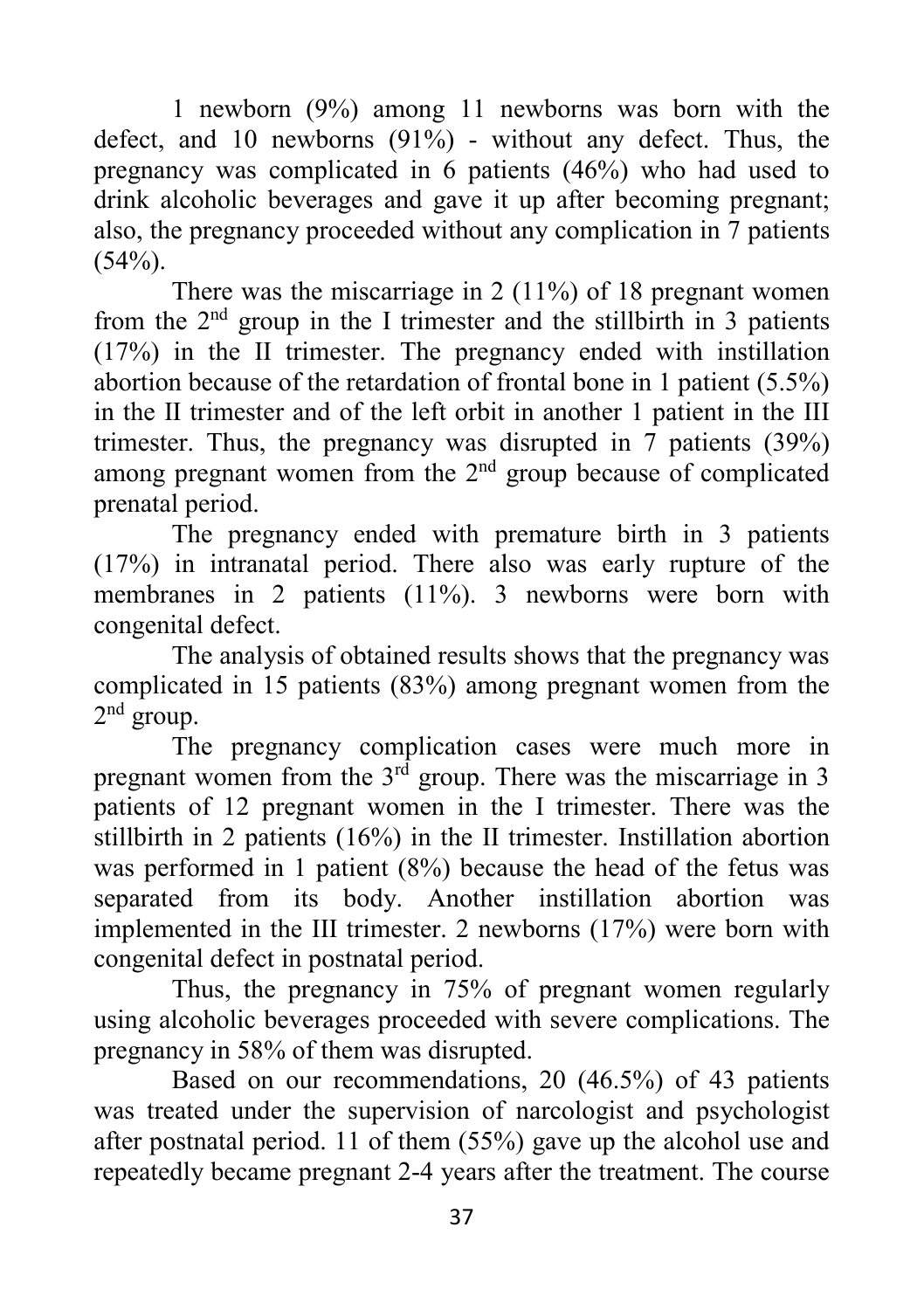1 newborn (9%) among 11 newborns was born with the defect, and 10 newborns (91%) - without any defect. Thus, the pregnancy was complicated in 6 patients (46%) who had used to drink alcoholic beverages and gave it up after becoming pregnant; also, the pregnancy proceeded without any complication in 7 patients  $(54%).$ 

There was the miscarriage in 2 (11%) of 18 pregnant women from the  $2<sup>nd</sup>$  group in the I trimester and the stillbirth in 3 patients (17%) in the II trimester. The pregnancy ended with instillation abortion because of the retardation of frontal bone in 1 patient (5.5%) in the II trimester and of the left orbit in another 1 patient in the III trimester. Thus, the pregnancy was disrupted in 7 patients (39%) among pregnant women from the 2<sup>nd</sup> group because of complicated prenatal period.

The pregnancy ended with premature birth in 3 patients (17%) in intranatal period. There also was early rupture of the membranes in 2 patients (11%). 3 newborns were born with congenital defect.

The analysis of obtained results shows that the pregnancy was complicated in 15 patients (83%) among pregnant women from the  $2<sup>nd</sup>$  group.

The pregnancy complication cases were much more in pregnant women from the  $3<sup>rd</sup>$  group. There was the miscarriage in 3 patients of 12 pregnant women in the I trimester. There was the stillbirth in 2 patients (16%) in the II trimester. Instillation abortion was performed in 1 patient (8%) because the head of the fetus was separated from its body. Another instillation abortion was implemented in the III trimester. 2 newborns (17%) were born with congenital defect in postnatal period.

Thus, the pregnancy in 75% of pregnant women regularly using alcoholic beverages proceeded with severe complications. The pregnancy in 58% of them was disrupted.

Based on our recommendations, 20 (46.5%) of 43 patients was treated under the supervision of narcologist and psychologist after postnatal period. 11 of them (55%) gave up the alcohol use and repeatedly became pregnant 2-4 years after the treatment. The course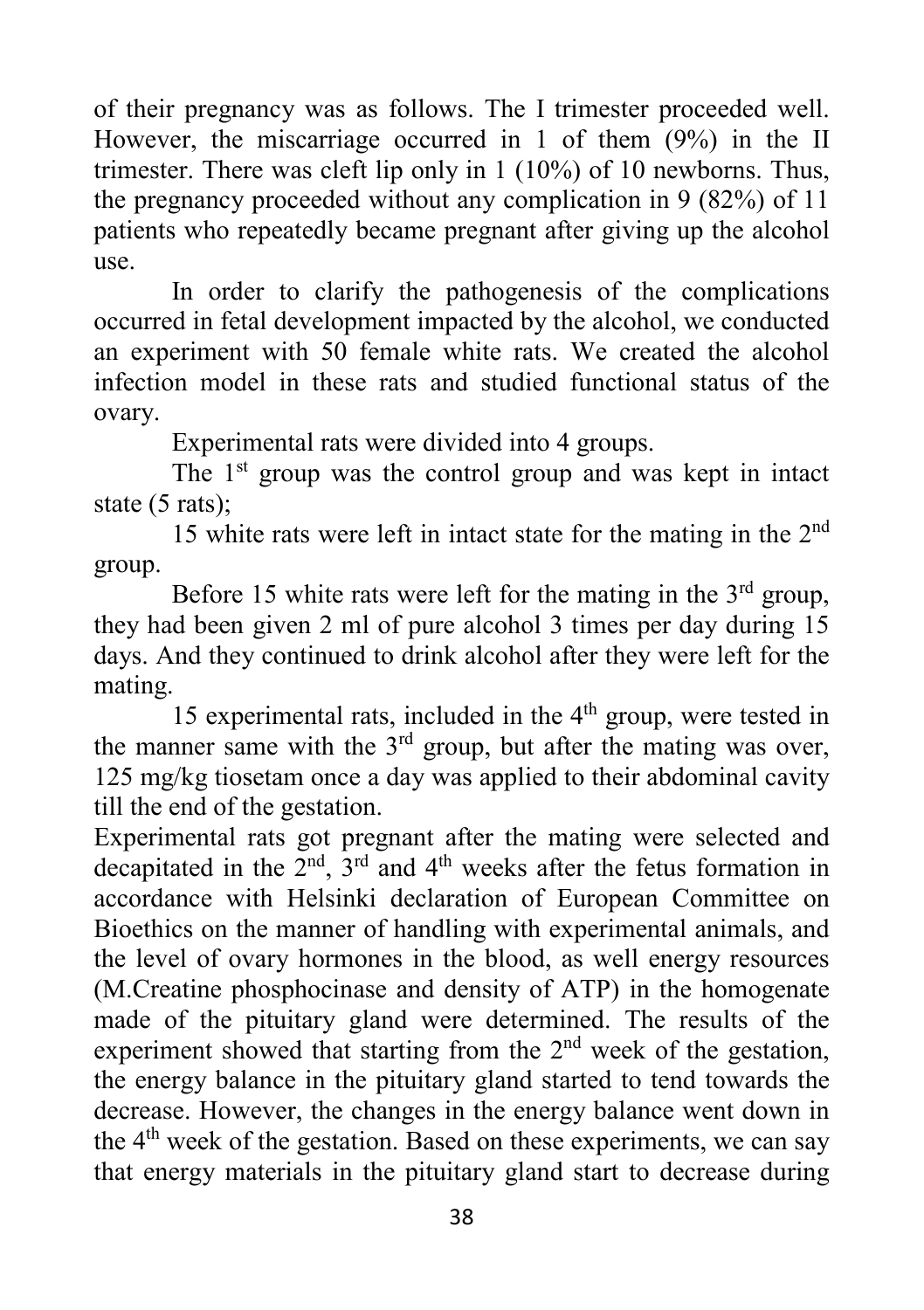of their pregnancy was as follows. The I trimester proceeded well. However, the miscarriage occurred in 1 of them (9%) in the II trimester. There was cleft lip only in 1 (10%) of 10 newborns. Thus, the pregnancy proceeded without any complication in 9 (82%) of 11 patients who repeatedly became pregnant after giving up the alcohol use.

In order to clarify the pathogenesis of the complications occurred in fetal development impacted by the alcohol, we conducted an experiment with 50 female white rats. We created the alcohol infection model in these rats and studied functional status of the ovary.

Experimental rats were divided into 4 groups.

The  $1<sup>st</sup>$  group was the control group and was kept in intact state (5 rats);

15 white rats were left in intact state for the mating in the 2nd group.

Before 15 white rats were left for the mating in the  $3<sup>rd</sup>$  group, they had been given 2 ml of pure alcohol 3 times per day during 15 days. And they continued to drink alcohol after they were left for the mating.

15 experimental rats, included in the 4<sup>th</sup> group, were tested in the manner same with the  $3<sup>rd</sup>$  group, but after the mating was over, 125 mg/kg tiosetam once a day was applied to their abdominal cavity till the end of the gestation.

Experimental rats got pregnant after the mating were selected and decapitated in the  $\tilde{2}^{nd}$ ,  $\tilde{3}^{rd}$  and  $4^{th}$  weeks after the fetus formation in accordance with Helsinki declaration of European Committee on Bioethics on the manner of handling with experimental animals, and the level of ovary hormones in the blood, as well energy resources (M.Creatine phosphocinase and density of ATP) in the homogenate made of the pituitary gland were determined. The results of the experiment showed that starting from the 2<sup>nd</sup> week of the gestation, the energy balance in the pituitary gland started to tend towards the decrease. However, the changes in the energy balance went down in the 4th week of the gestation. Based on these experiments, we can say that energy materials in the pituitary gland start to decrease during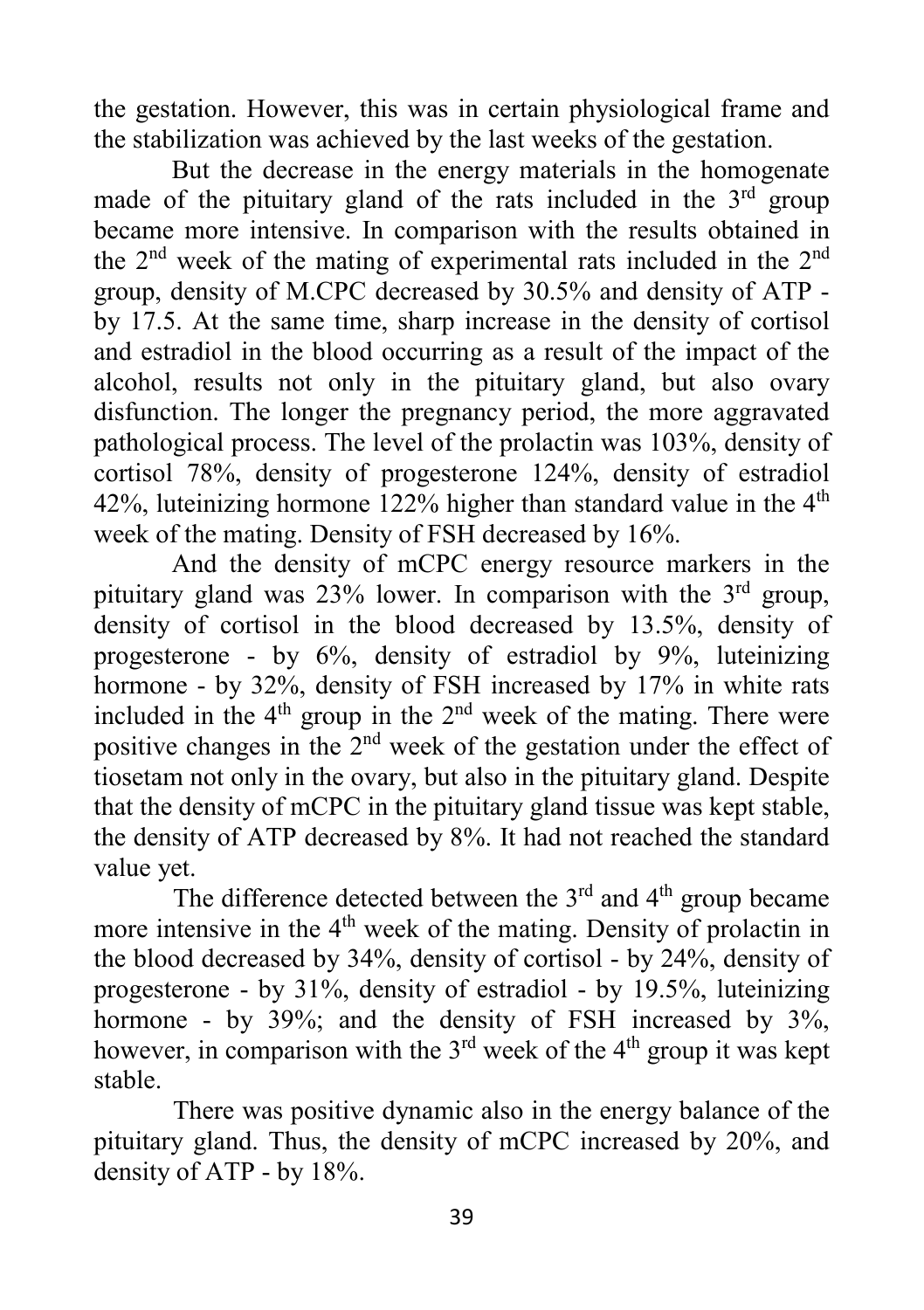the gestation. However, this was in certain physiological frame and the stabilization was achieved by the last weeks of the gestation.

But the decrease in the energy materials in the homogenate made of the pituitary gland of the rats included in the  $3<sup>rd</sup>$  group became more intensive. In comparison with the results obtained in the 2nd week of the mating of experimental rats included in the 2nd group, density of M.CPC decreased by 30.5% and density of ATP by 17.5. At the same time, sharp increase in the density of cortisol and estradiol in the blood occurring as a result of the impact of the alcohol, results not only in the pituitary gland, but also ovary disfunction. The longer the pregnancy period, the more aggravated pathological process. The level of the prolactin was 103%, density of cortisol 78%, density of progesterone 124%, density of estradiol 42%, luteinizing hormone 122% higher than standard value in the  $4<sup>th</sup>$ week of the mating. Density of FSH decreased by 16%.

And the density of mCPC energy resource markers in the pituitary gland was  $23\%$  lower. In comparison with the  $3<sup>rd</sup>$  group, density of cortisol in the blood decreased by 13.5%, density of progesterone - by 6%, density of estradiol by 9%, luteinizing hormone - by 32%, density of FSH increased by 17% in white rats included in the  $4<sup>th</sup>$  group in the  $2<sup>nd</sup>$  week of the mating. There were positive changes in the 2nd week of the gestation under the effect of tiosetam not only in the ovary, but also in the pituitary gland. Despite that the density of mCPC in the pituitary gland tissue was kept stable, the density of ATP decreased by 8%. It had not reached the standard value yet.

The difference detected between the  $3<sup>rd</sup>$  and  $4<sup>th</sup>$  group became more intensive in the 4<sup>th</sup> week of the mating. Density of prolactin in the blood decreased by 34%, density of cortisol - by 24%, density of progesterone - by 31%, density of estradiol - by 19.5%, luteinizing hormone - by 39%; and the density of FSH increased by 3%, however, in comparison with the  $3<sup>rd</sup>$  week of the  $4<sup>th</sup>$  group it was kept stable.

There was positive dynamic also in the energy balance of the pituitary gland. Thus, the density of mCPC increased by 20%, and density of ATP - by 18%.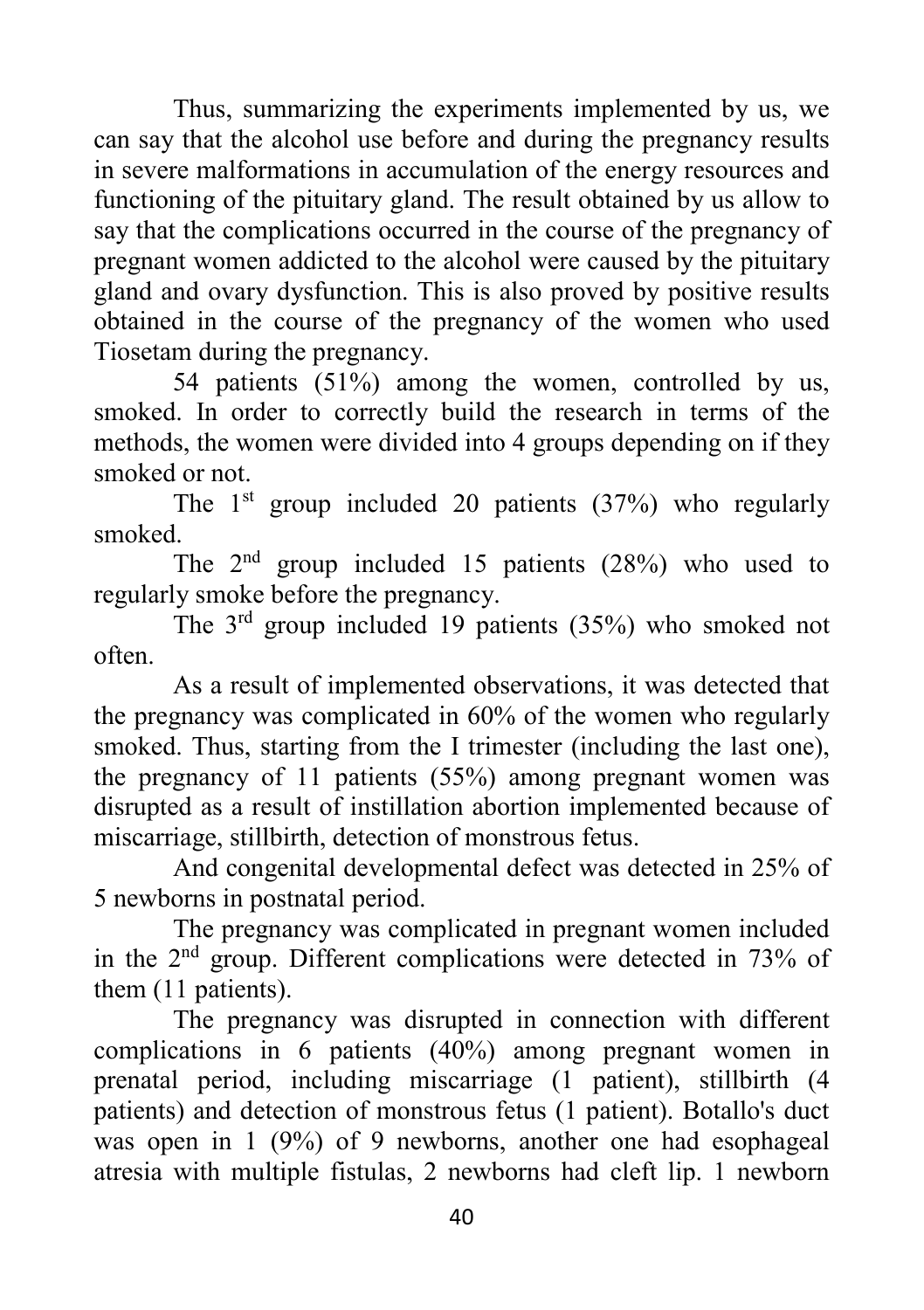Thus, summarizing the experiments implemented by us, we can say that the alcohol use before and during the pregnancy results in severe malformations in accumulation of the energy resources and functioning of the pituitary gland. The result obtained by us allow to say that the complications occurred in the course of the pregnancy of pregnant women addicted to the alcohol were caused by the pituitary gland and ovary dysfunction. This is also proved by positive results obtained in the course of the pregnancy of the women who used Tiosetam during the pregnancy.

54 patients (51%) among the women, controlled by us, smoked. In order to correctly build the research in terms of the methods, the women were divided into 4 groups depending on if they smoked or not.

The  $1<sup>st</sup>$  group included 20 patients (37%) who regularly smoked.

The  $2<sup>nd</sup>$  group included 15 patients (28%) who used to regularly smoke before the pregnancy.

The 3rd group included 19 patients (35%) who smoked not often.

As a result of implemented observations, it was detected that the pregnancy was complicated in 60% of the women who regularly smoked. Thus, starting from the I trimester (including the last one), the pregnancy of 11 patients (55%) among pregnant women was disrupted as a result of instillation abortion implemented because of miscarriage, stillbirth, detection of monstrous fetus.

And congenital developmental defect was detected in 25% of 5 newborns in postnatal period.

The pregnancy was complicated in pregnant women included in the 2nd group. Different complications were detected in 73% of them (11 patients).

The pregnancy was disrupted in connection with different complications in 6 patients (40%) among pregnant women in prenatal period, including miscarriage (1 patient), stillbirth (4 patients) and detection of monstrous fetus (1 patient). Botallo's duct was open in 1 (9%) of 9 newborns, another one had esophageal atresia with multiple fistulas, 2 newborns had cleft lip. 1 newborn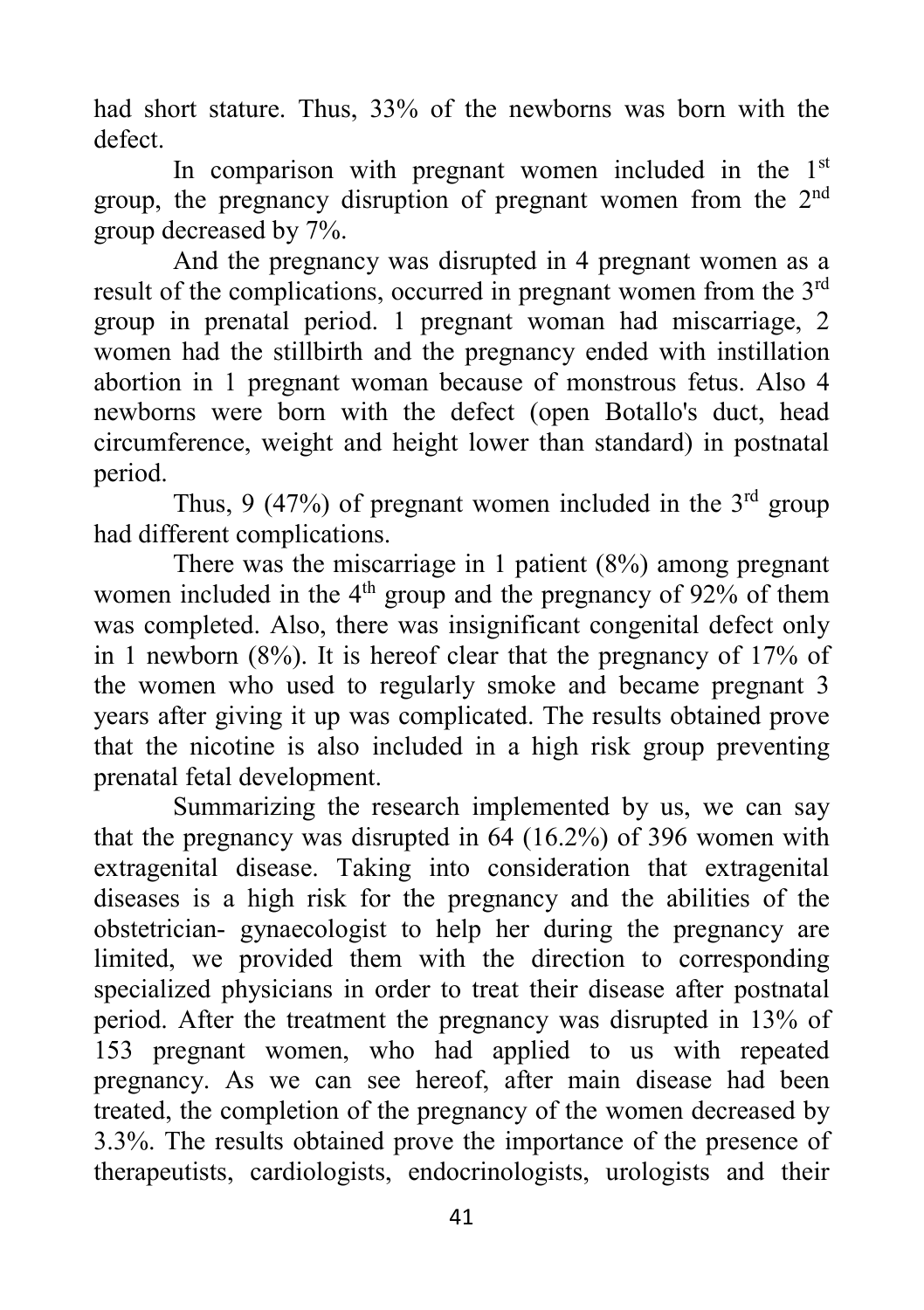had short stature. Thus, 33% of the newborns was born with the defect.

In comparison with pregnant women included in the  $1<sup>st</sup>$ group, the pregnancy disruption of pregnant women from the 2<sup>nd</sup> group decreased by 7%.

And the pregnancy was disrupted in 4 pregnant women as a result of the complications, occurred in pregnant women from the 3rd group in prenatal period. 1 pregnant woman had miscarriage, 2 women had the stillbirth and the pregnancy ended with instillation abortion in 1 pregnant woman because of monstrous fetus. Also 4 newborns were born with the defect (open Botallo's duct, head circumference, weight and height lower than standard) in postnatal period.

Thus, 9 (47%) of pregnant women included in the  $3<sup>rd</sup>$  group had different complications.

There was the miscarriage in 1 patient (8%) among pregnant women included in the  $4<sup>th</sup>$  group and the pregnancy of 92% of them was completed. Also, there was insignificant congenital defect only in 1 newborn (8%). It is hereof clear that the pregnancy of 17% of the women who used to regularly smoke and became pregnant 3 years after giving it up was complicated. The results obtained prove that the nicotine is also included in a high risk group preventing prenatal fetal development.

Summarizing the research implemented by us, we can say that the pregnancy was disrupted in 64 (16.2%) of 396 women with extragenital disease. Taking into consideration that extragenital diseases is a high risk for the pregnancy and the abilities of the obstetrician- gynaecologist to help her during the pregnancy are limited, we provided them with the direction to corresponding specialized physicians in order to treat their disease after postnatal period. After the treatment the pregnancy was disrupted in 13% of 153 pregnant women, who had applied to us with repeated pregnancy. As we can see hereof, after main disease had been treated, the completion of the pregnancy of the women decreased by 3.3%. The results obtained prove the importance of the presence of therapeutists, cardiologists, endocrinologists, urologists and their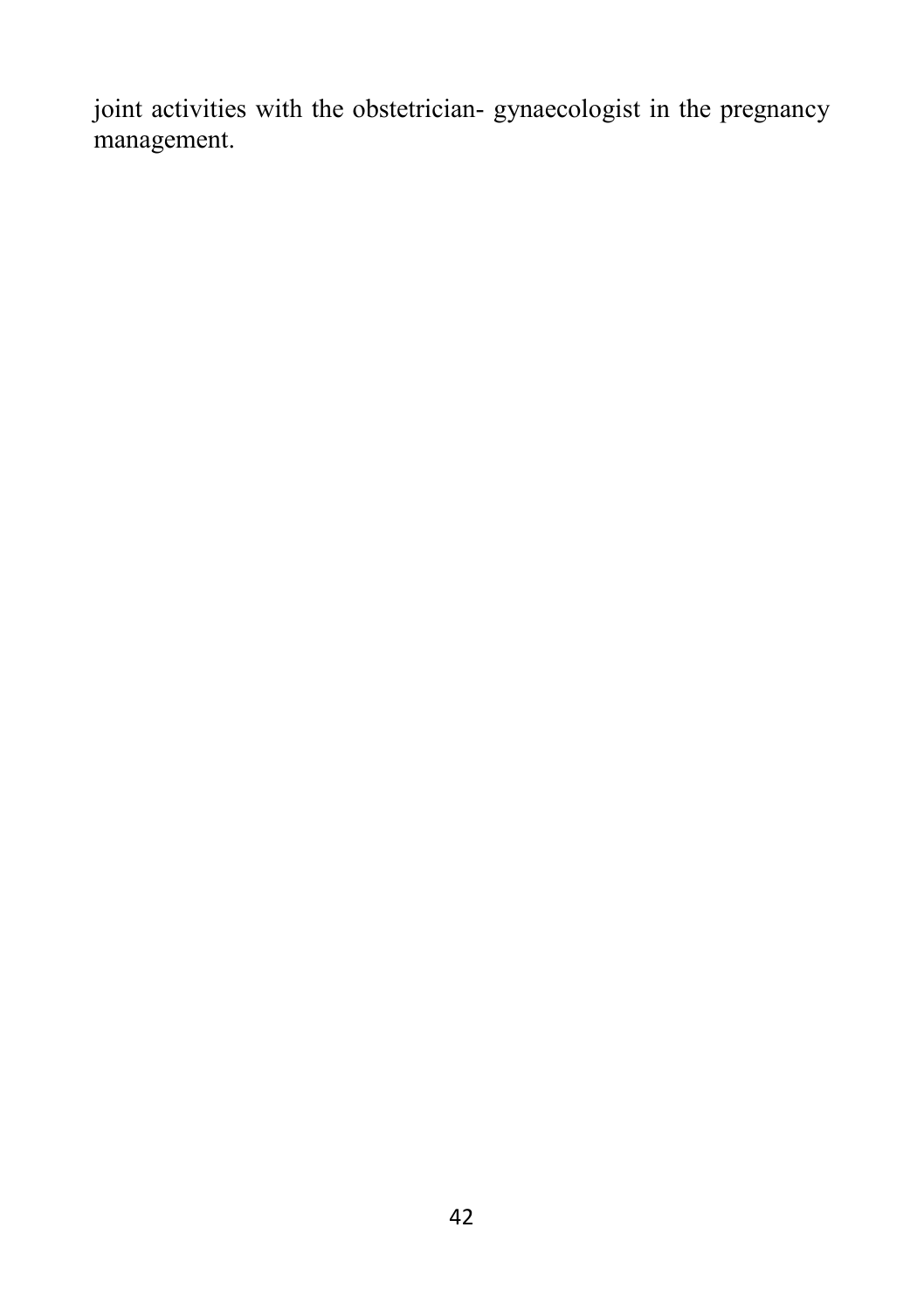joint activities with the obstetrician- gynaecologist in the pregnancy management.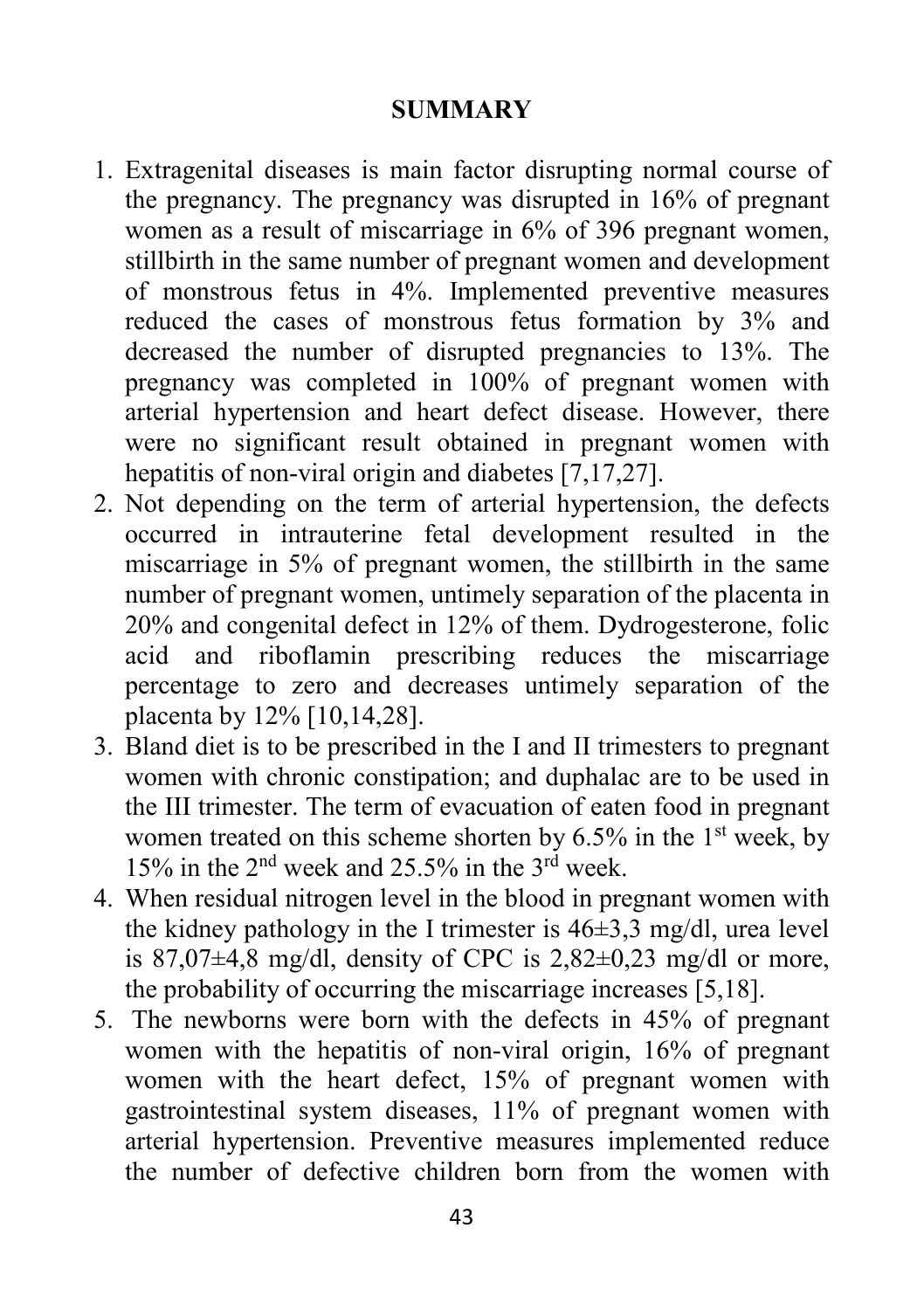## **SUMMARY**

- 1. Extragenital diseases is main factor disrupting normal course of the pregnancy. The pregnancy was disrupted in 16% of pregnant women as a result of miscarriage in 6% of 396 pregnant women, stillbirth in the same number of pregnant women and development of monstrous fetus in 4%. Implemented preventive measures reduced the cases of monstrous fetus formation by 3% and decreased the number of disrupted pregnancies to 13%. The pregnancy was completed in 100% of pregnant women with arterial hypertension and heart defect disease. However, there were no significant result obtained in pregnant women with hepatitis of non-viral origin and diabetes [7,17,27].
- 2. Not depending on the term of arterial hypertension, the defects occurred in intrauterine fetal development resulted in the miscarriage in 5% of pregnant women, the stillbirth in the same number of pregnant women, untimely separation of the placenta in 20% and congenital defect in 12% of them. Dydrogesterone, folic acid and riboflamin prescribing reduces the miscarriage percentage to zero and decreases untimely separation of the placenta by 12% [10,14,28].
- 3. Bland diet is to be prescribed in the I and II trimesters to pregnant women with chronic constipation; and duphalac are to be used in the III trimester. The term of evacuation of eaten food in pregnant women treated on this scheme shorten by  $6.5\%$  in the 1<sup>st</sup> week, by 15% in the  $2<sup>nd</sup>$  week and 25.5% in the  $3<sup>rd</sup>$  week.
- 4. When residual nitrogen level in the blood in pregnant women with the kidney pathology in the I trimester is 46±3,3 mg/dl, urea level is  $87,07\pm4,8$  mg/dl, density of CPC is  $2,82\pm0,23$  mg/dl or more, the probability of occurring the miscarriage increases [5,18].
- 5. The newborns were born with the defects in 45% of pregnant women with the hepatitis of non-viral origin, 16% of pregnant women with the heart defect, 15% of pregnant women with gastrointestinal system diseases, 11% of pregnant women with arterial hypertension. Preventive measures implemented reduce the number of defective children born from the women with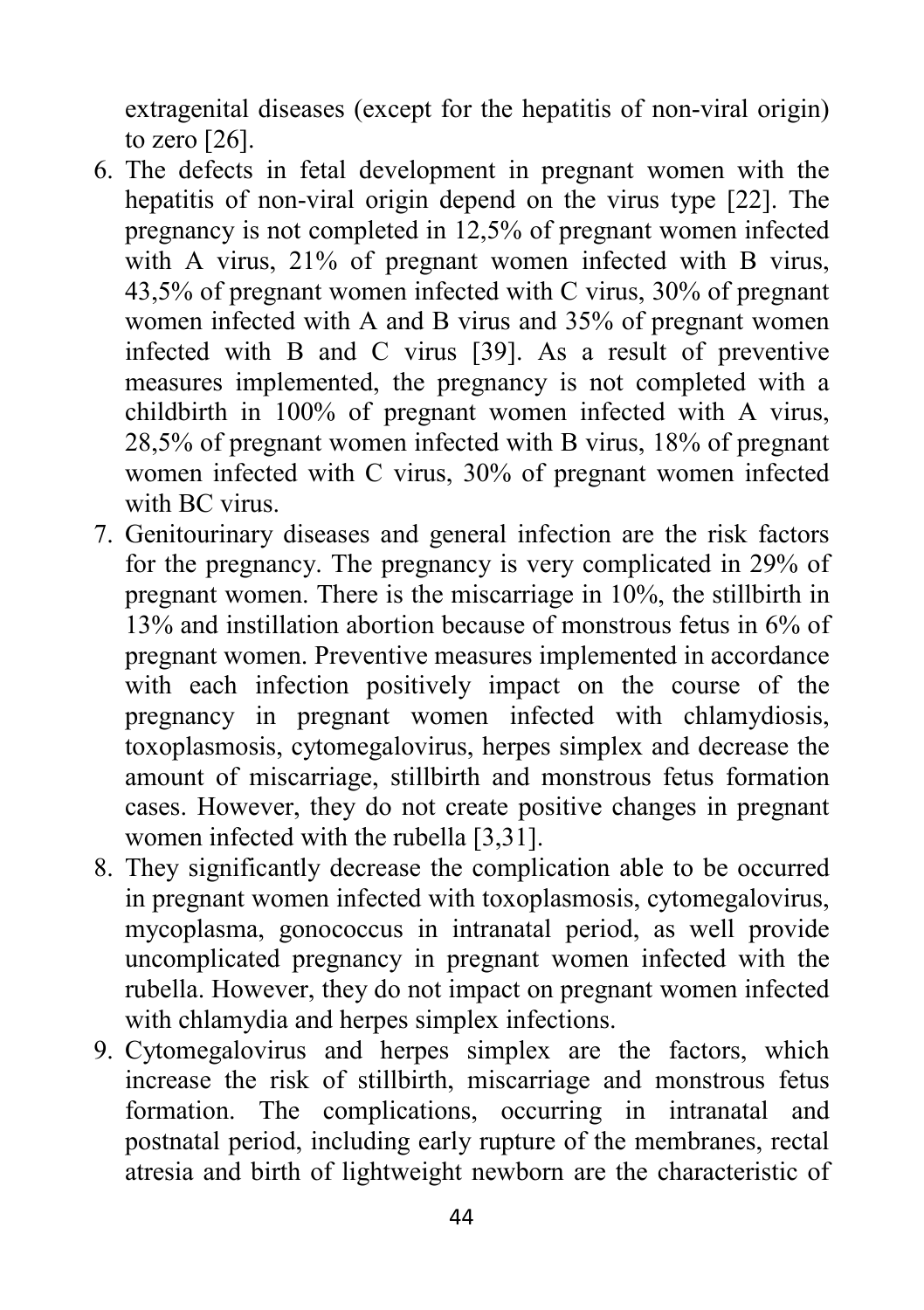extragenital diseases (except for the hepatitis of non-viral origin) to zero [26].

- 6. The defects in fetal development in pregnant women with the hepatitis of non-viral origin depend on the virus type [22]. The pregnancy is not completed in 12,5% of pregnant women infected with A virus, 21% of pregnant women infected with B virus, 43,5% of pregnant women infected with C virus, 30% of pregnant women infected with A and B virus and 35% of pregnant women infected with B and C virus [39]. As a result of preventive measures implemented, the pregnancy is not completed with a childbirth in 100% of pregnant women infected with A virus, 28,5% of pregnant women infected with B virus, 18% of pregnant women infected with C virus, 30% of pregnant women infected with BC virus.
- 7. Genitourinary diseases and general infection are the risk factors for the pregnancy. The pregnancy is very complicated in 29% of pregnant women. There is the miscarriage in 10%, the stillbirth in 13% and instillation abortion because of monstrous fetus in 6% of pregnant women. Preventive measures implemented in accordance with each infection positively impact on the course of the pregnancy in pregnant women infected with chlamydiosis, toxoplasmosis, cytomegalovirus, herpes simplex and decrease the amount of miscarriage, stillbirth and monstrous fetus formation cases. However, they do not create positive changes in pregnant women infected with the rubella [3,31].
- 8. They significantly decrease the complication able to be occurred in pregnant women infected with toxoplasmosis, cytomegalovirus, mycoplasma, gonococcus in intranatal period, as well provide uncomplicated pregnancy in pregnant women infected with the rubella. However, they do not impact on pregnant women infected with chlamydia and herpes simplex infections.
- 9. Cytomegalovirus and herpes simplex are the factors, which increase the risk of stillbirth, miscarriage and monstrous fetus formation. The complications, occurring in intranatal and postnatal period, including early rupture of the membranes, rectal atresia and birth of lightweight newborn are the characteristic of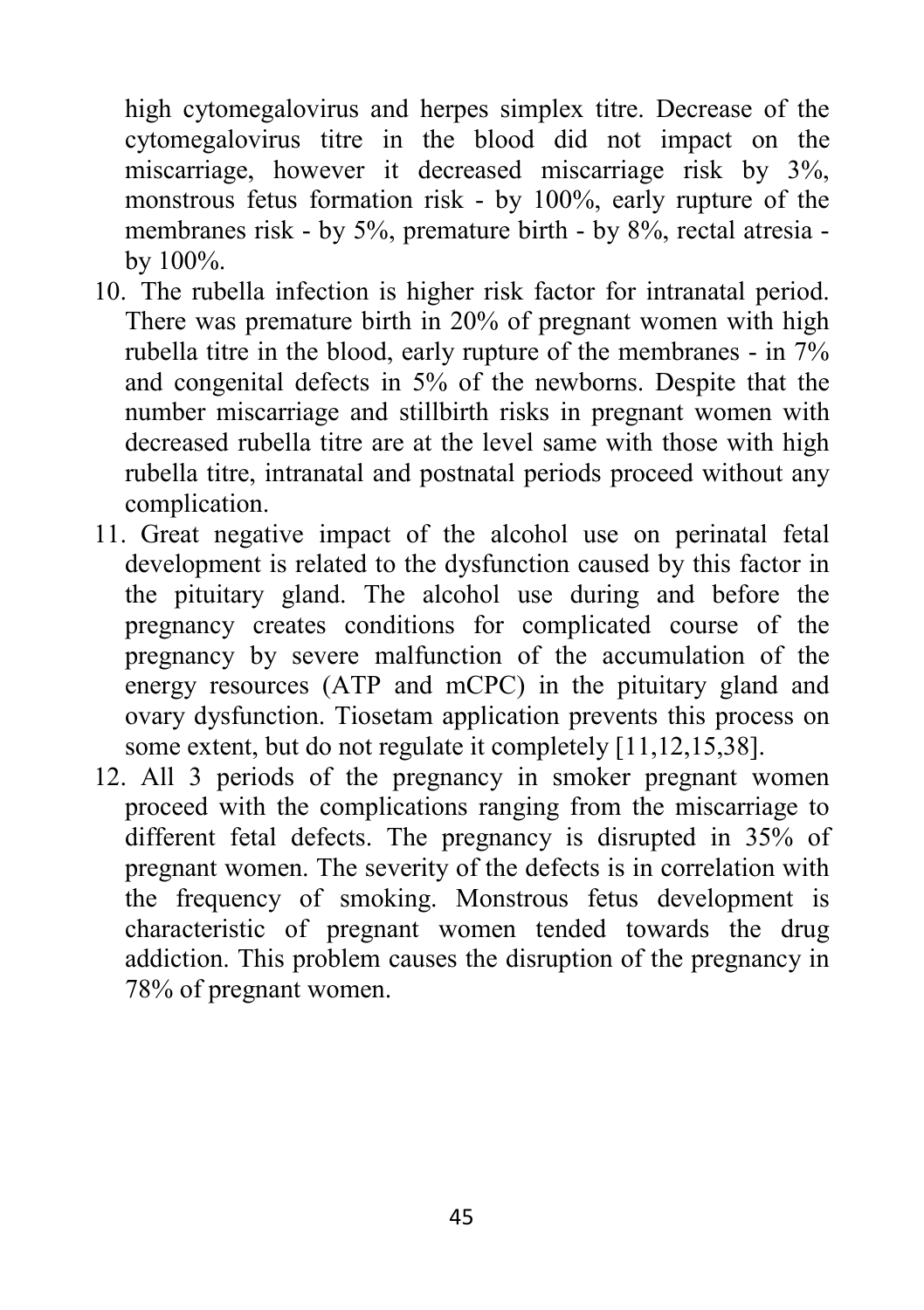high cytomegalovirus and herpes simplex titre. Decrease of the cytomegalovirus titre in the blood did not impact on the miscarriage, however it decreased miscarriage risk by 3%, monstrous fetus formation risk - by 100%, early rupture of the membranes risk - by 5%, premature birth - by 8%, rectal atresia by 100%.

- 10. The rubella infection is higher risk factor for intranatal period. There was premature birth in 20% of pregnant women with high rubella titre in the blood, early rupture of the membranes - in 7% and congenital defects in 5% of the newborns. Despite that the number miscarriage and stillbirth risks in pregnant women with decreased rubella titre are at the level same with those with high rubella titre, intranatal and postnatal periods proceed without any complication.
- 11. Great negative impact of the alcohol use on perinatal fetal development is related to the dysfunction caused by this factor in the pituitary gland. The alcohol use during and before the pregnancy creates conditions for complicated course of the pregnancy by severe malfunction of the accumulation of the energy resources (ATP and mCPC) in the pituitary gland and ovary dysfunction. Tiosetam application prevents this process on some extent, but do not regulate it completely [11,12,15,38].
- 12. All 3 periods of the pregnancy in smoker pregnant women proceed with the complications ranging from the miscarriage to different fetal defects. The pregnancy is disrupted in 35% of pregnant women. The severity of the defects is in correlation with the frequency of smoking. Monstrous fetus development is characteristic of pregnant women tended towards the drug addiction. This problem causes the disruption of the pregnancy in 78% of pregnant women.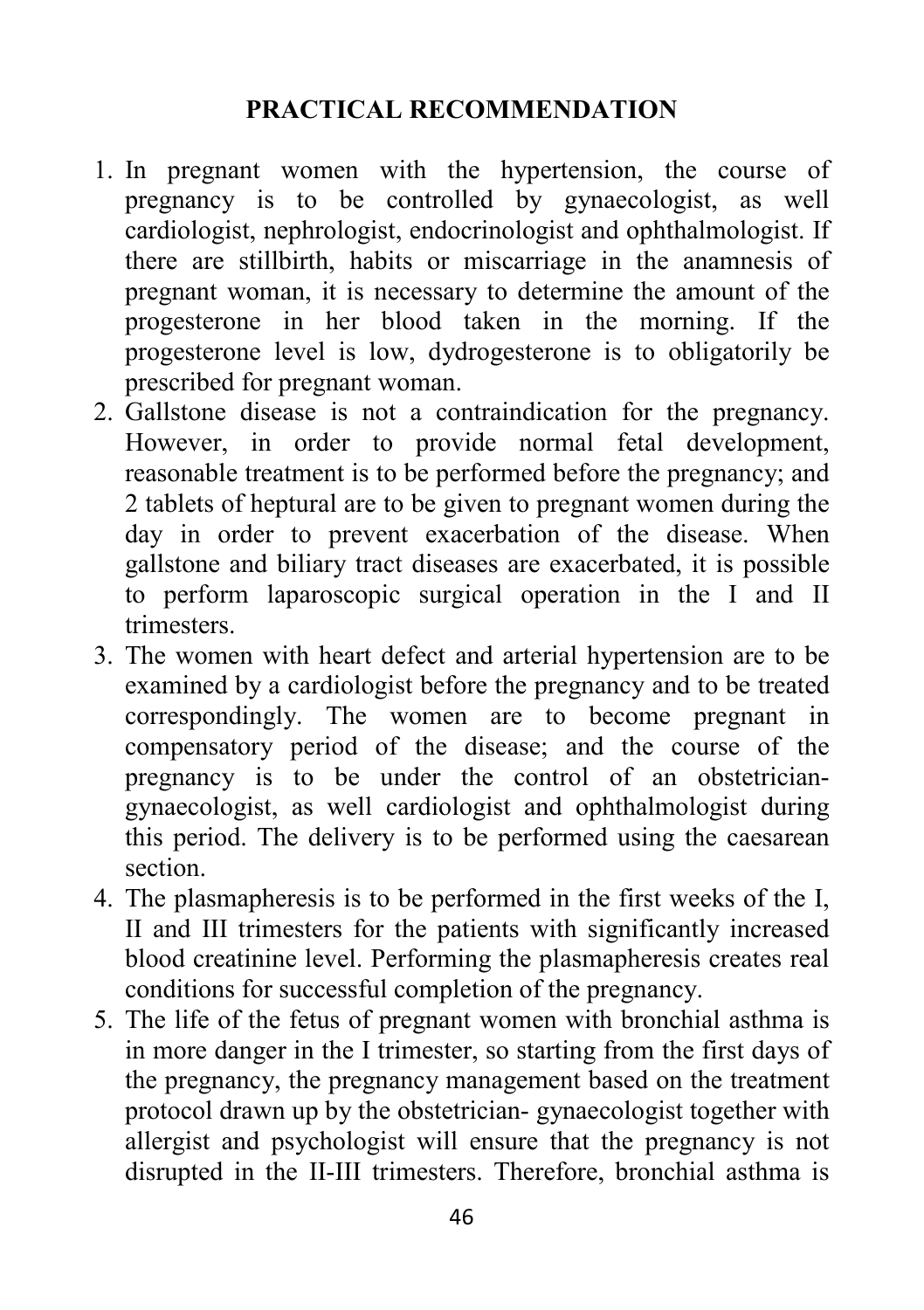## **PRACTICAL RECOMMENDATION**

- 1. In pregnant women with the hypertension, the course of pregnancy is to be controlled by gynaecologist, as well cardiologist, nephrologist, endocrinologist and ophthalmologist. If there are stillbirth, habits or miscarriage in the anamnesis of pregnant woman, it is necessary to determine the amount of the progesterone in her blood taken in the morning. If the progesterone level is low, dydrogesterone is to obligatorily be prescribed for pregnant woman.
- 2. Gallstone disease is not a contraindication for the pregnancy. However, in order to provide normal fetal development, reasonable treatment is to be performed before the pregnancy; and 2 tablets of heptural are to be given to pregnant women during the day in order to prevent exacerbation of the disease. When gallstone and biliary tract diseases are exacerbated, it is possible to perform laparoscopic surgical operation in the I and II trimesters.
- 3. The women with heart defect and arterial hypertension are to be examined by a cardiologist before the pregnancy and to be treated correspondingly. The women are to become pregnant in compensatory period of the disease; and the course of the pregnancy is to be under the control of an obstetriciangynaecologist, as well cardiologist and ophthalmologist during this period. The delivery is to be performed using the caesarean section.
- 4. The plasmapheresis is to be performed in the first weeks of the I, II and III trimesters for the patients with significantly increased blood creatinine level. Performing the plasmapheresis creates real conditions for successful completion of the pregnancy.
- 5. The life of the fetus of pregnant women with bronchial asthma is in more danger in the I trimester, so starting from the first days of the pregnancy, the pregnancy management based on the treatment protocol drawn up by the obstetrician- gynaecologist together with allergist and psychologist will ensure that the pregnancy is not disrupted in the II-III trimesters. Therefore, bronchial asthma is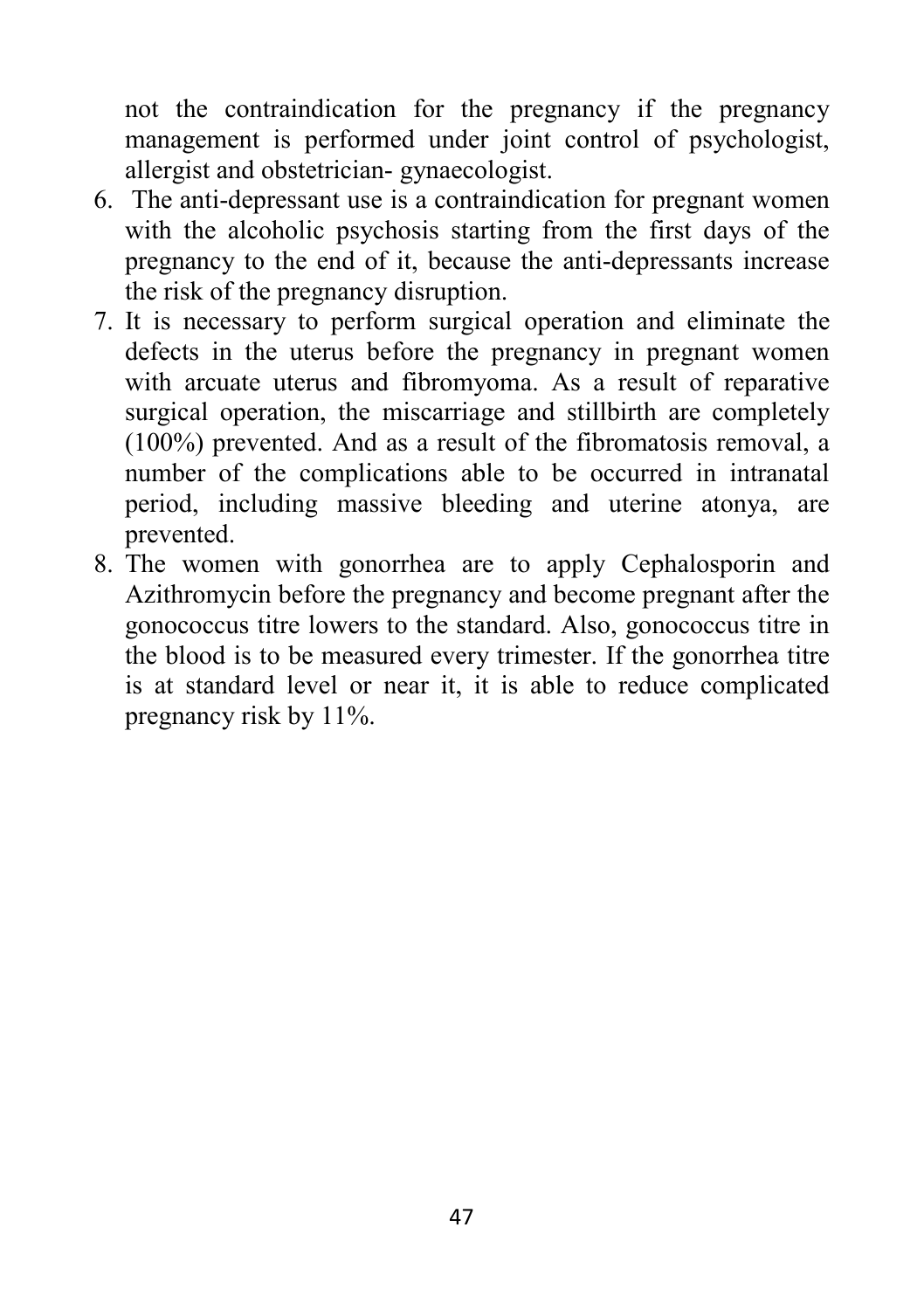not the contraindication for the pregnancy if the pregnancy management is performed under joint control of psychologist, allergist and obstetrician- gynaecologist.

- 6. The anti-depressant use is a contraindication for pregnant women with the alcoholic psychosis starting from the first days of the pregnancy to the end of it, because the anti-depressants increase the risk of the pregnancy disruption.
- 7. It is necessary to perform surgical operation and eliminate the defects in the uterus before the pregnancy in pregnant women with arcuate uterus and fibromyoma. As a result of reparative surgical operation, the miscarriage and stillbirth are completely (100%) prevented. And as a result of the fibromatosis removal, a number of the complications able to be occurred in intranatal period, including massive bleeding and uterine atonya, are prevented.
- 8. The women with gonorrhea are to apply Cephalosporin and Azithromycin before the pregnancy and become pregnant after the gonococcus titre lowers to the standard. Also, gonococcus titre in the blood is to be measured every trimester. If the gonorrhea titre is at standard level or near it, it is able to reduce complicated pregnancy risk by 11%.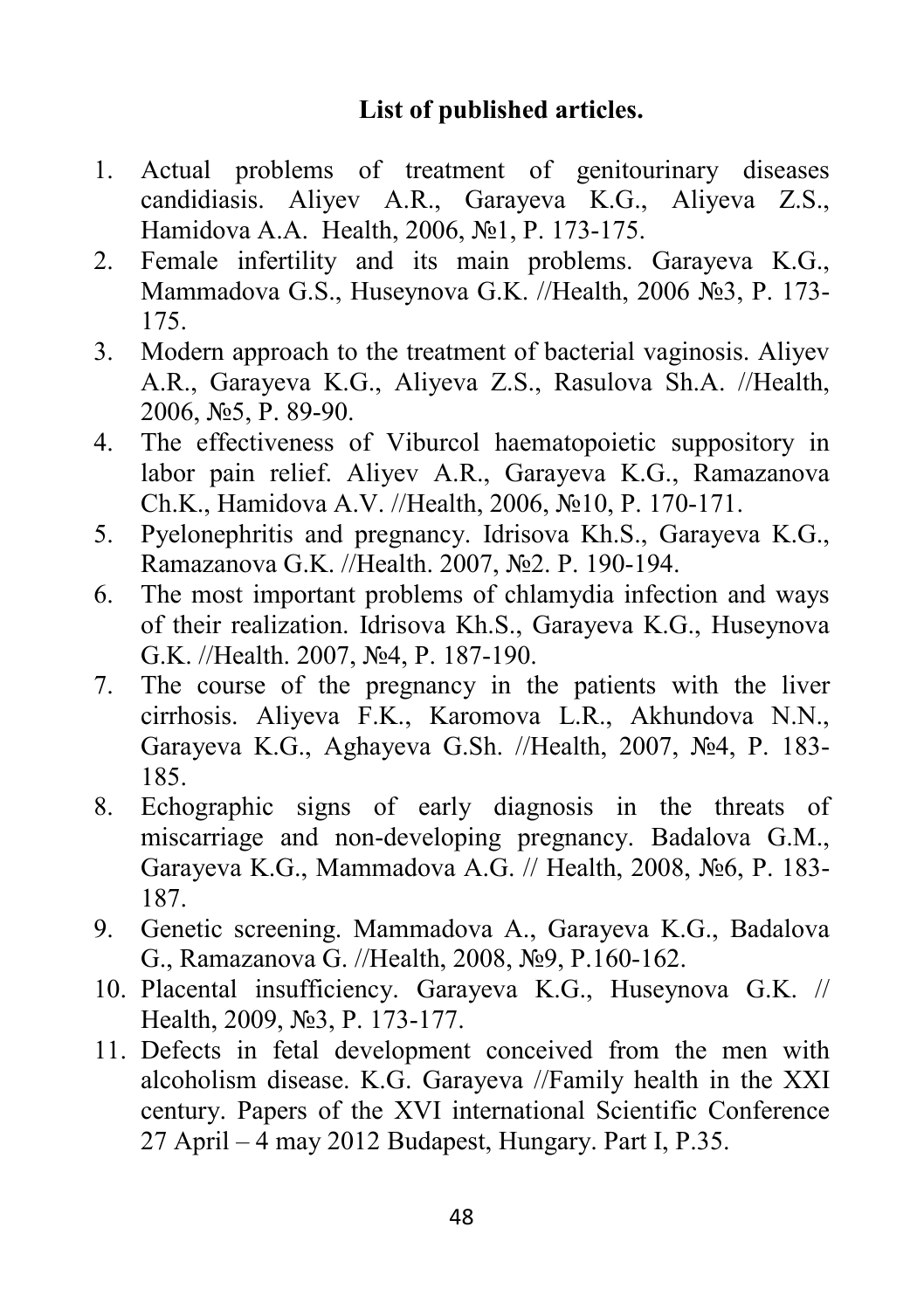## **List of published articles.**

- 1. Actual problems of treatment of genitourinary diseases candidiasis. Aliyev A.R., Garayeva K.G., Aliyeva Z.S., Hamidova A.A. Health, 2006, №1, P. 173-175.
- 2. Female infertility and its main problems. Garayeva K.G., Mammadova G.S., Huseynova G.K. //Health, 2006 №3, P. 173- 175.
- 3. Modern approach to the treatment of bacterial vaginosis. Aliyev A.R., Garayeva K.G., Aliyeva Z.S., Rasulova Sh.A. //Health, 2006, №5, P. 89-90.
- 4. The effectiveness of Viburcol haematopoietic suppository in labor pain relief. Aliyev A.R., Garayeva K.G., Ramazanova Ch.K., Hamidova A.V. //Health, 2006, №10, P. 170-171.
- 5. Pyelonephritis and pregnancy. Idrisova Kh.S., Garayeva K.G., Ramazanova G.K. //Health. 2007, №2. P. 190-194.
- 6. The most important problems of chlamydia infection and ways of their realization. Idrisova Kh.S., Garayeva K.G., Huseynova G.K. //Health. 2007, №4, P. 187-190.
- 7. The course of the pregnancy in the patients with the liver cirrhosis. Aliyeva F.K., Karomova L.R., Akhundova N.N., Garayeva K.G., Aghayeva G.Sh. //Health, 2007, №4, P. 183- 185.
- 8. Echographic signs of early diagnosis in the threats of miscarriage and non-developing pregnancy. Badalova G.M., Garayeva K.G., Mammadova A.G. // Health, 2008, №6, P. 183- 187.
- 9. Genetic screening. Mammadova A., Garayeva K.G., Badalova G., Ramazanova G. //Health, 2008, №9, P.160-162.
- 10. Placental insufficiency. Garayeva K.G., Huseynova G.K. // Health, 2009, №3, P. 173-177.
- 11. Defects in fetal development conceived from the men with alcoholism disease. K.G. Garayeva //Family health in the XXI century. Papers of the XVI international Scientific Conference 27 April – 4 may 2012 Budapest, Hungary. Part I, P.35.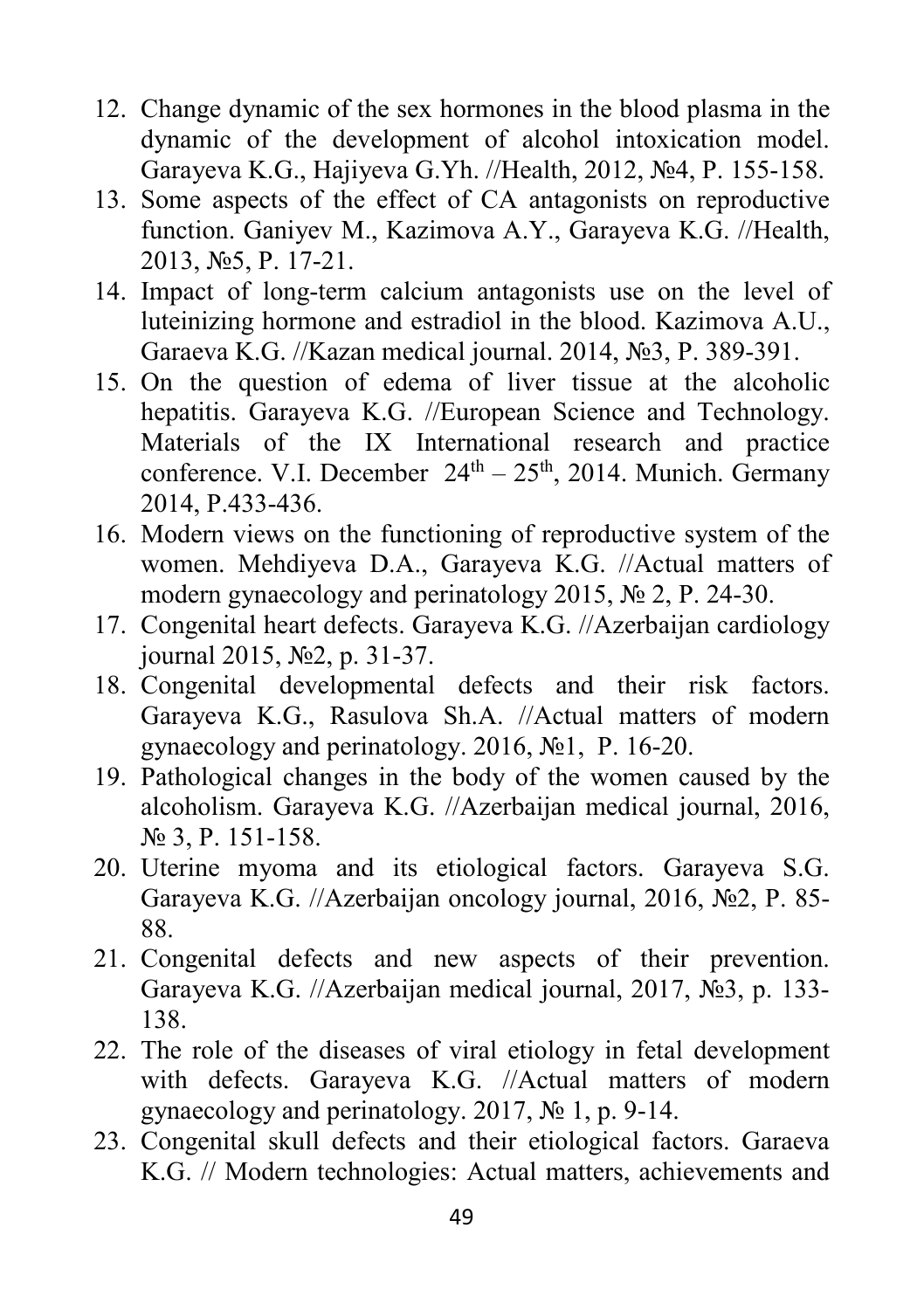- 12. Change dynamic of the sex hormones in the blood plasma in the dynamic of the development of alcohol intoxication model. Garayeva K.G., Hajiyeva G.Yh. //Health, 2012, №4, P. 155-158.
- 13. Some aspects of the effect of CA antagonists on reproductive function. Ganiyev M., Kazimova A.Y., Garayeva K.G. //Health, 2013, №5, P. 17-21.
- 14. Impact of long-term calcium antagonists use on the level of luteinizing hormone and estradiol in the blood. Kazimova A.U., Garaeva K.G. //Kazan medical journal. 2014, №3, P. 389-391.
- 15. On the question of edema of liver tissue at the alcoholic hepatitis. Garayeva K.G. //European Science and Technology. Materials of the IX International research and practice conference. V.I. December  $24<sup>th</sup> - 25<sup>th</sup>$ , 2014. Munich. Germany 2014, P.433-436.
- 16. Modern views on the functioning of reproductive system of the women. Mehdiyeva D.A., Garayeva K.G. //Actual matters of modern gynaecology and perinatology 2015, № 2, P. 24-30.
- 17. Congenital heart defects. Garayeva K.G. //Azerbaijan cardiology journal 2015, №2, p. 31-37.
- 18. Congenital developmental defects and their risk factors. Garayeva K.G., Rasulova Sh.A. //Actual matters of modern gynaecology and perinatology. 2016, №1, P. 16-20.
- 19. Pathological changes in the body of the women caused by the alcoholism. Garayeva K.G. //Azerbaijan medical journal, 2016, № 3, P. 151-158.
- 20. Uterine myoma and its etiological factors. Garayeva S.G. Garayeva K.G. //Azerbaijan oncology journal, 2016, №2, P. 85- 88.
- 21. Congenital defects and new aspects of their prevention. Garayeva K.G. //Azerbaijan medical journal, 2017, №3, p. 133- 138.
- 22. The role of the diseases of viral etiology in fetal development with defects. Garayeva K.G. //Actual matters of modern gynaecology and perinatology. 2017, № 1, p. 9-14.
- 23. Congenital skull defects and their etiological factors. Garaeva K.G. // Modern technologies: Actual matters, achievements and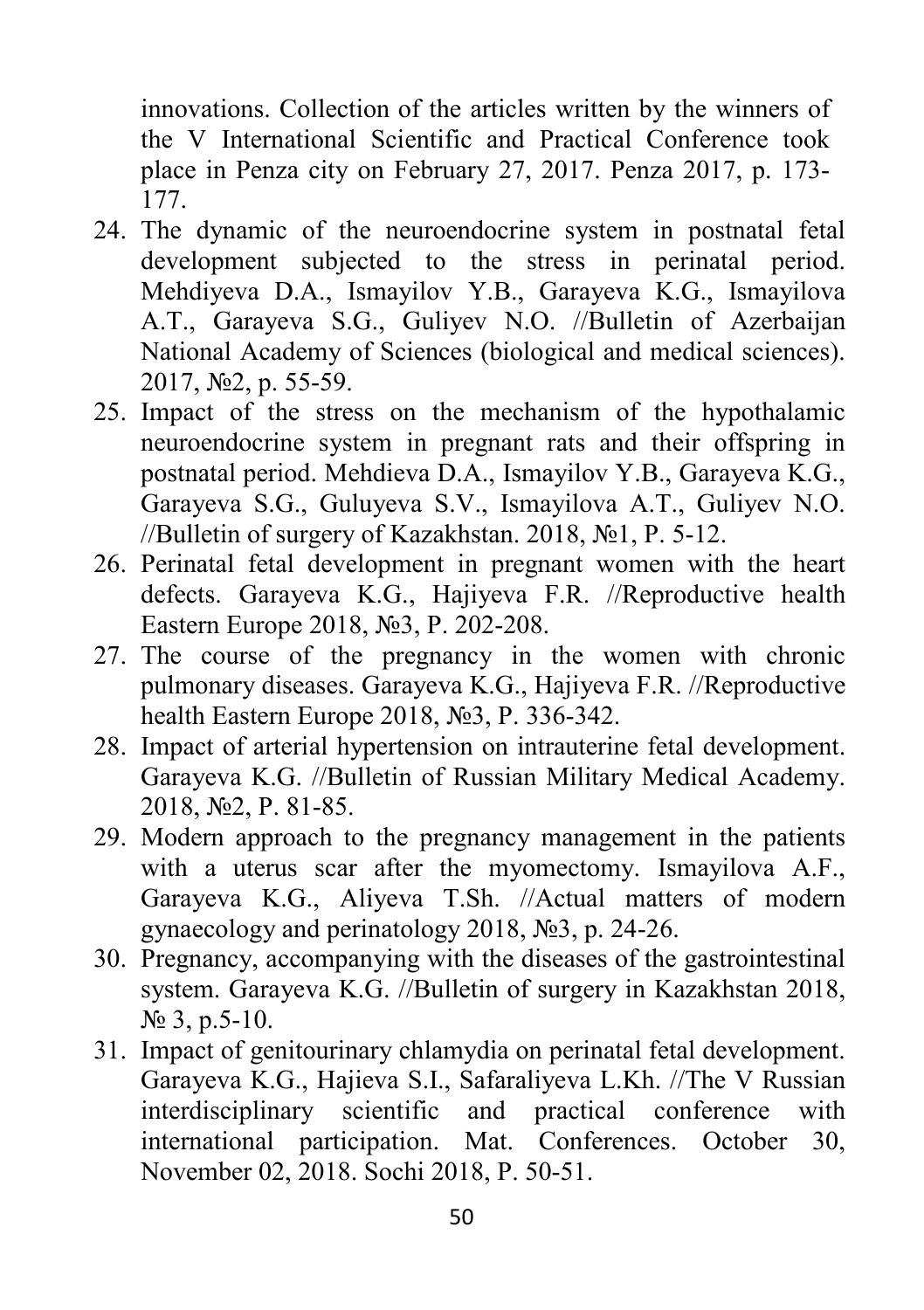innovations. Collection of the articles written by the winners of the V International Scientific and Practical Conference took place in Penza city on February 27, 2017. Penza 2017, p. 173- 177.

- 24. The dynamic of the neuroendocrine system in postnatal fetal development subjected to the stress in perinatal period. Mehdiyeva D.A., Ismayilov Y.B., Garayeva K.G., Ismayilova A.T., Garayeva S.G., Guliyev N.O. //Bulletin of Azerbaijan National Academy of Sciences (biological and medical sciences). 2017, №2, p. 55-59.
- 25. Impact of the stress on the mechanism of the hypothalamic neuroendocrine system in pregnant rats and their offspring in postnatal period. Mehdieva D.A., Ismayilov Y.B., Garayeva K.G., Garayeva S.G., Guluyeva S.V., Ismayilova A.T., Guliyev N.O. //Bulletin of surgery of Kazakhstan. 2018, №1, P. 5-12.
- 26. Perinatal fetal development in pregnant women with the heart defects. Garayeva K.G., Hajiyeva F.R. //Reproductive health Eastern Europe 2018, №3, P. 202-208.
- 27. The course of the pregnancy in the women with chronic pulmonary diseases. Garayeva K.G., Hajiyeva F.R. //Reproductive health Eastern Europe 2018, №3, P. 336-342.
- 28. Impact of arterial hypertension on intrauterine fetal development. Garayeva K.G. //Bulletin of Russian Military Medical Academy. 2018, №2, P. 81-85.
- 29. Modern approach to the pregnancy management in the patients with a uterus scar after the myomectomy. Ismayilova A.F., Garayeva K.G., Aliyeva T.Sh. //Actual matters of modern gynaecology and perinatology 2018, №3, p. 24-26.
- 30. Pregnancy, accompanying with the diseases of the gastrointestinal system. Garayeva K.G. //Bulletin of surgery in Kazakhstan 2018, № 3, p.5-10.
- 31. Impact of genitourinary chlamydia on perinatal fetal development. Garayeva K.G., Hajieva S.I., Safaraliyeva L.Kh. //The V Russian interdisciplinary scientific and practical conference with international participation. Mat. Conferences. October 30, November 02, 2018. Sochi 2018, P. 50-51.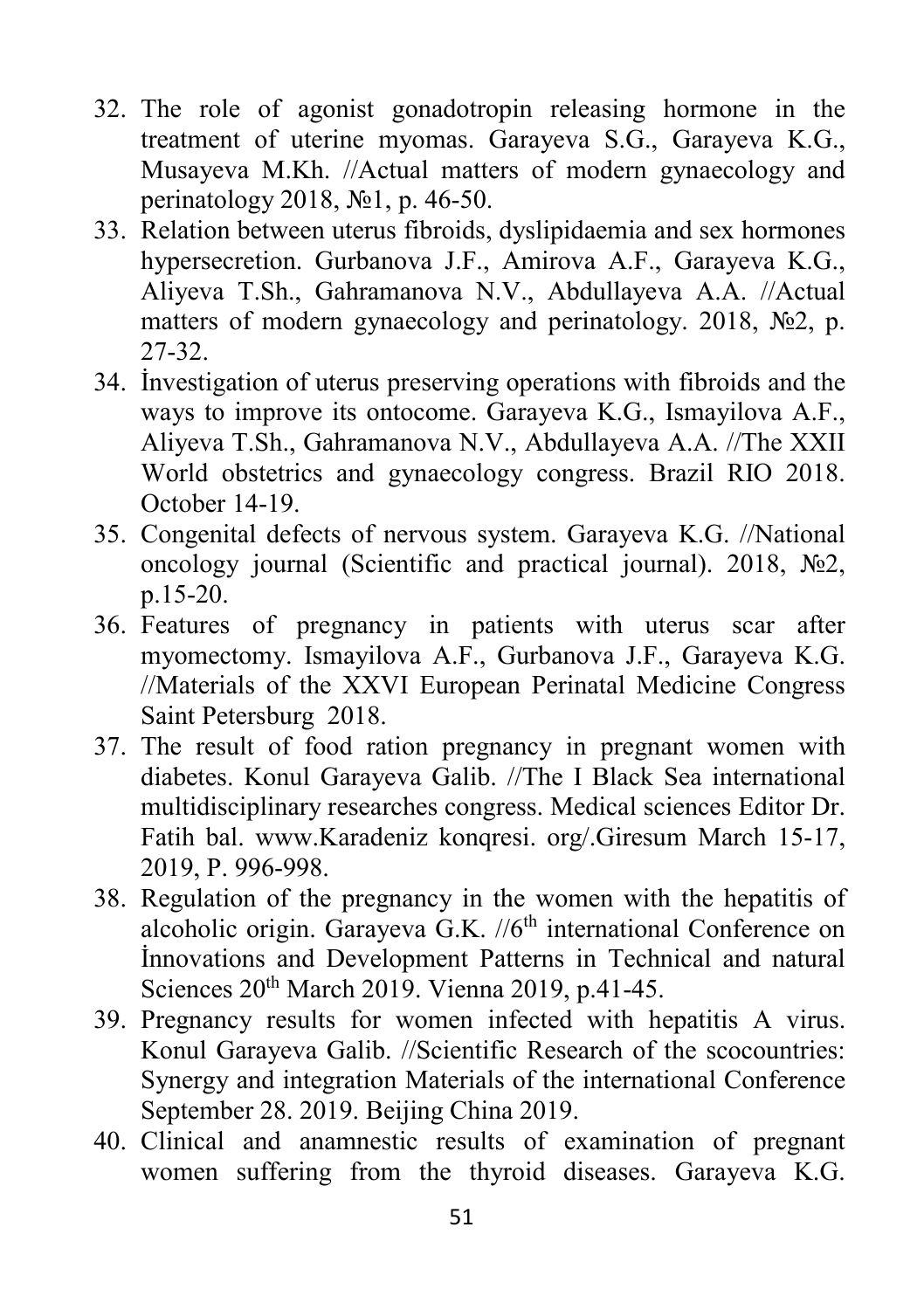- 32. The role of agonist gonadotropin releasing hormone in the treatment of uterine myomas. Garayeva S.G., Garayeva K.G., Musayeva M.Kh. //Actual matters of modern gynaecology and perinatology 2018, №1, p. 46-50.
- 33. Relation between uterus fibroids, dyslipidaemia and sex hormones hypersecretion. Gurbanova J.F., Amirova A.F., Garayeva K.G., Aliyeva T.Sh., Gahramanova N.V., Abdullayeva A.A. //Actual matters of modern gynaecology and perinatology. 2018, №2, p. 27-32.
- 34. İnvestigation of uterus preserving operations with fibroids and the ways to improve its ontocome. Garayeva K.G., Ismayilova A.F., Aliyeva T.Sh., Gahramanova N.V., Abdullayeva A.A. //The XXII World obstetrics and gynaecology congress. Brazil RIO 2018. October 14-19.
- 35. Congenital defects of nervous system. Garayeva K.G. //National oncology journal (Scientific and practical journal). 2018, №2, p.15-20.
- 36. Features of pregnancy in patients with uterus scar after myomectomy. Ismayilova A.F., Gurbanova J.F., Garayeva K.G. //Materials of the XXVI European Perinatal Medicine Congress Saint Petersburg 2018.
- 37. The result of food ration pregnancy in pregnant women with diabetes. Konul Garayeva Galib. //The I Black Sea international multidisciplinary researches congress. Medical sciences Editor Dr. Fatih bal. www.Karadeniz konqresi. org/.Giresum March 15-17, 2019, P. 996-998.
- 38. Regulation of the pregnancy in the women with the hepatitis of alcoholic origin. Garayeva G.K.  $//6<sup>th</sup>$  international Conference on İnnovations and Development Patterns in Technical and natural Sciences 20th March 2019. Vienna 2019, p.41-45.
- 39. Pregnancy results for women infected with hepatitis A virus. Konul Garayeva Galib. //Scientific Research of the scocountries: Synergy and integration Materials of the international Conference September 28. 2019. Beijing China 2019.
- 40. Clinical and anamnestic results of examination of pregnant women suffering from the thyroid diseases. Garayeva K.G.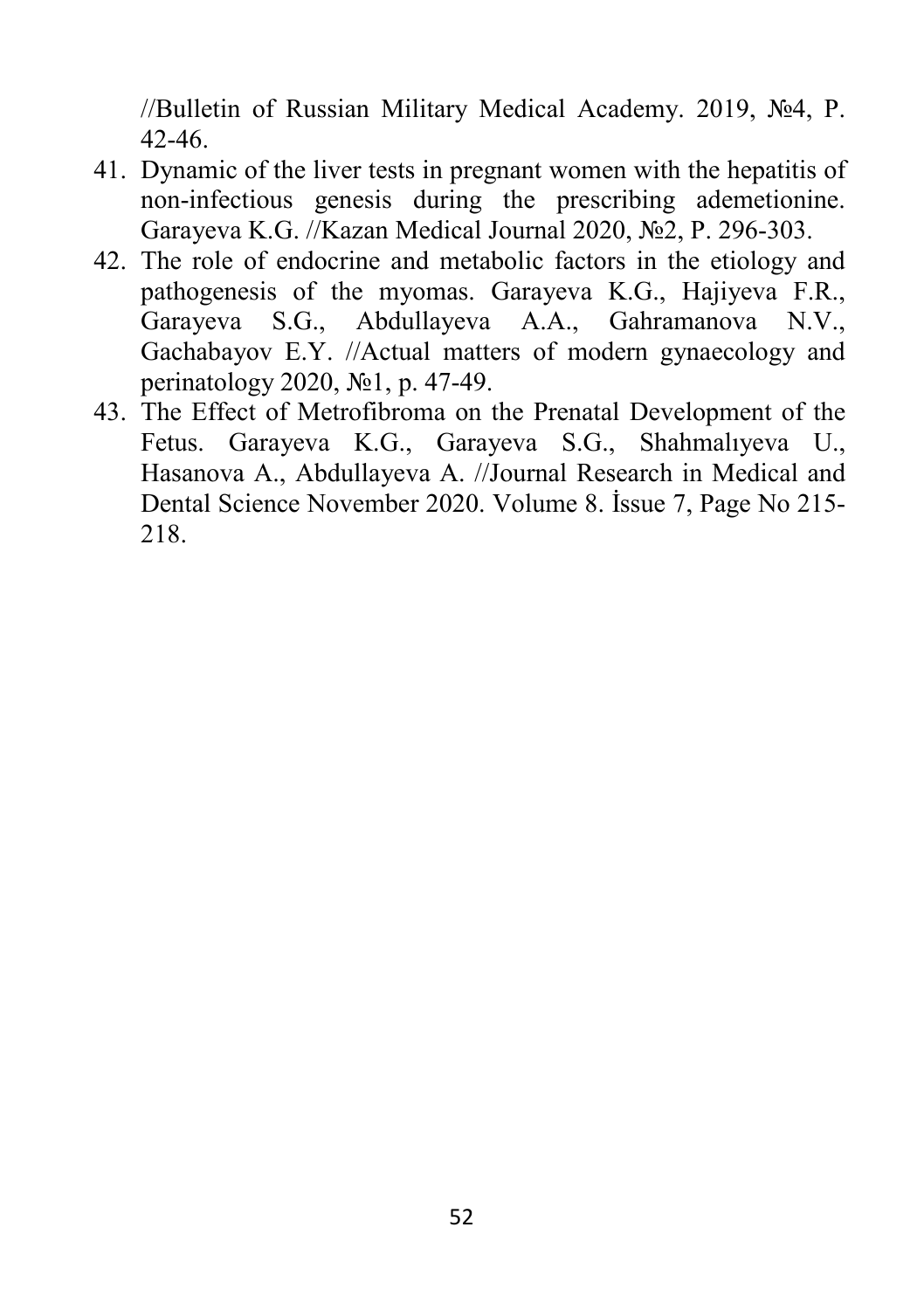//Bulletin of Russian Military Medical Academy. 2019, №4, P. 42-46.

- 41. Dynamic of the liver tests in pregnant women with the hepatitis of non-infectious genesis during the prescribing ademetionine. Garayeva K.G. //Kazan Medical Journal 2020, №2, P. 296-303.
- 42. The role of endocrine and metabolic factors in the etiology and pathogenesis of the myomas. Garayeva K.G., Hajiyeva F.R., Garayeva S.G., Abdullayeva A.A., Gahramanova N.V., Gachabayov E.Y. //Actual matters of modern gynaecology and perinatology 2020, №1, p. 47-49.
- 43. The Effect of Metrofibroma on the Prenatal Development of the Fetus. Garayeva K.G., Garayeva S.G., Shahmalıyeva U., Hasanova A., Abdullayeva A. //Journal Research in Medical and Dental Science November 2020. Volume 8. İssue 7, Page No 215- 218.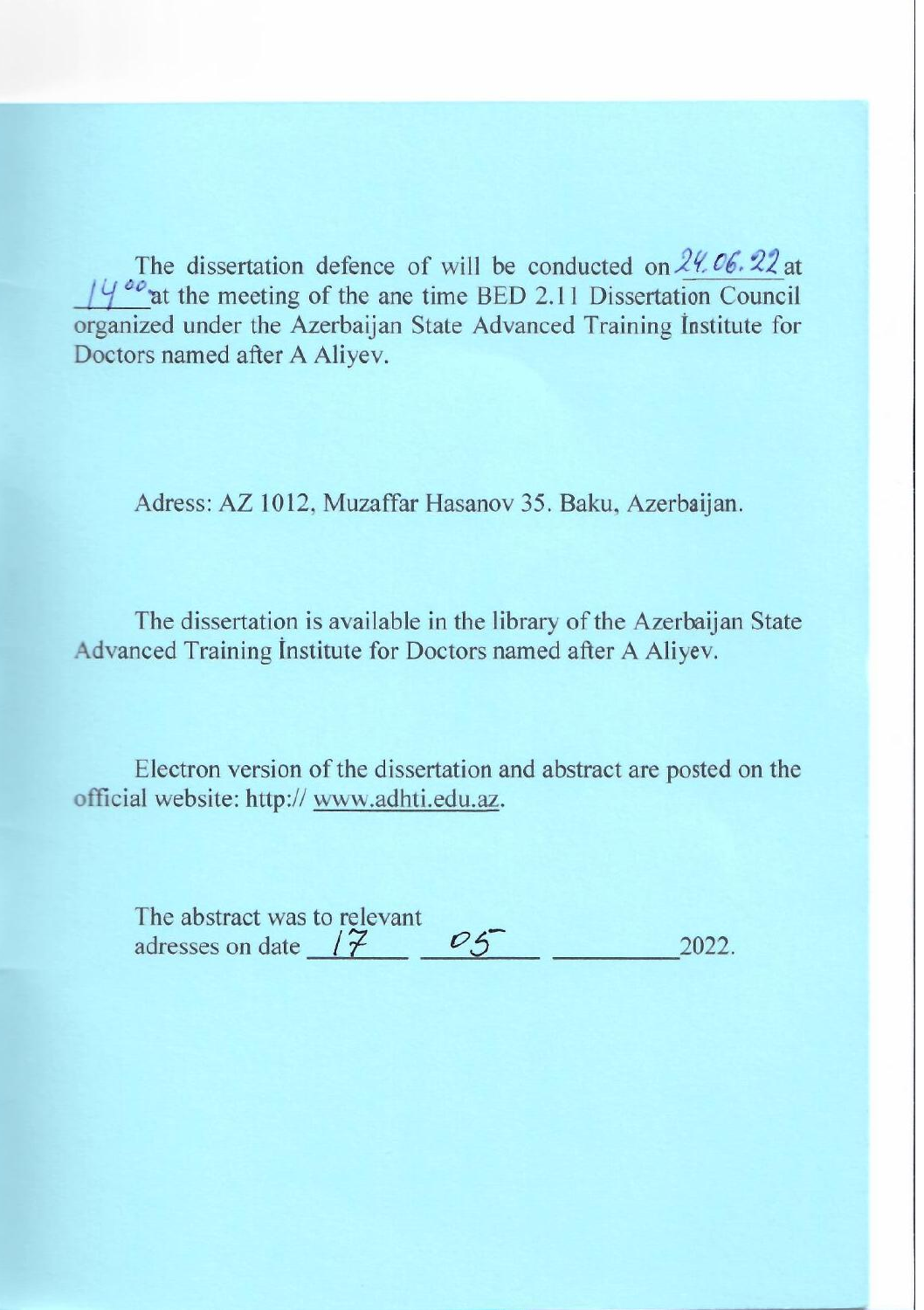The dissertation defence of will be conducted on  $24.06.22$  at  $14^{o}$  at the meeting of the ane time BED 2.11 Dissertation Council organized under the Azerbaijan State Advanced Training Institute for Doctors named after A Aliyev.

Adress: AZ 1012, Muzaffar Hasanov 35. Baku, Azerbaijan.

The dissertation is available in the library of the Azerbaijan State Advanced Training Institute for Doctors named after A Aliyev.

Electron version of the dissertation and abstract are posted on the official website: http:// www.adhti.edu.az.

| The abstract was to relevant |               |  |
|------------------------------|---------------|--|
| adresses on date             | $\rightarrow$ |  |